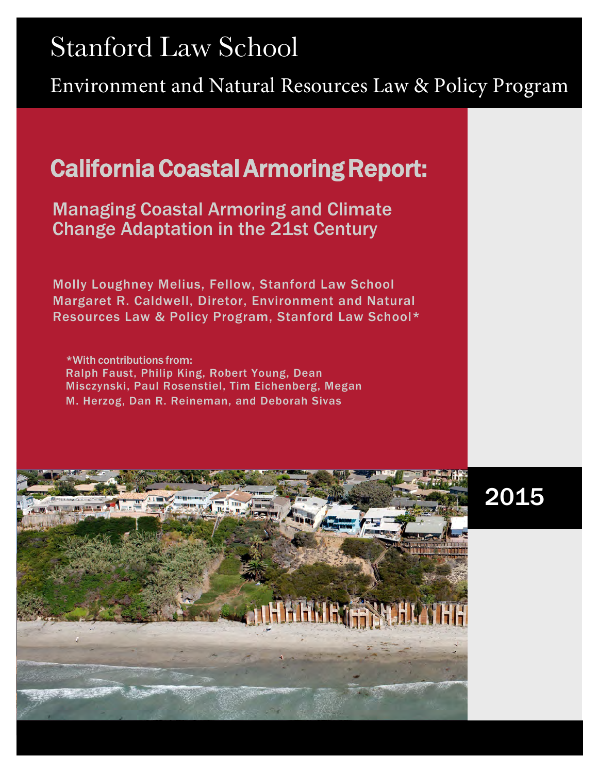# $\sim$  cannot Stanford Law School

Environment and Natural Resources Law & Policy Program

# California Coastal Armoring Report:

Managing Coastal Armoring and Climate Change Adaptation in the 21st Century

Molly Loughney Melius, Fellow, Stanford Law School Margaret R. Caldwell, Diretor, Environment and Natural Resources Law & Policy Program, Stanford Law School\*

\*With contributions from: Ralph Faust, Philip King, Robert Young, Dean Misczynski, Paul Rosenstiel, Tim Eichenberg, Megan M. Herzog, Dan R. Reineman, and Deborah Sivas



# 2015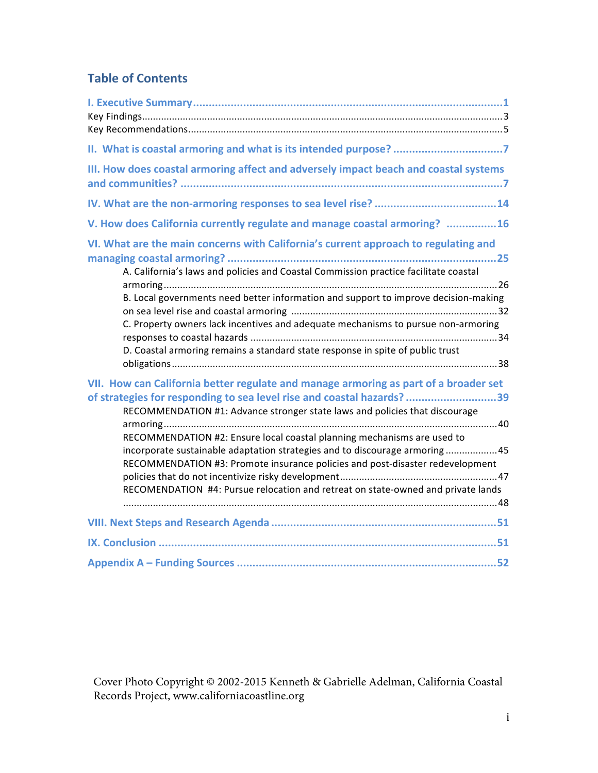# **Table of Contents**

| II. What is coastal armoring and what is its intended purpose? 7                                                                                                                                                                                                                                                                                                                                                                                                                                                                                                            |
|-----------------------------------------------------------------------------------------------------------------------------------------------------------------------------------------------------------------------------------------------------------------------------------------------------------------------------------------------------------------------------------------------------------------------------------------------------------------------------------------------------------------------------------------------------------------------------|
| III. How does coastal armoring affect and adversely impact beach and coastal systems                                                                                                                                                                                                                                                                                                                                                                                                                                                                                        |
|                                                                                                                                                                                                                                                                                                                                                                                                                                                                                                                                                                             |
| V. How does California currently regulate and manage coastal armoring? 16                                                                                                                                                                                                                                                                                                                                                                                                                                                                                                   |
| VI. What are the main concerns with California's current approach to regulating and<br>A. California's laws and policies and Coastal Commission practice facilitate coastal<br>B. Local governments need better information and support to improve decision-making<br>C. Property owners lack incentives and adequate mechanisms to pursue non-armoring<br>D. Coastal armoring remains a standard state response in spite of public trust                                                                                                                                   |
| VII. How can California better regulate and manage armoring as part of a broader set<br>of strategies for responding to sea level rise and coastal hazards? 39<br>RECOMMENDATION #1: Advance stronger state laws and policies that discourage<br>RECOMMENDATION #2: Ensure local coastal planning mechanisms are used to<br>incorporate sustainable adaptation strategies and to discourage armoring45<br>RECOMMENDATION #3: Promote insurance policies and post-disaster redevelopment<br>RECOMENDATION #4: Pursue relocation and retreat on state-owned and private lands |
|                                                                                                                                                                                                                                                                                                                                                                                                                                                                                                                                                                             |
|                                                                                                                                                                                                                                                                                                                                                                                                                                                                                                                                                                             |
|                                                                                                                                                                                                                                                                                                                                                                                                                                                                                                                                                                             |

Cover Photo Copyright © 2002-2015 Kenneth & Gabrielle Adelman, California Coastal Records Project, www.californiacoastline.org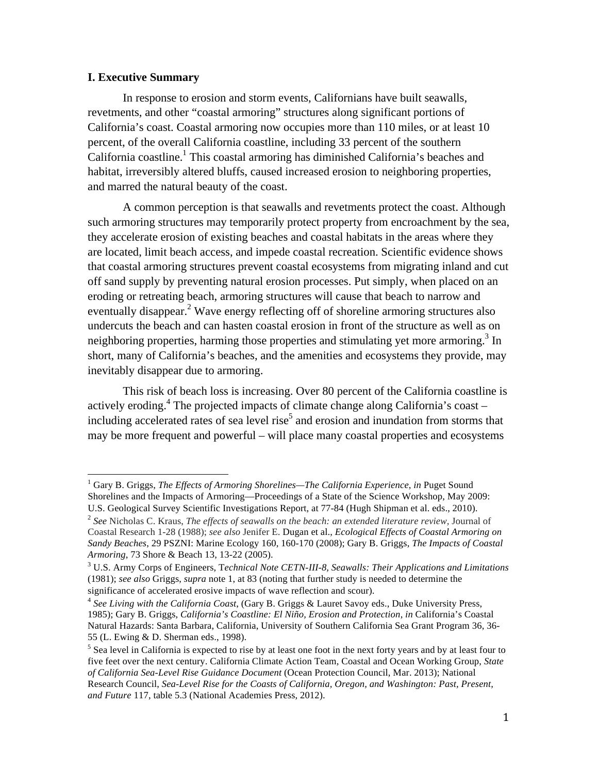#### **I. Executive Summary**

In response to erosion and storm events, Californians have built seawalls, revetments, and other "coastal armoring" structures along significant portions of California's coast. Coastal armoring now occupies more than 110 miles, or at least 10 percent, of the overall California coastline, including 33 percent of the southern California coastline.<sup>1</sup> This coastal armoring has diminished California's beaches and habitat, irreversibly altered bluffs, caused increased erosion to neighboring properties, and marred the natural beauty of the coast.

A common perception is that seawalls and revetments protect the coast. Although such armoring structures may temporarily protect property from encroachment by the sea, they accelerate erosion of existing beaches and coastal habitats in the areas where they are located, limit beach access, and impede coastal recreation. Scientific evidence shows that coastal armoring structures prevent coastal ecosystems from migrating inland and cut off sand supply by preventing natural erosion processes. Put simply, when placed on an eroding or retreating beach, armoring structures will cause that beach to narrow and eventually disappear.<sup>2</sup> Wave energy reflecting off of shoreline armoring structures also undercuts the beach and can hasten coastal erosion in front of the structure as well as on neighboring properties, harming those properties and stimulating yet more armoring.<sup>3</sup> In short, many of California's beaches, and the amenities and ecosystems they provide, may inevitably disappear due to armoring.

This risk of beach loss is increasing. Over 80 percent of the California coastline is actively eroding.<sup>4</sup> The projected impacts of climate change along California's coast – including accelerated rates of sea level rise<sup>5</sup> and erosion and inundation from storms that may be more frequent and powerful – will place many coastal properties and ecosystems

<sup>1</sup> Gary B. Griggs, *The Effects of Armoring Shorelines—The California Experience*, *in* Puget Sound Shorelines and the Impacts of Armoring—Proceedings of a State of the Science Workshop, May 2009: U.S. Geological Survey Scientific Investigations Report, at 77-84 (Hugh Shipman et al. eds., 2010).

<sup>2</sup> *See* Nicholas C. Kraus, *The effects of seawalls on the beach: an extended literature review,* Journal of Coastal Research 1-28 (1988); *see also* Jenifer E. Dugan et al., *Ecological Effects of Coastal Armoring on Sandy Beaches*, 29 PSZNI: Marine Ecology 160, 160-170 (2008); Gary B. Griggs, *The Impacts of Coastal Armoring*, 73 Shore & Beach 13, 13-22 (2005).

<sup>3</sup> U.S. Army Corps of Engineers, T*echnical Note CETN-III-8, Seawalls: Their Applications and Limitations* (1981); *see also* Griggs, *supra* note 1, at 83 (noting that further study is needed to determine the

significance of accelerated erosive impacts of wave reflection and scour). 4 *See Living with the California Coast*, (Gary B. Griggs & Lauret Savoy eds., Duke University Press, 1985); Gary B. Griggs, *California's Coastline: El Niño, Erosion and Protection*, *in* California's Coastal Natural Hazards: Santa Barbara, California, University of Southern California Sea Grant Program 36, 36- 55 (L. Ewing & D. Sherman eds., 1998).

 $<sup>5</sup>$  Sea level in California is expected to rise by at least one foot in the next forty years and by at least four to</sup> five feet over the next century. California Climate Action Team, Coastal and Ocean Working Group, *State of California Sea-Level Rise Guidance Document* (Ocean Protection Council, Mar. 2013); National Research Council, *Sea-Level Rise for the Coasts of California, Oregon, and Washington: Past, Present, and Future* 117, table 5.3 (National Academies Press, 2012).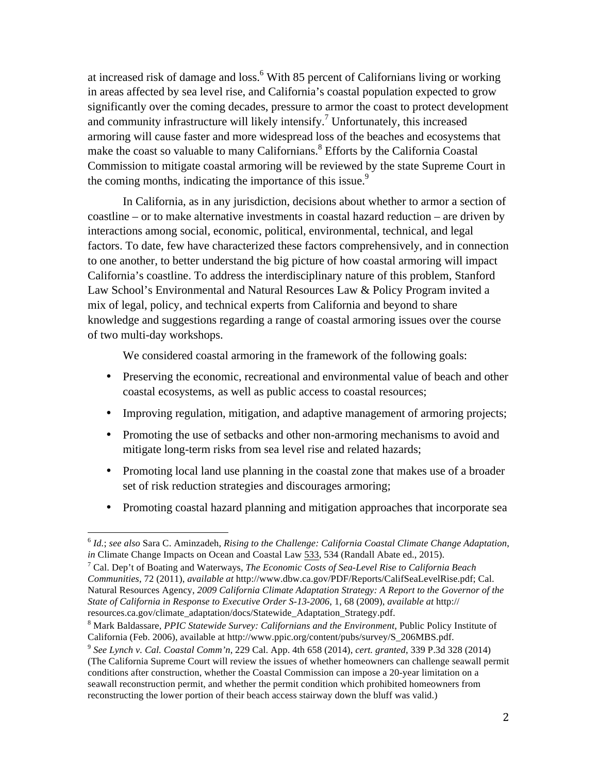at increased risk of damage and loss.<sup>6</sup> With 85 percent of Californians living or working in areas affected by sea level rise, and California's coastal population expected to grow significantly over the coming decades, pressure to armor the coast to protect development and community infrastructure will likely intensify.<sup>7</sup> Unfortunately, this increased armoring will cause faster and more widespread loss of the beaches and ecosystems that make the coast so valuable to many Californians.<sup>8</sup> Efforts by the California Coastal Commission to mitigate coastal armoring will be reviewed by the state Supreme Court in the coming months, indicating the importance of this issue.<sup>9</sup>

In California, as in any jurisdiction, decisions about whether to armor a section of coastline – or to make alternative investments in coastal hazard reduction – are driven by interactions among social, economic, political, environmental, technical, and legal factors. To date, few have characterized these factors comprehensively, and in connection to one another, to better understand the big picture of how coastal armoring will impact California's coastline. To address the interdisciplinary nature of this problem, Stanford Law School's Environmental and Natural Resources Law & Policy Program invited a mix of legal, policy, and technical experts from California and beyond to share knowledge and suggestions regarding a range of coastal armoring issues over the course of two multi-day workshops.

We considered coastal armoring in the framework of the following goals:

- Preserving the economic, recreational and environmental value of beach and other coastal ecosystems, as well as public access to coastal resources;
- Improving regulation, mitigation, and adaptive management of armoring projects;
- Promoting the use of setbacks and other non-armoring mechanisms to avoid and mitigate long-term risks from sea level rise and related hazards;
- Promoting local land use planning in the coastal zone that makes use of a broader set of risk reduction strategies and discourages armoring;
- Promoting coastal hazard planning and mitigation approaches that incorporate sea

<sup>6</sup> *Id.*; *see also* Sara C. Aminzadeh, *Rising to the Challenge: California Coastal Climate Change Adaptation*, *in* Climate Change Impacts on Ocean and Coastal Law 533, 534 (Randall Abate ed., 2015).<br><sup>7</sup> Cal. Dep't of Boating and Waterways, *The Economic Costs of Sea-Level Rise to California Beach* 

*Communities*, 72 (2011), *available at* http://www.dbw.ca.gov/PDF/Reports/CalifSeaLevelRise.pdf; Cal. Natural Resources Agency, *2009 California Climate Adaptation Strategy: A Report to the Governor of the State of California in Response to Executive Order S-13-2006*, 1, 68 (2009), *available at* http:// resources.ca.gov/climate\_adaptation/docs/Statewide\_Adaptation\_Strategy.pdf.

<sup>8</sup> Mark Baldassare, *PPIC Statewide Survey: Californians and the Environment*, Public Policy Institute of California (Feb. 2006), available at http://www.ppic.org/content/pubs/survey/S\_206MBS.pdf. 9 *See Lynch v. Cal. Coastal Comm'n*, 229 Cal. App. 4th 658 (2014), *cert. granted*, 339 P.3d 328 (2014)

<sup>(</sup>The California Supreme Court will review the issues of whether homeowners can challenge seawall permit conditions after construction, whether the Coastal Commission can impose a 20-year limitation on a seawall reconstruction permit, and whether the permit condition which prohibited homeowners from reconstructing the lower portion of their beach access stairway down the bluff was valid.)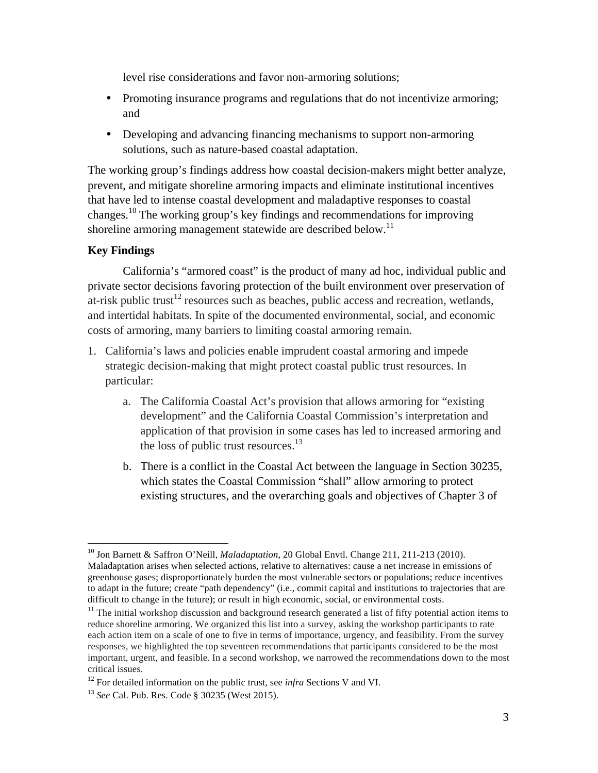level rise considerations and favor non-armoring solutions;

- Promoting insurance programs and regulations that do not incentivize armoring; and
- Developing and advancing financing mechanisms to support non-armoring solutions, such as nature-based coastal adaptation.

The working group's findings address how coastal decision-makers might better analyze, prevent, and mitigate shoreline armoring impacts and eliminate institutional incentives that have led to intense coastal development and maladaptive responses to coastal changes.10 The working group's key findings and recommendations for improving shoreline armoring management statewide are described below.<sup>11</sup>

# **Key Findings**

California's "armored coast" is the product of many ad hoc, individual public and private sector decisions favoring protection of the built environment over preservation of at-risk public trust<sup>12</sup> resources such as beaches, public access and recreation, wetlands, and intertidal habitats. In spite of the documented environmental, social, and economic costs of armoring, many barriers to limiting coastal armoring remain.

- 1. California's laws and policies enable imprudent coastal armoring and impede strategic decision-making that might protect coastal public trust resources. In particular:
	- a. The California Coastal Act's provision that allows armoring for "existing development" and the California Coastal Commission's interpretation and application of that provision in some cases has led to increased armoring and the loss of public trust resources. $13$
	- b. There is a conflict in the Coastal Act between the language in Section 30235, which states the Coastal Commission "shall" allow armoring to protect existing structures, and the overarching goals and objectives of Chapter 3 of

<sup>10</sup> Jon Barnett & Saffron O'Neill, *Maladaptation*, 20 Global Envtl. Change 211, 211-213 (2010). Maladaptation arises when selected actions, relative to alternatives: cause a net increase in emissions of greenhouse gases; disproportionately burden the most vulnerable sectors or populations; reduce incentives to adapt in the future; create "path dependency" (i.e., commit capital and institutions to trajectories that are difficult to change in the future); or result in high economic, social, or environmental costs.

 $11$  The initial workshop discussion and background research generated a list of fifty potential action items to reduce shoreline armoring. We organized this list into a survey, asking the workshop participants to rate each action item on a scale of one to five in terms of importance, urgency, and feasibility. From the survey responses, we highlighted the top seventeen recommendations that participants considered to be the most important, urgent, and feasible. In a second workshop, we narrowed the recommendations down to the most critical issues.

<sup>&</sup>lt;sup>12</sup> For detailed information on the public trust, see *infra* Sections V and VI.

<sup>13</sup> *See* Cal. Pub. Res. Code § 30235 (West 2015).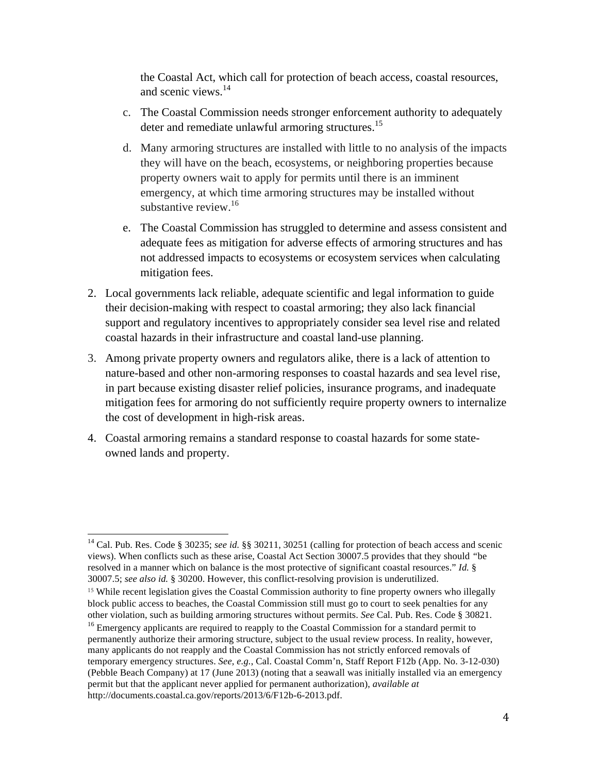the Coastal Act, which call for protection of beach access, coastal resources, and scenic views.14

- c. The Coastal Commission needs stronger enforcement authority to adequately deter and remediate unlawful armoring structures.<sup>15</sup>
- d. Many armoring structures are installed with little to no analysis of the impacts they will have on the beach, ecosystems, or neighboring properties because property owners wait to apply for permits until there is an imminent emergency, at which time armoring structures may be installed without substantive review. $16$
- e. The Coastal Commission has struggled to determine and assess consistent and adequate fees as mitigation for adverse effects of armoring structures and has not addressed impacts to ecosystems or ecosystem services when calculating mitigation fees.
- 2. Local governments lack reliable, adequate scientific and legal information to guide their decision-making with respect to coastal armoring; they also lack financial support and regulatory incentives to appropriately consider sea level rise and related coastal hazards in their infrastructure and coastal land-use planning.
- 3. Among private property owners and regulators alike, there is a lack of attention to nature-based and other non-armoring responses to coastal hazards and sea level rise, in part because existing disaster relief policies, insurance programs, and inadequate mitigation fees for armoring do not sufficiently require property owners to internalize the cost of development in high-risk areas.
- 4. Coastal armoring remains a standard response to coastal hazards for some stateowned lands and property.

<sup>&</sup>lt;sup>14</sup> Cal. Pub. Res. Code § 30235; see id. §§ 30211, 30251 (calling for protection of beach access and scenic views). When conflicts such as these arise, Coastal Act Section 30007.5 provides that they should *"*be resolved in a manner which on balance is the most protective of significant coastal resources." *Id.* § 30007.5; *see also id.* § 30200. However, this conflict-resolving provision is underutilized.

<sup>15</sup> While recent legislation gives the Coastal Commission authority to fine property owners who illegally block public access to beaches, the Coastal Commission still must go to court to seek penalties for any other violation, such as building armoring structures without permits. *See* Cal. Pub. Res. Code § 30821.

<sup>&</sup>lt;sup>16</sup> Emergency applicants are required to reapply to the Coastal Commission for a standard permit to permanently authorize their armoring structure, subject to the usual review process. In reality, however, many applicants do not reapply and the Coastal Commission has not strictly enforced removals of temporary emergency structures. *See, e.g.*, Cal. Coastal Comm'n, Staff Report F12b (App. No. 3-12-030) (Pebble Beach Company) at 17 (June 2013) (noting that a seawall was initially installed via an emergency permit but that the applicant never applied for permanent authorization), *available at* http://documents.coastal.ca.gov/reports/2013/6/F12b-6-2013.pdf.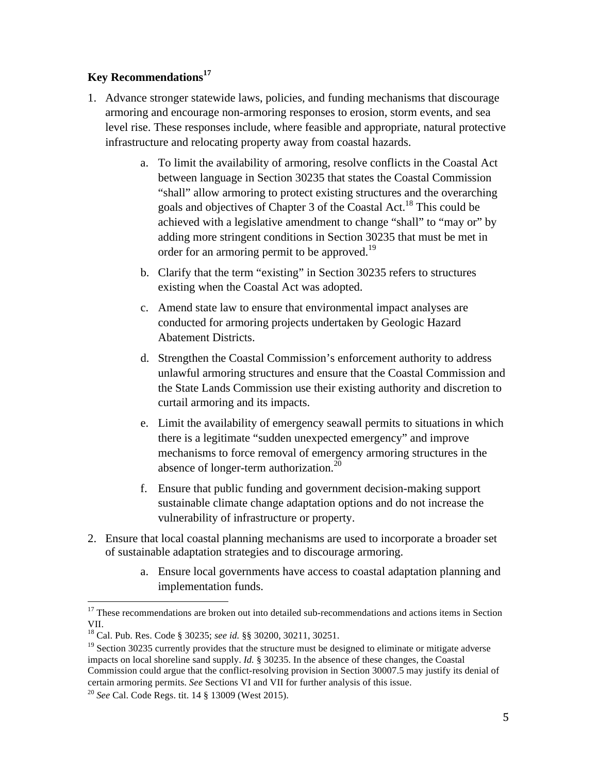# **Key Recommendations<sup>17</sup>**

- 1. Advance stronger statewide laws, policies, and funding mechanisms that discourage armoring and encourage non-armoring responses to erosion, storm events, and sea level rise. These responses include, where feasible and appropriate, natural protective infrastructure and relocating property away from coastal hazards.
	- a. To limit the availability of armoring, resolve conflicts in the Coastal Act between language in Section 30235 that states the Coastal Commission "shall" allow armoring to protect existing structures and the overarching goals and objectives of Chapter 3 of the Coastal Act.18 This could be achieved with a legislative amendment to change "shall" to "may or" by adding more stringent conditions in Section 30235 that must be met in order for an armoring permit to be approved.<sup>19</sup>
	- b. Clarify that the term "existing" in Section 30235 refers to structures existing when the Coastal Act was adopted.
	- c. Amend state law to ensure that environmental impact analyses are conducted for armoring projects undertaken by Geologic Hazard Abatement Districts.
	- d. Strengthen the Coastal Commission's enforcement authority to address unlawful armoring structures and ensure that the Coastal Commission and the State Lands Commission use their existing authority and discretion to curtail armoring and its impacts.
	- e. Limit the availability of emergency seawall permits to situations in which there is a legitimate "sudden unexpected emergency" and improve mechanisms to force removal of emergency armoring structures in the absence of longer-term authorization.<sup>20</sup>
	- f. Ensure that public funding and government decision-making support sustainable climate change adaptation options and do not increase the vulnerability of infrastructure or property.
- 2. Ensure that local coastal planning mechanisms are used to incorporate a broader set of sustainable adaptation strategies and to discourage armoring.
	- a. Ensure local governments have access to coastal adaptation planning and implementation funds.

<sup>&</sup>lt;sup>17</sup> These recommendations are broken out into detailed sub-recommendations and actions items in Section VII.

<sup>18</sup> Cal. Pub. Res. Code § 30235; *see id.* §§ 30200, 30211, 30251.

 $19$  Section 30235 currently provides that the structure must be designed to eliminate or mitigate adverse impacts on local shoreline sand supply. *Id.* § 30235. In the absence of these changes, the Coastal Commission could argue that the conflict-resolving provision in Section 30007.5 may justify its denial of certain armoring permits. *See* Sections VI and VII for further analysis of this issue.

<sup>20</sup> *See* Cal. Code Regs. tit. 14 § 13009 (West 2015).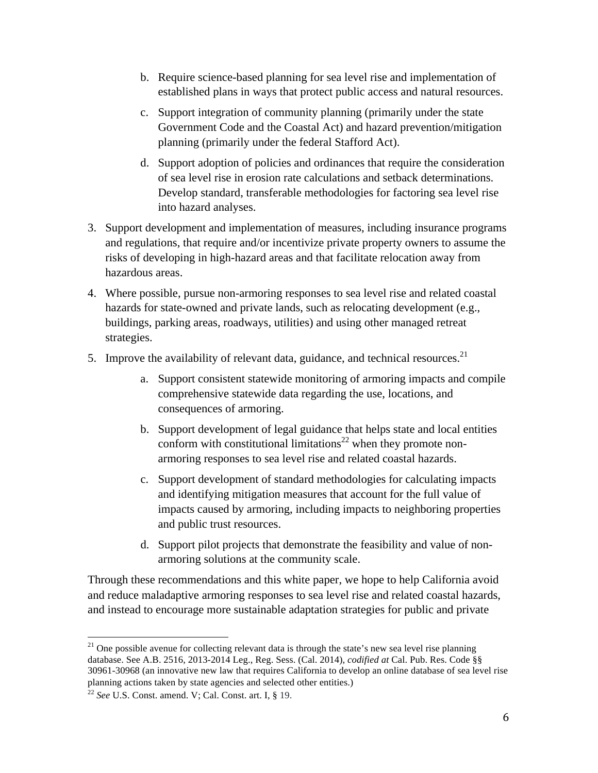- b. Require science-based planning for sea level rise and implementation of established plans in ways that protect public access and natural resources.
- c. Support integration of community planning (primarily under the state Government Code and the Coastal Act) and hazard prevention/mitigation planning (primarily under the federal Stafford Act).
- d. Support adoption of policies and ordinances that require the consideration of sea level rise in erosion rate calculations and setback determinations. Develop standard, transferable methodologies for factoring sea level rise into hazard analyses.
- 3. Support development and implementation of measures, including insurance programs and regulations, that require and/or incentivize private property owners to assume the risks of developing in high-hazard areas and that facilitate relocation away from hazardous areas.
- 4. Where possible, pursue non-armoring responses to sea level rise and related coastal hazards for state-owned and private lands, such as relocating development (e.g., buildings, parking areas, roadways, utilities) and using other managed retreat strategies.
- 5. Improve the availability of relevant data, guidance, and technical resources.<sup>21</sup>
	- a. Support consistent statewide monitoring of armoring impacts and compile comprehensive statewide data regarding the use, locations, and consequences of armoring.
	- b. Support development of legal guidance that helps state and local entities conform with constitutional limitations<sup>22</sup> when they promote nonarmoring responses to sea level rise and related coastal hazards.
	- c. Support development of standard methodologies for calculating impacts and identifying mitigation measures that account for the full value of impacts caused by armoring, including impacts to neighboring properties and public trust resources.
	- d. Support pilot projects that demonstrate the feasibility and value of nonarmoring solutions at the community scale.

Through these recommendations and this white paper, we hope to help California avoid and reduce maladaptive armoring responses to sea level rise and related coastal hazards, and instead to encourage more sustainable adaptation strategies for public and private

<sup>&</sup>lt;sup>21</sup> One possible avenue for collecting relevant data is through the state's new sea level rise planning database. See A.B. 2516, 2013-2014 Leg., Reg. Sess. (Cal. 2014), *codified at* Cal. Pub. Res. Code §§ 30961-30968 (an innovative new law that requires California to develop an online database of sea level rise planning actions taken by state agencies and selected other entities.)

<sup>22</sup> *See* U.S. Const. amend. V; Cal. Const. art. I, § 19.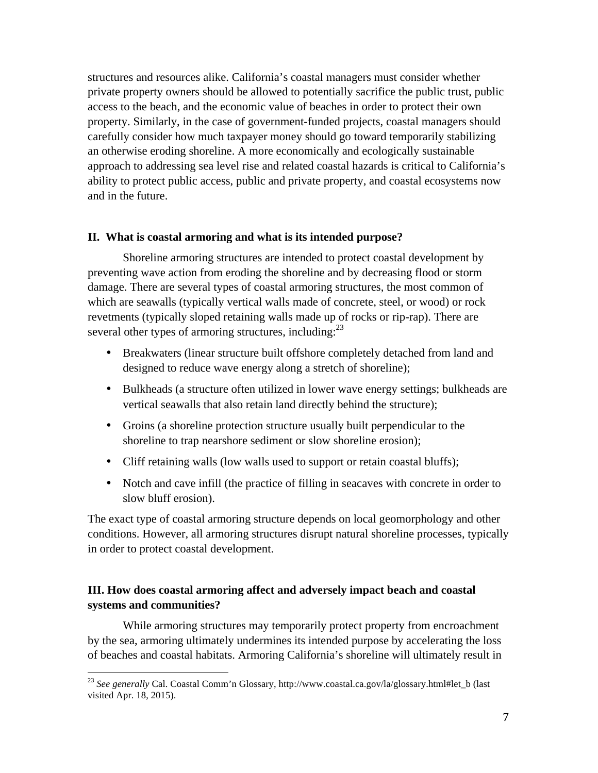structures and resources alike. California's coastal managers must consider whether private property owners should be allowed to potentially sacrifice the public trust, public access to the beach, and the economic value of beaches in order to protect their own property. Similarly, in the case of government-funded projects, coastal managers should carefully consider how much taxpayer money should go toward temporarily stabilizing an otherwise eroding shoreline. A more economically and ecologically sustainable approach to addressing sea level rise and related coastal hazards is critical to California's ability to protect public access, public and private property, and coastal ecosystems now and in the future.

#### **II. What is coastal armoring and what is its intended purpose?**

Shoreline armoring structures are intended to protect coastal development by preventing wave action from eroding the shoreline and by decreasing flood or storm damage. There are several types of coastal armoring structures, the most common of which are seawalls (typically vertical walls made of concrete, steel, or wood) or rock revetments (typically sloped retaining walls made up of rocks or rip-rap). There are several other types of armoring structures, including:<sup>23</sup>

- Breakwaters (linear structure built offshore completely detached from land and designed to reduce wave energy along a stretch of shoreline);
- Bulkheads (a structure often utilized in lower wave energy settings; bulkheads are vertical seawalls that also retain land directly behind the structure);
- Groins (a shoreline protection structure usually built perpendicular to the shoreline to trap nearshore sediment or slow shoreline erosion);
- Cliff retaining walls (low walls used to support or retain coastal bluffs);
- Notch and cave infill (the practice of filling in seacaves with concrete in order to slow bluff erosion).

The exact type of coastal armoring structure depends on local geomorphology and other conditions. However, all armoring structures disrupt natural shoreline processes, typically in order to protect coastal development.

# **III. How does coastal armoring affect and adversely impact beach and coastal systems and communities?**

While armoring structures may temporarily protect property from encroachment by the sea, armoring ultimately undermines its intended purpose by accelerating the loss of beaches and coastal habitats. Armoring California's shoreline will ultimately result in

<sup>23</sup> *See generally* Cal. Coastal Comm'n Glossary, http://www.coastal.ca.gov/la/glossary.html#let\_b (last visited Apr. 18, 2015).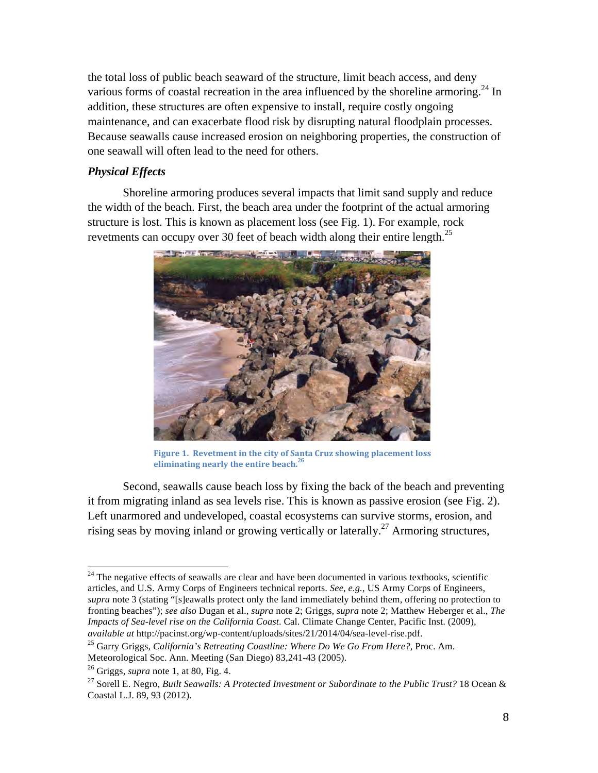the total loss of public beach seaward of the structure, limit beach access, and deny various forms of coastal recreation in the area influenced by the shoreline armoring.<sup>24</sup> In addition, these structures are often expensive to install, require costly ongoing maintenance, and can exacerbate flood risk by disrupting natural floodplain processes. Because seawalls cause increased erosion on neighboring properties, the construction of one seawall will often lead to the need for others.

# *Physical Effects*

Shoreline armoring produces several impacts that limit sand supply and reduce the width of the beach. First, the beach area under the footprint of the actual armoring structure is lost. This is known as placement loss (see Fig. 1). For example, rock revetments can occupy over 30 feet of beach width along their entire length.<sup>25</sup>



Figure 1. Revetment in the city of Santa Cruz showing placement loss eliminating nearly the entire beach.<sup>26</sup>

Second, seawalls cause beach loss by fixing the back of the beach and preventing it from migrating inland as sea levels rise. This is known as passive erosion (see Fig. 2). Left unarmored and undeveloped, coastal ecosystems can survive storms, erosion, and rising seas by moving inland or growing vertically or laterally.<sup>27</sup> Armoring structures,

 $24$  The negative effects of seawalls are clear and have been documented in various textbooks, scientific articles, and U.S. Army Corps of Engineers technical reports. *See, e.g.*, US Army Corps of Engineers, *supra* note 3 (stating "[s]eawalls protect only the land immediately behind them, offering no protection to fronting beaches"); *see also* Dugan et al., *supra* note 2; Griggs, *supra* note 2; Matthew Heberger et al., *The Impacts of Sea-level rise on the California Coast*. Cal. Climate Change Center, Pacific Inst. (2009), *available at* http://pacinst.org/wp-content/uploads/sites/21/2014/04/sea-level-rise.pdf.

<sup>25</sup> Garry Griggs, *California's Retreating Coastline: Where Do We Go From Here?*, Proc. Am. Meteorological Soc. Ann. Meeting (San Diego) 83,241-43 (2005). 26 Griggs, *supra* note 1, at 80, Fig. 4.

<sup>&</sup>lt;sup>27</sup> Sorell E. Negro, *Built Seawalls: A Protected Investment or Subordinate to the Public Trust?* 18 Ocean & Coastal L.J. 89, 93 (2012).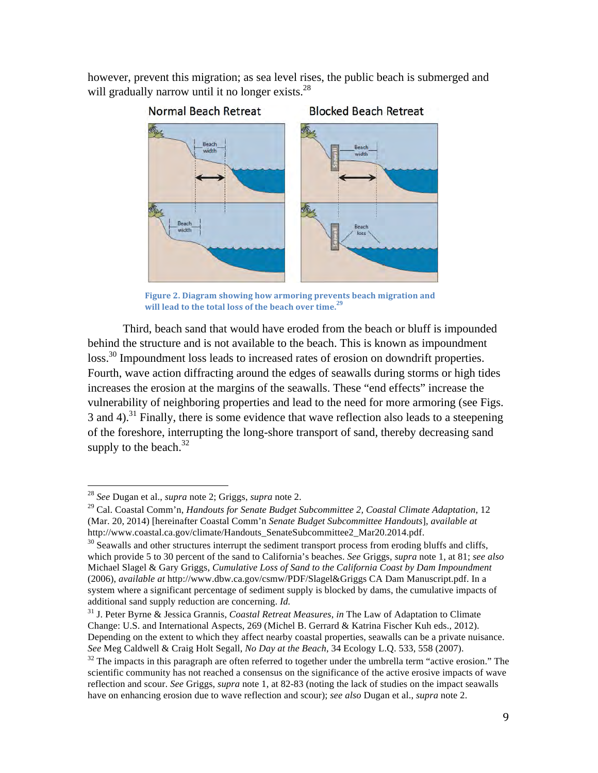however, prevent this migration; as sea level rises, the public beach is submerged and will gradually narrow until it no longer exists.<sup>28</sup>



Figure 2. Diagram showing how armoring prevents beach migration and **will lead to the total loss of the beach over time.<sup>29</sup>** 

Third, beach sand that would have eroded from the beach or bluff is impounded behind the structure and is not available to the beach. This is known as impoundment loss.<sup>30</sup> Impoundment loss leads to increased rates of erosion on downdrift properties. Fourth, wave action diffracting around the edges of seawalls during storms or high tides increases the erosion at the margins of the seawalls. These "end effects" increase the vulnerability of neighboring properties and lead to the need for more armoring (see Figs. 3 and 4).<sup>31</sup> Finally, there is some evidence that wave reflection also leads to a steepening of the foreshore, interrupting the long-shore transport of sand, thereby decreasing sand supply to the beach. $32$ 

<sup>28</sup> *See* Dugan et al., *supra* note 2; Griggs, *supra* note 2.

<sup>29</sup> Cal. Coastal Comm'n, *Handouts for Senate Budget Subcommittee 2, Coastal Climate Adaptation*, 12 (Mar. 20, 2014) [hereinafter Coastal Comm'n *Senate Budget Subcommittee Handouts*], *available at*  http://www.coastal.ca.gov/climate/Handouts\_SenateSubcommittee2\_Mar20.2014.pdf.<br><sup>30</sup> Seawalls and other structures interrupt the sediment transport process from eroding bluffs and cliffs,

which provide 5 to 30 percent of the sand to California's beaches. *See* Griggs, *supra* note 1, at 81; *see also*  Michael Slagel & Gary Griggs, *Cumulative Loss of Sand to the California Coast by Dam Impoundment*  (2006), *available at* http://www.dbw.ca.gov/csmw/PDF/Slagel&Griggs CA Dam Manuscript.pdf. In a system where a significant percentage of sediment supply is blocked by dams, the cumulative impacts of additional sand supply reduction are concerning. *Id.*

<sup>31</sup> J. Peter Byrne & Jessica Grannis, *Coastal Retreat Measures*, *in* The Law of Adaptation to Climate Change: U.S. and International Aspects, 269 (Michel B. Gerrard & Katrina Fischer Kuh eds., 2012). Depending on the extent to which they affect nearby coastal properties, seawalls can be a private nuisance. *See* Meg Caldwell & Craig Holt Segall, *No Day at the Beach*, 34 Ecology L.Q. 533, 558 (2007).

 $32$  The impacts in this paragraph are often referred to together under the umbrella term "active erosion." The scientific community has not reached a consensus on the significance of the active erosive impacts of wave reflection and scour. *See* Griggs, *supra* note 1, at 82-83 (noting the lack of studies on the impact seawalls have on enhancing erosion due to wave reflection and scour); *see also* Dugan et al., *supra* note 2.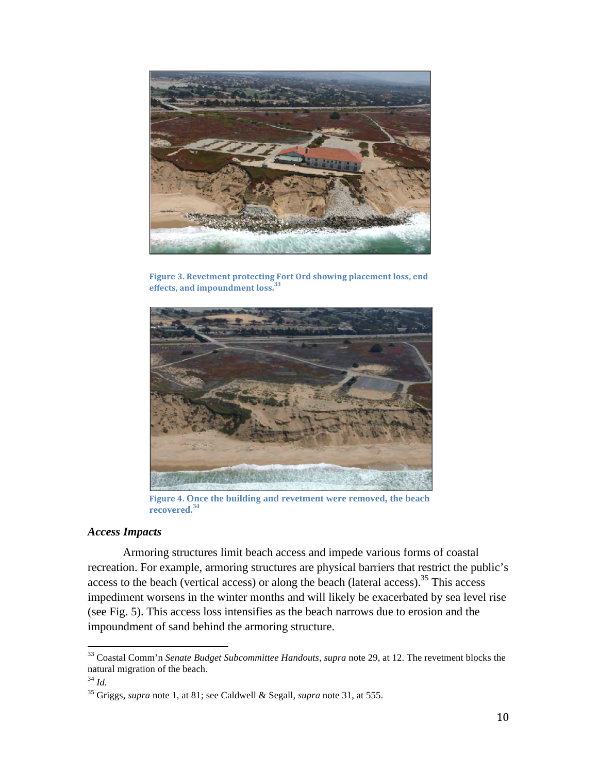

Figure 3. Revetment protecting Fort Ord showing placement loss, end effects, and impoundment loss.<sup>33</sup>



Figure 4. Once the building and revetment were removed, the beach **recovered.34** 

#### *Access Impacts*

Armoring structures limit beach access and impede various forms of coastal recreation. For example, armoring structures are physical barriers that restrict the public's access to the beach (vertical access) or along the beach (lateral access).<sup>35</sup> This access impediment worsens in the winter months and will likely be exacerbated by sea level rise (see Fig. 5). This access loss intensifies as the beach narrows due to erosion and the impoundment of sand behind the armoring structure.

<sup>33</sup> Coastal Comm'n *Senate Budget Subcommittee Handouts, supra* note 29, at 12. The revetment blocks the natural migration of the beach.

<sup>34</sup> *Id.*

<sup>35</sup> Griggs, *supra* note 1, at 81; see Caldwell & Segall, *supra* note 31, at 555.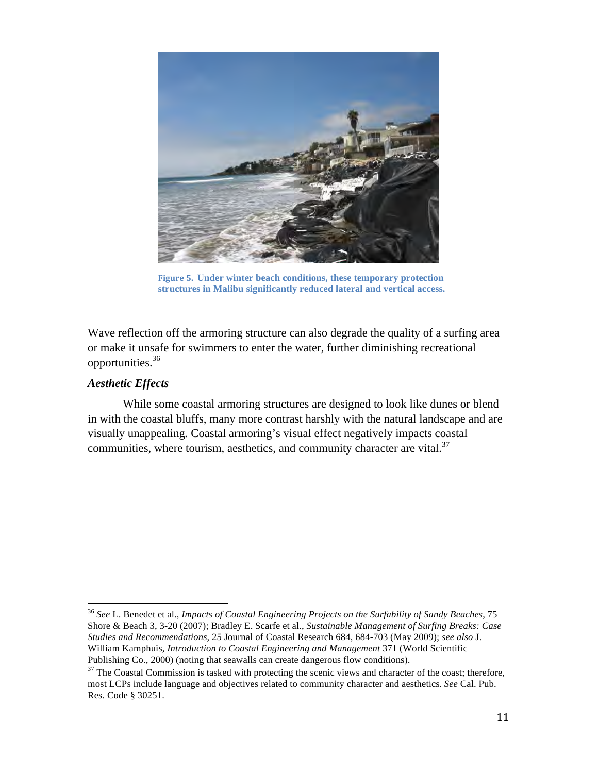

**Figure 5. Under winter beach conditions, these temporary protection structures in Malibu significantly reduced lateral and vertical access.**

Wave reflection off the armoring structure can also degrade the quality of a surfing area or make it unsafe for swimmers to enter the water, further diminishing recreational opportunities.36

# *Aesthetic Effects*

While some coastal armoring structures are designed to look like dunes or blend in with the coastal bluffs, many more contrast harshly with the natural landscape and are visually unappealing*.* Coastal armoring's visual effect negatively impacts coastal communities, where tourism, aesthetics, and community character are vital. $37$ 

<sup>36</sup> *See* L. Benedet et al., *Impacts of Coastal Engineering Projects on the Surfability of Sandy Beaches*, 75 Shore & Beach 3, 3-20 (2007); Bradley E. Scarfe et al., *Sustainable Management of Surfing Breaks: Case Studies and Recommendations,* 25 Journal of Coastal Research 684, 684-703 (May 2009); *see also* J. William Kamphuis, *Introduction to Coastal Engineering and Management* 371 (World Scientific Publishing Co., 2000) (noting that seawalls can create dangerous flow conditions).

 $37$  The Coastal Commission is tasked with protecting the scenic views and character of the coast; therefore, most LCPs include language and objectives related to community character and aesthetics. *See* Cal. Pub. Res. Code § 30251.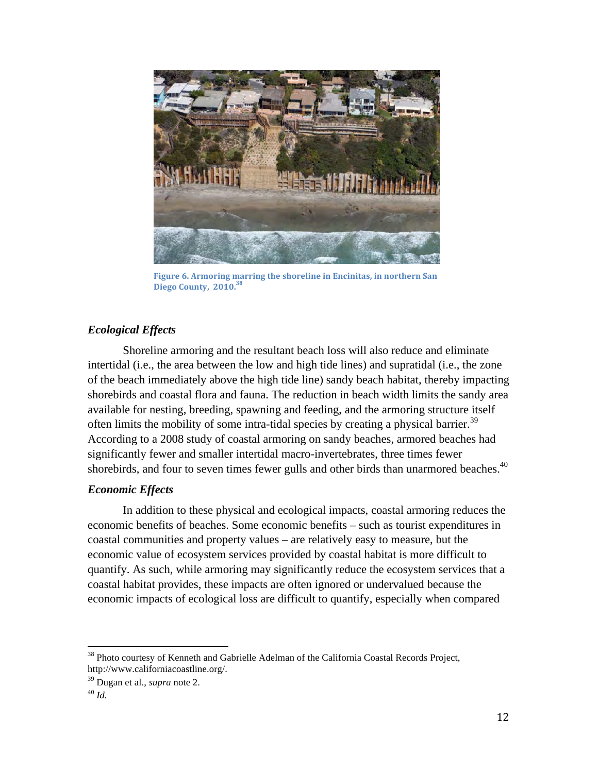

**Figure 6.** Armoring marring the shoreline in Encinitas, in northern San **Diego County, 2010. 38**

# *Ecological Effects*

Shoreline armoring and the resultant beach loss will also reduce and eliminate intertidal (i.e., the area between the low and high tide lines) and supratidal (i.e., the zone of the beach immediately above the high tide line) sandy beach habitat, thereby impacting shorebirds and coastal flora and fauna. The reduction in beach width limits the sandy area available for nesting, breeding, spawning and feeding, and the armoring structure itself often limits the mobility of some intra-tidal species by creating a physical barrier.<sup>39</sup> According to a 2008 study of coastal armoring on sandy beaches, armored beaches had significantly fewer and smaller intertidal macro-invertebrates, three times fewer shorebirds, and four to seven times fewer gulls and other birds than unarmored beaches.<sup>40</sup>

# *Economic Effects*

In addition to these physical and ecological impacts, coastal armoring reduces the economic benefits of beaches. Some economic benefits – such as tourist expenditures in coastal communities and property values – are relatively easy to measure, but the economic value of ecosystem services provided by coastal habitat is more difficult to quantify. As such, while armoring may significantly reduce the ecosystem services that a coastal habitat provides, these impacts are often ignored or undervalued because the economic impacts of ecological loss are difficult to quantify, especially when compared

<sup>&</sup>lt;sup>38</sup> Photo courtesy of Kenneth and Gabrielle Adelman of the California Coastal Records Project, http://www.californiacoastline.org/.

<sup>39</sup> Dugan et al., *supra* note 2. 40 *Id.*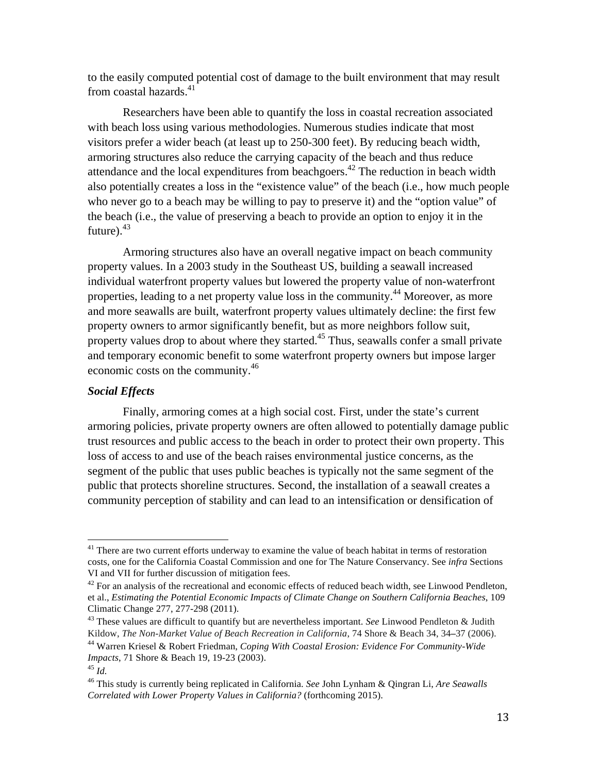to the easily computed potential cost of damage to the built environment that may result from coastal hazards. $41$ 

Researchers have been able to quantify the loss in coastal recreation associated with beach loss using various methodologies. Numerous studies indicate that most visitors prefer a wider beach (at least up to 250-300 feet). By reducing beach width, armoring structures also reduce the carrying capacity of the beach and thus reduce attendance and the local expenditures from beachgoers.<sup>42</sup> The reduction in beach width also potentially creates a loss in the "existence value" of the beach (i.e., how much people who never go to a beach may be willing to pay to preserve it) and the "option value" of the beach (i.e., the value of preserving a beach to provide an option to enjoy it in the future). $43$ 

Armoring structures also have an overall negative impact on beach community property values. In a 2003 study in the Southeast US, building a seawall increased individual waterfront property values but lowered the property value of non-waterfront properties, leading to a net property value loss in the community.<sup>44</sup> Moreover, as more and more seawalls are built, waterfront property values ultimately decline: the first few property owners to armor significantly benefit, but as more neighbors follow suit, property values drop to about where they started.45 Thus, seawalls confer a small private and temporary economic benefit to some waterfront property owners but impose larger economic costs on the community.<sup>46</sup>

#### *Social Effects*

Finally, armoring comes at a high social cost. First, under the state's current armoring policies, private property owners are often allowed to potentially damage public trust resources and public access to the beach in order to protect their own property. This loss of access to and use of the beach raises environmental justice concerns, as the segment of the public that uses public beaches is typically not the same segment of the public that protects shoreline structures. Second, the installation of a seawall creates a community perception of stability and can lead to an intensification or densification of

<sup>&</sup>lt;sup>41</sup> There are two current efforts underway to examine the value of beach habitat in terms of restoration costs, one for the California Coastal Commission and one for The Nature Conservancy. See *infra* Sections VI and VII for further discussion of mitigation fees.

 $^{42}$  For an analysis of the recreational and economic effects of reduced beach width, see Linwood Pendleton, et al., *Estimating the Potential Economic Impacts of Climate Change on Southern California Beaches*, 109 Climatic Change 277, 277-298 (2011).

<sup>43</sup> These values are difficult to quantify but are nevertheless important. *See* Linwood Pendleton & Judith Kildow, *The Non-Market Value of Beach Recreation in California*, 74 Shore & Beach 34, 34**–**37 (2006).

<sup>44</sup> Warren Kriesel & Robert Friedman, *Coping With Coastal Erosion: Evidence For Community-Wide Impacts*, 71 Shore & Beach 19, 19-23 (2003).

<sup>45</sup> *Id.*

<sup>46</sup> This study is currently being replicated in California. *See* John Lynham & Qingran Li, *Are Seawalls Correlated with Lower Property Values in California?* (forthcoming 2015).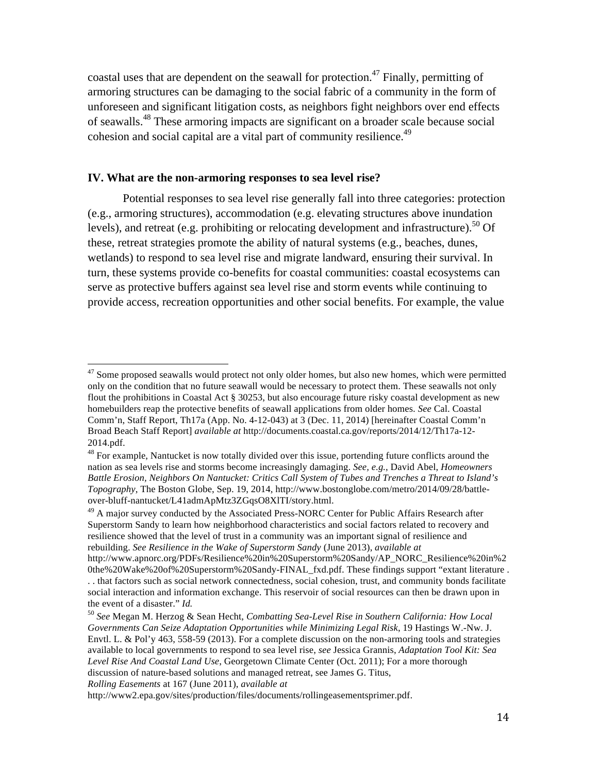coastal uses that are dependent on the seawall for protection.<sup>47</sup> Finally, permitting of armoring structures can be damaging to the social fabric of a community in the form of unforeseen and significant litigation costs, as neighbors fight neighbors over end effects of seawalls.<sup>48</sup> These armoring impacts are significant on a broader scale because social cohesion and social capital are a vital part of community resilience.<sup>49</sup>

#### **IV. What are the non-armoring responses to sea level rise?**

Potential responses to sea level rise generally fall into three categories: protection (e.g., armoring structures), accommodation (e.g. elevating structures above inundation levels), and retreat (e.g. prohibiting or relocating development and infrastructure).<sup>50</sup> Of these, retreat strategies promote the ability of natural systems (e.g., beaches, dunes, wetlands) to respond to sea level rise and migrate landward, ensuring their survival. In turn, these systems provide co-benefits for coastal communities: coastal ecosystems can serve as protective buffers against sea level rise and storm events while continuing to provide access, recreation opportunities and other social benefits. For example, the value

*Rolling Easements* at 167 (June 2011), *available at*

 $47$  Some proposed seawalls would protect not only older homes, but also new homes, which were permitted only on the condition that no future seawall would be necessary to protect them. These seawalls not only flout the prohibitions in Coastal Act § 30253, but also encourage future risky coastal development as new homebuilders reap the protective benefits of seawall applications from older homes. *See* Cal. Coastal Comm'n, Staff Report, Th17a (App. No. 4-12-043) at 3 (Dec. 11, 2014) [hereinafter Coastal Comm'n Broad Beach Staff Report] *available at* http://documents.coastal.ca.gov/reports/2014/12/Th17a-12- 2014.pdf.

<sup>&</sup>lt;sup>48</sup> For example, Nantucket is now totally divided over this issue, portending future conflicts around the nation as sea levels rise and storms become increasingly damaging. *See, e.g.*, David Abel, *Homeowners Battle Erosion, Neighbors On Nantucket: Critics Call System of Tubes and Trenches a Threat to Island's Topography*, The Boston Globe, Sep. 19, 2014, http://www.bostonglobe.com/metro/2014/09/28/battleover-bluff-nantucket/L41admApMtz3ZGqsO8XlTI/story.html.

 $49$  A major survey conducted by the Associated Press-NORC Center for Public Affairs Research after Superstorm Sandy to learn how neighborhood characteristics and social factors related to recovery and resilience showed that the level of trust in a community was an important signal of resilience and rebuilding. *See Resilience in the Wake of Superstorm Sandy* (June 2013), *available at* 

http://www.apnorc.org/PDFs/Resilience%20in%20Superstorm%20Sandy/AP\_NORC\_Resilience%20in%2 0the%20Wake%20of%20Superstorm%20Sandy-FINAL\_fxd.pdf. These findings support "extant literature . . . that factors such as social network connectedness, social cohesion, trust, and community bonds facilitate social interaction and information exchange. This reservoir of social resources can then be drawn upon in the event of a disaster." *Id.*

<sup>50</sup> *See* Megan M. Herzog & Sean Hecht, *Combatting Sea-Level Rise in Southern California: How Local Governments Can Seize Adaptation Opportunities while Minimizing Legal Risk*, 19 Hastings W.-Nw. J. Envtl. L. & Pol'y 463, 558-59 (2013). For a complete discussion on the non-armoring tools and strategies available to local governments to respond to sea level rise, *see* Jessica Grannis, *Adaptation Tool Kit: Sea Level Rise And Coastal Land Use*, Georgetown Climate Center (Oct. 2011); For a more thorough discussion of nature-based solutions and managed retreat, see James G. Titus,

http://www2.epa.gov/sites/production/files/documents/rollingeasementsprimer.pdf.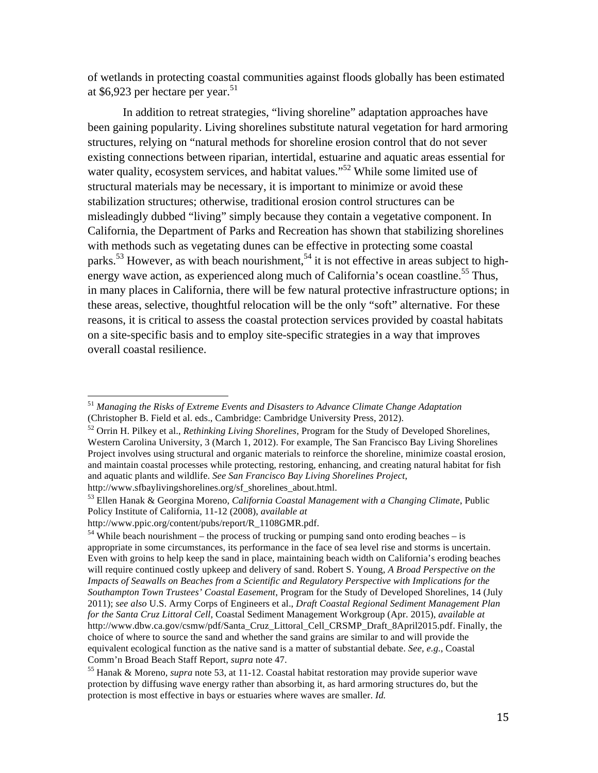of wetlands in protecting coastal communities against floods globally has been estimated at  $$6,923$  per hectare per year.<sup>51</sup>

In addition to retreat strategies, "living shoreline" adaptation approaches have been gaining popularity. Living shorelines substitute natural vegetation for hard armoring structures, relying on "natural methods for shoreline erosion control that do not sever existing connections between riparian, intertidal, estuarine and aquatic areas essential for water quality, ecosystem services, and habitat values."<sup>52</sup> While some limited use of structural materials may be necessary, it is important to minimize or avoid these stabilization structures; otherwise, traditional erosion control structures can be misleadingly dubbed "living" simply because they contain a vegetative component. In California, the Department of Parks and Recreation has shown that stabilizing shorelines with methods such as vegetating dunes can be effective in protecting some coastal parks.<sup>53</sup> However, as with beach nourishment,<sup>54</sup> it is not effective in areas subject to highenergy wave action, as experienced along much of California's ocean coastline.<sup>55</sup> Thus, in many places in California, there will be few natural protective infrastructure options; in these areas, selective, thoughtful relocation will be the only "soft" alternative. For these reasons, it is critical to assess the coastal protection services provided by coastal habitats on a site-specific basis and to employ site-specific strategies in a way that improves overall coastal resilience.

<sup>51</sup> *Managing the Risks of Extreme Events and Disasters to Advance Climate Change Adaptation* (Christopher B. Field et al. eds., Cambridge: Cambridge University Press, 2012).

<sup>52</sup> Orrin H. Pilkey et al., *Rethinking Living Shorelines*, Program for the Study of Developed Shorelines, Western Carolina University, 3 (March 1, 2012). For example, The San Francisco Bay Living Shorelines Project involves using structural and organic materials to reinforce the shoreline, minimize coastal erosion, and maintain coastal processes while protecting, restoring, enhancing, and creating natural habitat for fish and aquatic plants and wildlife. *See San Francisco Bay Living Shorelines Project*,

http://www.sfbaylivingshorelines.org/sf\_shorelines\_about.html. 53 Ellen Hanak & Georgina Moreno, *California Coastal Management with a Changing Climate*, Public Policy Institute of California, 11-12 (2008), *available at* 

http://www.ppic.org/content/pubs/report/R\_1108GMR.pdf.

<sup>&</sup>lt;sup>54</sup> While beach nourishment – the process of trucking or pumping sand onto eroding beaches – is appropriate in some circumstances, its performance in the face of sea level rise and storms is uncertain. Even with groins to help keep the sand in place, maintaining beach width on California's eroding beaches will require continued costly upkeep and delivery of sand. Robert S. Young, *A Broad Perspective on the Impacts of Seawalls on Beaches from a Scientific and Regulatory Perspective with Implications for the Southampton Town Trustees' Coastal Easement*, Program for the Study of Developed Shorelines, 14 (July 2011); *see also* U.S. Army Corps of Engineers et al., *Draft Coastal Regional Sediment Management Plan for the Santa Cruz Littoral Cell*, Coastal Sediment Management Workgroup (Apr. 2015), *available at* http://www.dbw.ca.gov/csmw/pdf/Santa\_Cruz\_Littoral\_Cell\_CRSMP\_Draft\_8April2015.pdf. Finally, the choice of where to source the sand and whether the sand grains are similar to and will provide the equivalent ecological function as the native sand is a matter of substantial debate. *See, e.g.*, Coastal Comm'n Broad Beach Staff Report, *supra* note 47.<br><sup>55</sup> Hanak & Moreno, *supra* note 53, at 11-12. Coastal habitat restoration may provide superior wave

protection by diffusing wave energy rather than absorbing it, as hard armoring structures do, but the protection is most effective in bays or estuaries where waves are smaller. *Id.*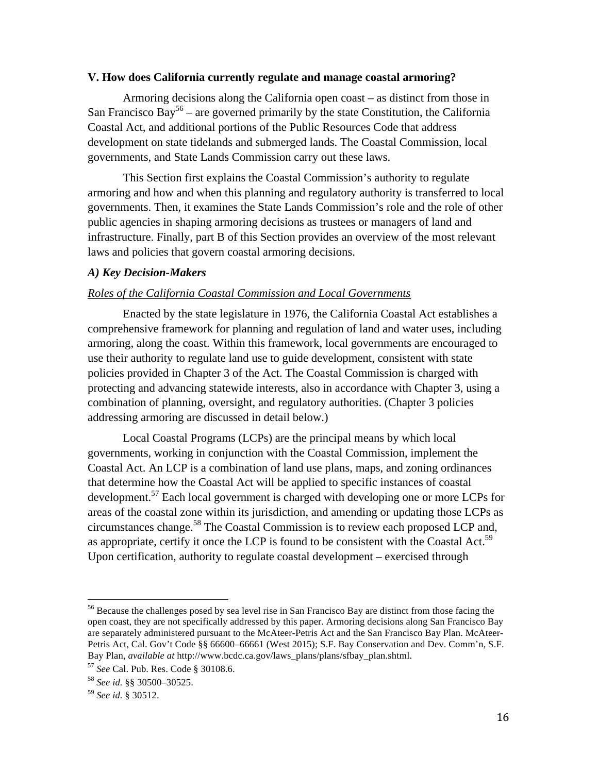#### **V. How does California currently regulate and manage coastal armoring?**

Armoring decisions along the California open coast – as distinct from those in San Francisco Bay<sup>56</sup> – are governed primarily by the state Constitution, the California Coastal Act, and additional portions of the Public Resources Code that address development on state tidelands and submerged lands. The Coastal Commission, local governments, and State Lands Commission carry out these laws.

This Section first explains the Coastal Commission's authority to regulate armoring and how and when this planning and regulatory authority is transferred to local governments. Then, it examines the State Lands Commission's role and the role of other public agencies in shaping armoring decisions as trustees or managers of land and infrastructure. Finally, part B of this Section provides an overview of the most relevant laws and policies that govern coastal armoring decisions.

#### *A) Key Decision-Makers*

#### *Roles of the California Coastal Commission and Local Governments*

Enacted by the state legislature in 1976, the California Coastal Act establishes a comprehensive framework for planning and regulation of land and water uses, including armoring, along the coast. Within this framework, local governments are encouraged to use their authority to regulate land use to guide development, consistent with state policies provided in Chapter 3 of the Act. The Coastal Commission is charged with protecting and advancing statewide interests, also in accordance with Chapter 3, using a combination of planning, oversight, and regulatory authorities. (Chapter 3 policies addressing armoring are discussed in detail below.)

Local Coastal Programs (LCPs) are the principal means by which local governments, working in conjunction with the Coastal Commission, implement the Coastal Act. An LCP is a combination of land use plans, maps, and zoning ordinances that determine how the Coastal Act will be applied to specific instances of coastal development.<sup>57</sup> Each local government is charged with developing one or more LCPs for areas of the coastal zone within its jurisdiction, and amending or updating those LCPs as circumstances change.58 The Coastal Commission is to review each proposed LCP and, as appropriate, certify it once the LCP is found to be consistent with the Coastal Act.<sup>59</sup> Upon certification, authority to regulate coastal development – exercised through

<sup>56</sup> Because the challenges posed by sea level rise in San Francisco Bay are distinct from those facing the open coast, they are not specifically addressed by this paper. Armoring decisions along San Francisco Bay are separately administered pursuant to the McAteer-Petris Act and the San Francisco Bay Plan. McAteer-Petris Act, Cal. Gov't Code §§ 66600–66661 (West 2015); S.F. Bay Conservation and Dev. Comm'n, S.F. Bay Plan, *available at* http://www.bcdc.ca.gov/laws\_plans/plans/sfbay\_plan.shtml. 57 *See* Cal. Pub. Res. Code § 30108.6.

<sup>58</sup> *See id.* §§ 30500–30525.

<sup>59</sup> *See id.* § 30512.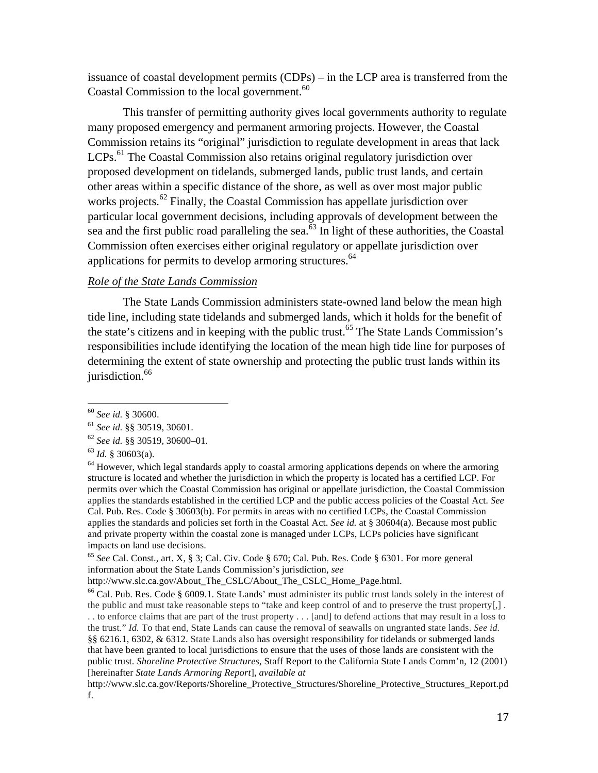issuance of coastal development permits (CDPs) – in the LCP area is transferred from the Coastal Commission to the local government.<sup>60</sup>

This transfer of permitting authority gives local governments authority to regulate many proposed emergency and permanent armoring projects. However, the Coastal Commission retains its "original" jurisdiction to regulate development in areas that lack LCPs.<sup>61</sup> The Coastal Commission also retains original regulatory jurisdiction over proposed development on tidelands, submerged lands, public trust lands, and certain other areas within a specific distance of the shore, as well as over most major public works projects.<sup>62</sup> Finally, the Coastal Commission has appellate jurisdiction over particular local government decisions, including approvals of development between the sea and the first public road paralleling the sea.<sup>63</sup> In light of these authorities, the Coastal Commission often exercises either original regulatory or appellate jurisdiction over applications for permits to develop armoring structures.<sup>64</sup>

#### *Role of the State Lands Commission*

The State Lands Commission administers state-owned land below the mean high tide line, including state tidelands and submerged lands, which it holds for the benefit of the state's citizens and in keeping with the public trust.<sup>65</sup> The State Lands Commission's responsibilities include identifying the location of the mean high tide line for purposes of determining the extent of state ownership and protecting the public trust lands within its jurisdiction.<sup>66</sup>

<sup>60</sup> *See id.* § 30600.

<sup>61</sup> *See id.* §§ 30519, 30601.

<sup>62</sup> *See id.* §§ 30519, 30600–01. 63 *Id.* § 30603(a).

 $64$  However, which legal standards apply to coastal armoring applications depends on where the armoring structure is located and whether the jurisdiction in which the property is located has a certified LCP. For permits over which the Coastal Commission has original or appellate jurisdiction, the Coastal Commission applies the standards established in the certified LCP and the public access policies of the Coastal Act. *See* Cal. Pub. Res. Code § 30603(b). For permits in areas with no certified LCPs, the Coastal Commission applies the standards and policies set forth in the Coastal Act. *See id.* at § 30604(a). Because most public and private property within the coastal zone is managed under LCPs, LCPs policies have significant impacts on land use decisions.

<sup>65</sup> *See* Cal. Const., art. X, § 3; Cal. Civ. Code § 670; Cal. Pub. Res. Code § 6301. For more general information about the State Lands Commission's jurisdiction, *see*

http://www.slc.ca.gov/About\_The\_CSLC/About\_The\_CSLC\_Home\_Page.html.

<sup>66</sup> Cal. Pub. Res. Code § 6009.1. State Lands' must administer its public trust lands solely in the interest of the public and must take reasonable steps to "take and keep control of and to preserve the trust property[,] . . . to enforce claims that are part of the trust property . . . [and] to defend actions that may result in a loss to the trust." *Id.* To that end, State Lands can cause the removal of seawalls on ungranted state lands. *See id.* §§ 6216.1, 6302, & 6312. State Lands also has oversight responsibility for tidelands or submerged lands that have been granted to local jurisdictions to ensure that the uses of those lands are consistent with the public trust. *Shoreline Protective Structures*, Staff Report to the California State Lands Comm'n, 12 (2001) [hereinafter *State Lands Armoring Report*], *available at*

http://www.slc.ca.gov/Reports/Shoreline\_Protective\_Structures/Shoreline\_Protective\_Structures\_Report.pd f.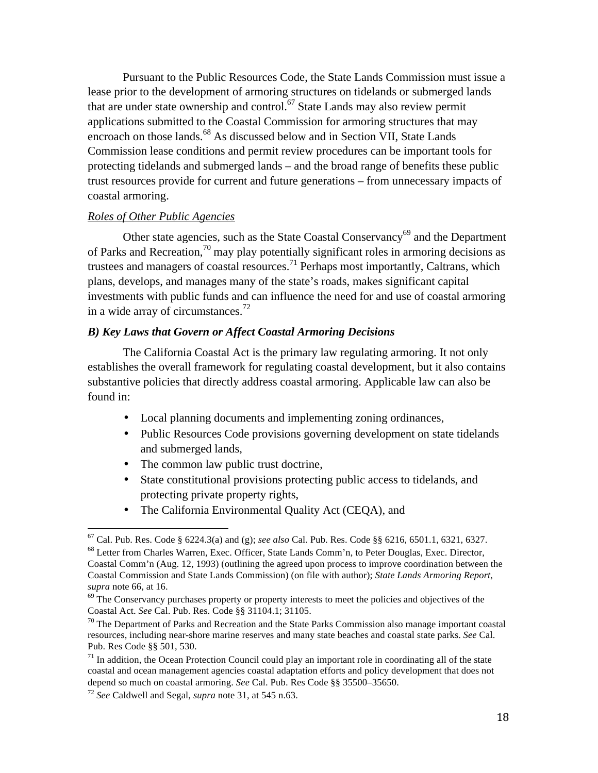Pursuant to the Public Resources Code, the State Lands Commission must issue a lease prior to the development of armoring structures on tidelands or submerged lands that are under state ownership and control.<sup>67</sup> State Lands may also review permit applications submitted to the Coastal Commission for armoring structures that may encroach on those lands.<sup>68</sup> As discussed below and in Section VII, State Lands Commission lease conditions and permit review procedures can be important tools for protecting tidelands and submerged lands – and the broad range of benefits these public trust resources provide for current and future generations – from unnecessary impacts of coastal armoring.

#### *Roles of Other Public Agencies*

Other state agencies, such as the State Coastal Conservancy<sup>69</sup> and the Department of Parks and Recreation,<sup>70</sup> may play potentially significant roles in armoring decisions as trustees and managers of coastal resources.<sup>71</sup> Perhaps most importantly, Caltrans, which plans, develops, and manages many of the state's roads, makes significant capital investments with public funds and can influence the need for and use of coastal armoring in a wide array of circumstances.<sup>72</sup>

### *B) Key Laws that Govern or Affect Coastal Armoring Decisions*

The California Coastal Act is the primary law regulating armoring. It not only establishes the overall framework for regulating coastal development, but it also contains substantive policies that directly address coastal armoring. Applicable law can also be found in:

- Local planning documents and implementing zoning ordinances,
- Public Resources Code provisions governing development on state tidelands and submerged lands,
- The common law public trust doctrine,
- State constitutional provisions protecting public access to tidelands, and protecting private property rights,
- The California Environmental Quality Act (CEQA), and

<sup>&</sup>lt;sup>67</sup> Cal. Pub. Res. Code § 6224.3(a) and (g); *see also* Cal. Pub. Res. Code §§ 6216, 6501.1, 6321, 6327. <sup>68</sup> Letter from Charles Warren, Exec. Officer, State Lands Comm'n, to Peter Douglas, Exec. Director,

Coastal Comm'n (Aug. 12, 1993) (outlining the agreed upon process to improve coordination between the Coastal Commission and State Lands Commission) (on file with author); *State Lands Armoring Report*, *supra* note 66, at 16.

 $69$  The Conservancy purchases property or property interests to meet the policies and objectives of the Coastal Act. *See* Cal. Pub. Res. Code §§ 31104.1; 31105.

 $70$  The Department of Parks and Recreation and the State Parks Commission also manage important coastal resources, including near-shore marine reserves and many state beaches and coastal state parks. *See* Cal. Pub. Res Code §§ 501, 530.

 $<sup>71</sup>$  In addition, the Ocean Protection Council could play an important role in coordinating all of the state</sup> coastal and ocean management agencies coastal adaptation efforts and policy development that does not depend so much on coastal armoring. *See* Cal. Pub. Res Code §§ 35500–35650.

<sup>72</sup> *See* Caldwell and Segal, *supra* note 31, at 545 n.63.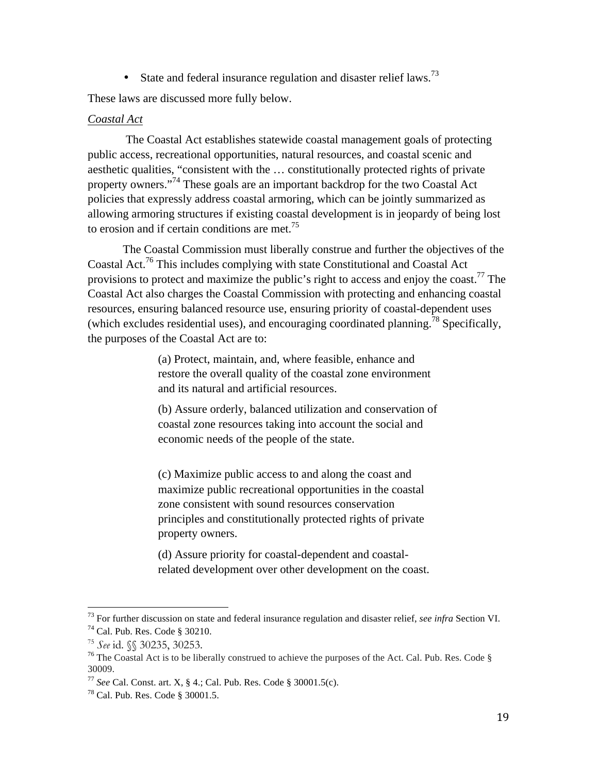• State and federal insurance regulation and disaster relief laws.<sup>73</sup>

These laws are discussed more fully below.

#### *Coastal Act*

 The Coastal Act establishes statewide coastal management goals of protecting public access, recreational opportunities, natural resources, and coastal scenic and aesthetic qualities, "consistent with the … constitutionally protected rights of private property owners."<sup>74</sup> These goals are an important backdrop for the two Coastal Act policies that expressly address coastal armoring, which can be jointly summarized as allowing armoring structures if existing coastal development is in jeopardy of being lost to erosion and if certain conditions are met.<sup>75</sup>

The Coastal Commission must liberally construe and further the objectives of the Coastal Act.<sup>76</sup> This includes complying with state Constitutional and Coastal Act provisions to protect and maximize the public's right to access and enjoy the coast.<sup>77</sup> The Coastal Act also charges the Coastal Commission with protecting and enhancing coastal resources, ensuring balanced resource use, ensuring priority of coastal-dependent uses (which excludes residential uses), and encouraging coordinated planning.<sup>78</sup> Specifically, the purposes of the Coastal Act are to:

> (a) Protect, maintain, and, where feasible, enhance and restore the overall quality of the coastal zone environment and its natural and artificial resources.

(b) Assure orderly, balanced utilization and conservation of coastal zone resources taking into account the social and economic needs of the people of the state.

(c) Maximize public access to and along the coast and maximize public recreational opportunities in the coastal zone consistent with sound resources conservation principles and constitutionally protected rights of private property owners.

(d) Assure priority for coastal-dependent and coastalrelated development over other development on the coast.

<sup>73</sup> For further discussion on state and federal insurance regulation and disaster relief, *see infra* Section VI.

<sup>74</sup> Cal. Pub. Res. Code § 30210.

<sup>&</sup>lt;sup>75</sup> See id. §§ 30235, 30253.<br><sup>76</sup> The Coastal Act is to be liberally construed to achieve the purposes of the Act. Cal. Pub. Res. Code § 30009.

<sup>77</sup> *See* Cal. Const. art. X, § 4.; Cal. Pub. Res. Code § 30001.5(c). 78 Cal. Pub. Res. Code § 30001.5.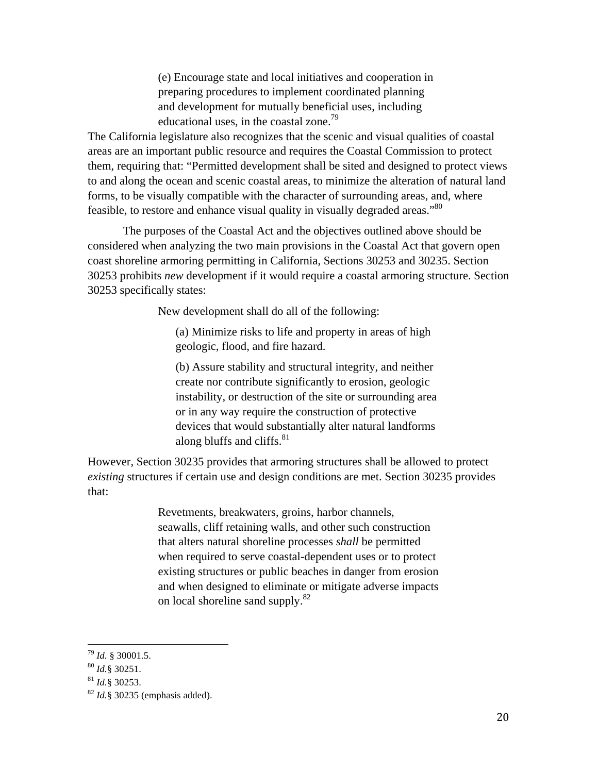(e) Encourage state and local initiatives and cooperation in preparing procedures to implement coordinated planning and development for mutually beneficial uses, including educational uses, in the coastal zone.<sup>79</sup>

The California legislature also recognizes that the scenic and visual qualities of coastal areas are an important public resource and requires the Coastal Commission to protect them, requiring that: "Permitted development shall be sited and designed to protect views to and along the ocean and scenic coastal areas, to minimize the alteration of natural land forms, to be visually compatible with the character of surrounding areas, and, where feasible, to restore and enhance visual quality in visually degraded areas."80

The purposes of the Coastal Act and the objectives outlined above should be considered when analyzing the two main provisions in the Coastal Act that govern open coast shoreline armoring permitting in California, Sections 30253 and 30235. Section 30253 prohibits *new* development if it would require a coastal armoring structure. Section 30253 specifically states:

New development shall do all of the following:

(a) Minimize risks to life and property in areas of high geologic, flood, and fire hazard.

(b) Assure stability and structural integrity, and neither create nor contribute significantly to erosion, geologic instability, or destruction of the site or surrounding area or in any way require the construction of protective devices that would substantially alter natural landforms along bluffs and cliffs. $81$ 

However, Section 30235 provides that armoring structures shall be allowed to protect *existing* structures if certain use and design conditions are met. Section 30235 provides that:

> Revetments, breakwaters, groins, harbor channels, seawalls, cliff retaining walls, and other such construction that alters natural shoreline processes *shall* be permitted when required to serve coastal-dependent uses or to protect existing structures or public beaches in danger from erosion and when designed to eliminate or mitigate adverse impacts on local shoreline sand supply.<sup>82</sup>

<sup>79</sup> *Id.* § 30001.5. 80 *Id.*§ 30251.

<sup>81</sup> *Id.*§ 30253.

<sup>82</sup> *Id.*§ 30235 (emphasis added).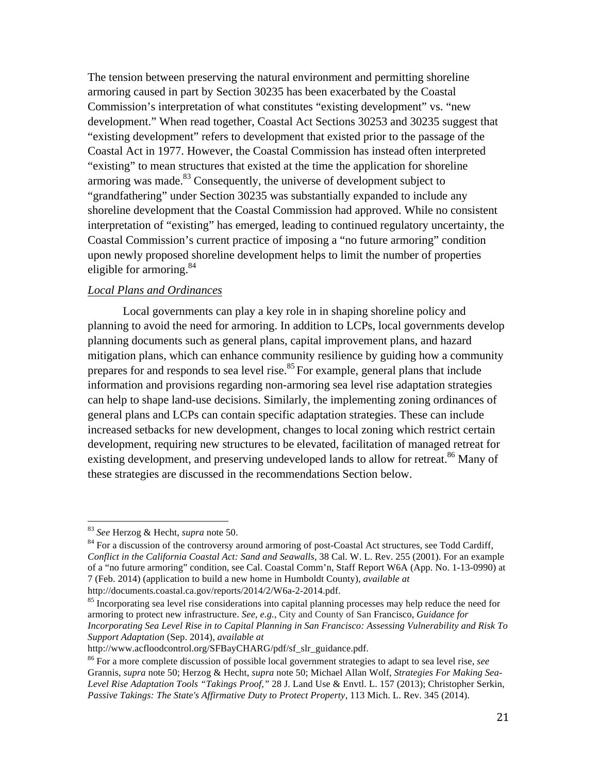The tension between preserving the natural environment and permitting shoreline armoring caused in part by Section 30235 has been exacerbated by the Coastal Commission's interpretation of what constitutes "existing development" vs. "new development." When read together, Coastal Act Sections 30253 and 30235 suggest that "existing development" refers to development that existed prior to the passage of the Coastal Act in 1977. However, the Coastal Commission has instead often interpreted "existing" to mean structures that existed at the time the application for shoreline armoring was made. $83$  Consequently, the universe of development subject to "grandfathering" under Section 30235 was substantially expanded to include any shoreline development that the Coastal Commission had approved. While no consistent interpretation of "existing" has emerged, leading to continued regulatory uncertainty, the Coastal Commission's current practice of imposing a "no future armoring" condition upon newly proposed shoreline development helps to limit the number of properties eligible for armoring.  $84$ 

# *Local Plans and Ordinances*

Local governments can play a key role in in shaping shoreline policy and planning to avoid the need for armoring. In addition to LCPs, local governments develop planning documents such as general plans, capital improvement plans, and hazard mitigation plans, which can enhance community resilience by guiding how a community prepares for and responds to sea level rise.<sup>85</sup> For example, general plans that include information and provisions regarding non-armoring sea level rise adaptation strategies can help to shape land-use decisions. Similarly, the implementing zoning ordinances of general plans and LCPs can contain specific adaptation strategies. These can include increased setbacks for new development, changes to local zoning which restrict certain development, requiring new structures to be elevated, facilitation of managed retreat for existing development, and preserving undeveloped lands to allow for retreat.<sup>86</sup> Many of these strategies are discussed in the recommendations Section below.

<sup>83</sup> *See* Herzog & Hecht, *supra* note 50.

 $84$  For a discussion of the controversy around armoring of post-Coastal Act structures, see Todd Cardiff, *Conflict in the California Coastal Act: Sand and Seawalls,* 38 Cal. W. L. Rev. 255 (2001). For an example of a "no future armoring" condition, see Cal. Coastal Comm'n, Staff Report W6A (App. No. 1-13-0990) at 7 (Feb. 2014) (application to build a new home in Humboldt County), *available at* http://documents.coastal.ca.gov/reports/2014/2/W6a-2-2014.pdf.

<sup>&</sup>lt;sup>85</sup> Incorporating sea level rise considerations into capital planning processes may help reduce the need for armoring to protect new infrastructure. *See, e.g.*, City and County of San Francisco, *Guidance for Incorporating Sea Level Rise in to Capital Planning in San Francisco: Assessing Vulnerability and Risk To Support Adaptation* (Sep. 2014), *available at*

http://www.acfloodcontrol.org/SFBayCHARG/pdf/sf\_slr\_guidance.pdf.

<sup>86</sup> For a more complete discussion of possible local government strategies to adapt to sea level rise, *see* Grannis, *supra* note 50; Herzog & Hecht, *supra* note 50; Michael Allan Wolf, *Strategies For Making Sea-Level Rise Adaptation Tools "Takings Proof,"* 28 J. Land Use & Envtl. L. 157 (2013); Christopher Serkin, *Passive Takings: The State's Affirmative Duty to Protect Property*, 113 Mich. L. Rev. 345 (2014).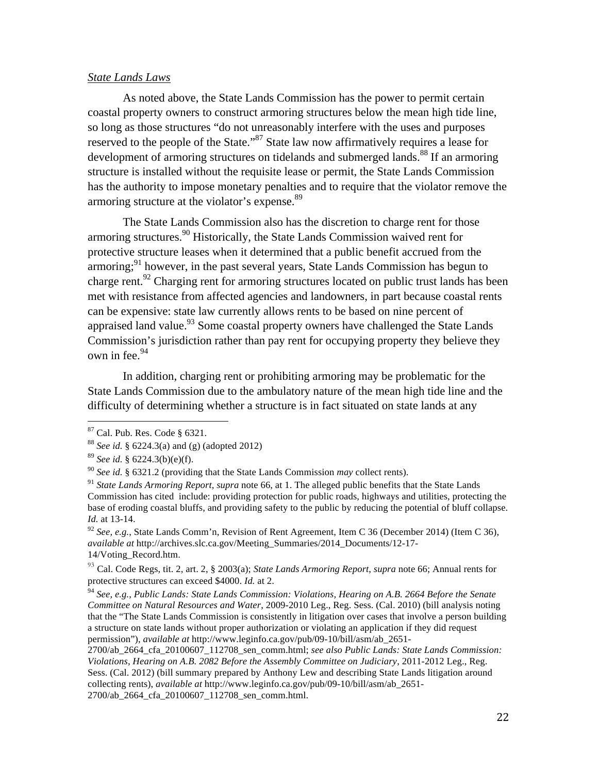#### *State Lands Laws*

As noted above, the State Lands Commission has the power to permit certain coastal property owners to construct armoring structures below the mean high tide line, so long as those structures "do not unreasonably interfere with the uses and purposes reserved to the people of the State."87 State law now affirmatively requires a lease for development of armoring structures on tidelands and submerged lands.<sup>88</sup> If an armoring structure is installed without the requisite lease or permit, the State Lands Commission has the authority to impose monetary penalties and to require that the violator remove the armoring structure at the violator's expense.<sup>89</sup>

The State Lands Commission also has the discretion to charge rent for those armoring structures.<sup>90</sup> Historically, the State Lands Commission waived rent for protective structure leases when it determined that a public benefit accrued from the armoring;  $91$  however, in the past several years, State Lands Commission has begun to charge rent.<sup>92</sup> Charging rent for armoring structures located on public trust lands has been met with resistance from affected agencies and landowners, in part because coastal rents can be expensive: state law currently allows rents to be based on nine percent of appraised land value.<sup>93</sup> Some coastal property owners have challenged the State Lands Commission's jurisdiction rather than pay rent for occupying property they believe they own in fee.<sup>94</sup>

In addition, charging rent or prohibiting armoring may be problematic for the State Lands Commission due to the ambulatory nature of the mean high tide line and the difficulty of determining whether a structure is in fact situated on state lands at any

<sup>87</sup> Cal. Pub. Res. Code § 6321. 88 *See id.* § 6224.3(a) and (g) (adopted 2012)

<sup>89</sup> *See id.* § 6224.3(b)(e)(f).

<sup>90</sup> *See id.* § 6321.2 (providing that the State Lands Commission *may* collect rents).

<sup>91</sup> *State Lands Armoring Report*, *supra* note 66, at 1. The alleged public benefits that the State Lands Commission has cited include: providing protection for public roads, highways and utilities, protecting the base of eroding coastal bluffs, and providing safety to the public by reducing the potential of bluff collapse. *Id.* at 13-14.

<sup>92</sup> *See, e.g.*, State Lands Comm'n, Revision of Rent Agreement, Item C 36 (December 2014) (Item C 36), *available at* http://archives.slc.ca.gov/Meeting\_Summaries/2014\_Documents/12-17- 14/Voting\_Record.htm.

<sup>93</sup> Cal. Code Regs, tit. 2, art. 2, § 2003(a); *State Lands Armoring Report*, *supra* note 66; Annual rents for protective structures can exceed \$4000. *Id.* at 2.

<sup>94</sup> *See, e.g.*, *Public Lands: State Lands Commission: Violations, Hearing on A.B. 2664 Before the Senate Committee on Natural Resources and Water*, 2009-2010 Leg., Reg. Sess. (Cal. 2010) (bill analysis noting that the "The State Lands Commission is consistently in litigation over cases that involve a person building a structure on state lands without proper authorization or violating an application if they did request permission"), *available at* http://www.leginfo.ca.gov/pub/09-10/bill/asm/ab\_2651-

<sup>2700/</sup>ab\_2664\_cfa\_20100607\_112708\_sen\_comm.html; *see also Public Lands: State Lands Commission: Violations, Hearing on A.B. 2082 Before the Assembly Committee on Judiciary*, 2011-2012 Leg., Reg. Sess. (Cal. 2012) (bill summary prepared by Anthony Lew and describing State Lands litigation around collecting rents), *available at* http://www.leginfo.ca.gov/pub/09-10/bill/asm/ab\_2651- 2700/ab\_2664\_cfa\_20100607\_112708\_sen\_comm.html.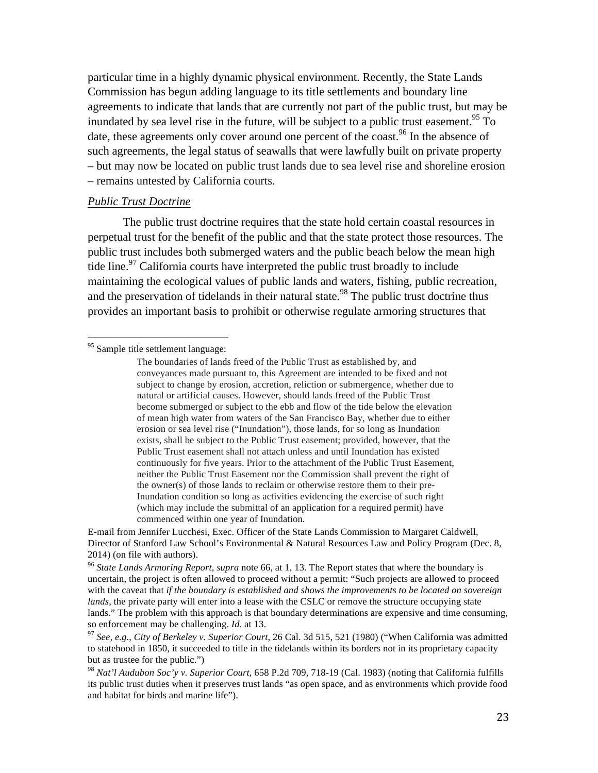particular time in a highly dynamic physical environment. Recently, the State Lands Commission has begun adding language to its title settlements and boundary line agreements to indicate that lands that are currently not part of the public trust, but may be inundated by sea level rise in the future, will be subject to a public trust easement.<sup>95</sup> To date, these agreements only cover around one percent of the coast.<sup>96</sup> In the absence of such agreements, the legal status of seawalls that were lawfully built on private property – but may now be located on public trust lands due to sea level rise and shoreline erosion – remains untested by California courts.

#### *Public Trust Doctrine*

The public trust doctrine requires that the state hold certain coastal resources in perpetual trust for the benefit of the public and that the state protect those resources. The public trust includes both submerged waters and the public beach below the mean high tide line.<sup>97</sup> California courts have interpreted the public trust broadly to include maintaining the ecological values of public lands and waters, fishing, public recreation, and the preservation of tidelands in their natural state.<sup>98</sup> The public trust doctrine thus provides an important basis to prohibit or otherwise regulate armoring structures that

E-mail from Jennifer Lucchesi, Exec. Officer of the State Lands Commission to Margaret Caldwell, Director of Stanford Law School's Environmental & Natural Resources Law and Policy Program (Dec. 8, 2014) (on file with authors). 96 *State Lands Armoring Report*, *supra* note 66, at 1, 13. The Report states that where the boundary is

uncertain, the project is often allowed to proceed without a permit: "Such projects are allowed to proceed with the caveat that *if the boundary is established and shows the improvements to be located on sovereign lands*, the private party will enter into a lease with the CSLC or remove the structure occupying state lands." The problem with this approach is that boundary determinations are expensive and time consuming, so enforcement may be challenging. *Id.* at 13.

<sup>&</sup>lt;sup>95</sup> Sample title settlement language:

The boundaries of lands freed of the Public Trust as established by, and conveyances made pursuant to, this Agreement are intended to be fixed and not subject to change by erosion, accretion, reliction or submergence, whether due to natural or artificial causes. However, should lands freed of the Public Trust become submerged or subject to the ebb and flow of the tide below the elevation of mean high water from waters of the San Francisco Bay, whether due to either erosion or sea level rise ("Inundation"), those lands, for so long as Inundation exists, shall be subject to the Public Trust easement; provided, however, that the Public Trust easement shall not attach unless and until Inundation has existed continuously for five years. Prior to the attachment of the Public Trust Easement, neither the Public Trust Easement nor the Commission shall prevent the right of the owner(s) of those lands to reclaim or otherwise restore them to their pre-Inundation condition so long as activities evidencing the exercise of such right (which may include the submittal of an application for a required permit) have commenced within one year of Inundation.

<sup>97</sup> *See, e.g.*, *City of Berkeley v. Superior Court*, 26 Cal. 3d 515, 521 (1980) ("When California was admitted to statehood in 1850, it succeeded to title in the tidelands within its borders not in its proprietary capacity but as trustee for the public.")

<sup>98</sup> *Nat'l Audubon Soc'y v. Superior Court*, 658 P.2d 709, 718-19 (Cal. 1983) (noting that California fulfills its public trust duties when it preserves trust lands "as open space, and as environments which provide food and habitat for birds and marine life").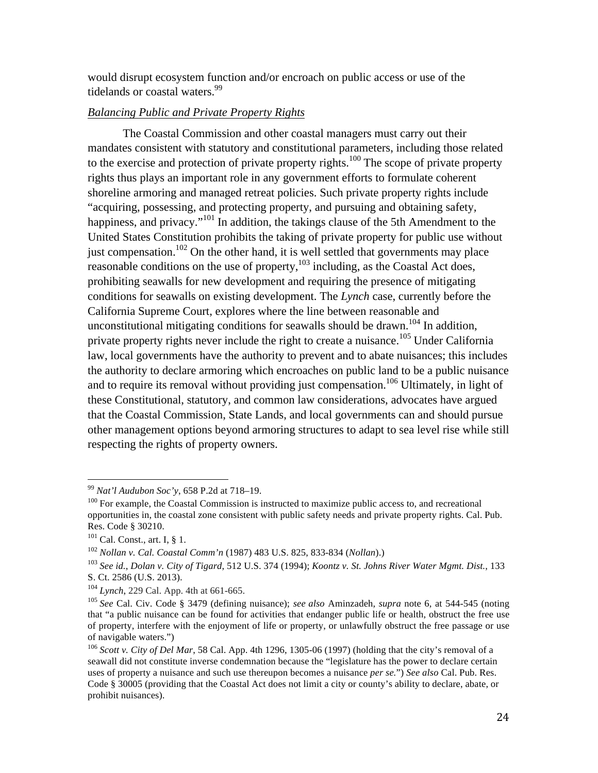would disrupt ecosystem function and/or encroach on public access or use of the tidelands or coastal waters.<sup>99</sup>

# *Balancing Public and Private Property Rights*

The Coastal Commission and other coastal managers must carry out their mandates consistent with statutory and constitutional parameters, including those related to the exercise and protection of private property rights.<sup>100</sup> The scope of private property rights thus plays an important role in any government efforts to formulate coherent shoreline armoring and managed retreat policies. Such private property rights include "acquiring, possessing, and protecting property, and pursuing and obtaining safety*,*  happiness, and privacy."<sup>101</sup> In addition, the takings clause of the 5th Amendment to the United States Constitution prohibits the taking of private property for public use without just compensation.<sup>102</sup> On the other hand, it is well settled that governments may place reasonable conditions on the use of property,  $103$  including, as the Coastal Act does, prohibiting seawalls for new development and requiring the presence of mitigating conditions for seawalls on existing development. The *Lynch* case, currently before the California Supreme Court, explores where the line between reasonable and unconstitutional mitigating conditions for seawalls should be drawn.<sup>104</sup> In addition, private property rights never include the right to create a nuisance.<sup>105</sup> Under California law, local governments have the authority to prevent and to abate nuisances; this includes the authority to declare armoring which encroaches on public land to be a public nuisance and to require its removal without providing just compensation.<sup>106</sup> Ultimately, in light of these Constitutional, statutory, and common law considerations, advocates have argued that the Coastal Commission, State Lands, and local governments can and should pursue other management options beyond armoring structures to adapt to sea level rise while still respecting the rights of property owners.

<sup>&</sup>lt;sup>99</sup> *Nat'l Audubon Soc'y*, 658 P.2d at 718–19.<br><sup>100</sup> For example, the Coastal Commission is instructed to maximize public access to, and recreational opportunities in, the coastal zone consistent with public safety needs and private property rights. Cal. Pub. Res. Code § 30210.

 $101$  Cal. Const., art. I, § 1.

<sup>102</sup> *Nollan v. Cal. Coastal Comm'n* (1987) 483 U.S. 825, 833-834 (*Nollan*).)

<sup>103</sup> *See id.*, *Dolan v. City of Tigard*, 512 U.S. 374 (1994); *Koontz v. St. Johns River Water Mgmt. Dist.*, 133 S. Ct. 2586 (U.S. 2013).

<sup>104</sup> *Lynch*, 229 Cal. App. 4th at 661-665.

<sup>105</sup> *See* Cal. Civ. Code § 3479 (defining nuisance); *see also* Aminzadeh, *supra* note 6, at 544-545 (noting that "a public nuisance can be found for activities that endanger public life or health, obstruct the free use of property, interfere with the enjoyment of life or property, or unlawfully obstruct the free passage or use of navigable waters.")

<sup>106</sup> *Scott v. City of Del Mar*, 58 Cal. App. 4th 1296, 1305-06 (1997) (holding that the city's removal of a seawall did not constitute inverse condemnation because the "legislature has the power to declare certain uses of property a nuisance and such use thereupon becomes a nuisance *per se.*") *See also* Cal. Pub. Res. Code § 30005 (providing that the Coastal Act does not limit a city or county's ability to declare, abate, or prohibit nuisances).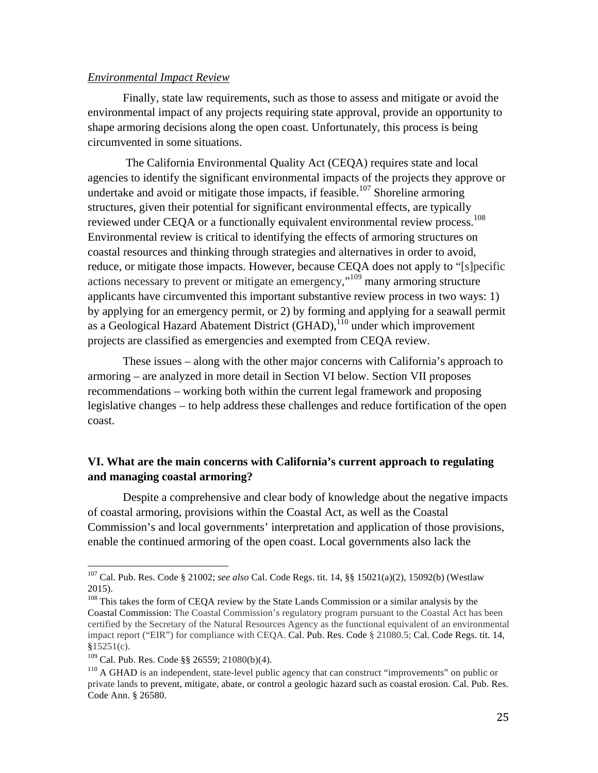#### *Environmental Impact Review*

Finally, state law requirements, such as those to assess and mitigate or avoid the environmental impact of any projects requiring state approval, provide an opportunity to shape armoring decisions along the open coast. Unfortunately, this process is being circumvented in some situations.

The California Environmental Quality Act (CEQA) requires state and local agencies to identify the significant environmental impacts of the projects they approve or undertake and avoid or mitigate those impacts, if feasible.<sup>107</sup> Shoreline armoring structures, given their potential for significant environmental effects, are typically reviewed under CEQA or a functionally equivalent environmental review process.<sup>108</sup> Environmental review is critical to identifying the effects of armoring structures on coastal resources and thinking through strategies and alternatives in order to avoid, reduce, or mitigate those impacts. However, because CEQA does not apply to "[s]pecific actions necessary to prevent or mitigate an emergency,"<sup>109</sup> many armoring structure applicants have circumvented this important substantive review process in two ways: 1) by applying for an emergency permit, or 2) by forming and applying for a seawall permit as a Geological Hazard Abatement District (GHAD),<sup>110</sup> under which improvement projects are classified as emergencies and exempted from CEQA review.

These issues – along with the other major concerns with California's approach to armoring – are analyzed in more detail in Section VI below. Section VII proposes recommendations – working both within the current legal framework and proposing legislative changes – to help address these challenges and reduce fortification of the open coast.

# **VI. What are the main concerns with California's current approach to regulating and managing coastal armoring?**

Despite a comprehensive and clear body of knowledge about the negative impacts of coastal armoring, provisions within the Coastal Act, as well as the Coastal Commission's and local governments' interpretation and application of those provisions, enable the continued armoring of the open coast. Local governments also lack the

 <sup>107</sup> Cal. Pub. Res. Code § 21002; *see also* Cal. Code Regs. tit. 14, §§ 15021(a)(2), 15092(b) (Westlaw 2015).

<sup>&</sup>lt;sup>108</sup> This takes the form of CEQA review by the State Lands Commission or a similar analysis by the Coastal Commission: The Coastal Commission's regulatory program pursuant to the Coastal Act has been certified by the Secretary of the Natural Resources Agency as the functional equivalent of an environmental impact report ("EIR") for compliance with CEQA. Cal. Pub. Res. Code § 21080.5; Cal. Code Regs. tit. 14,  $$15251(c).$ 

<sup>109</sup> Cal. Pub. Res. Code §§ 26559; 21080(b)(4).

<sup>&</sup>lt;sup>110</sup> A GHAD is an independent, state-level public agency that can construct "improvements" on public or private lands to prevent, mitigate, abate, or control a geologic hazard such as coastal erosion. Cal. Pub. Res. Code Ann. § 26580.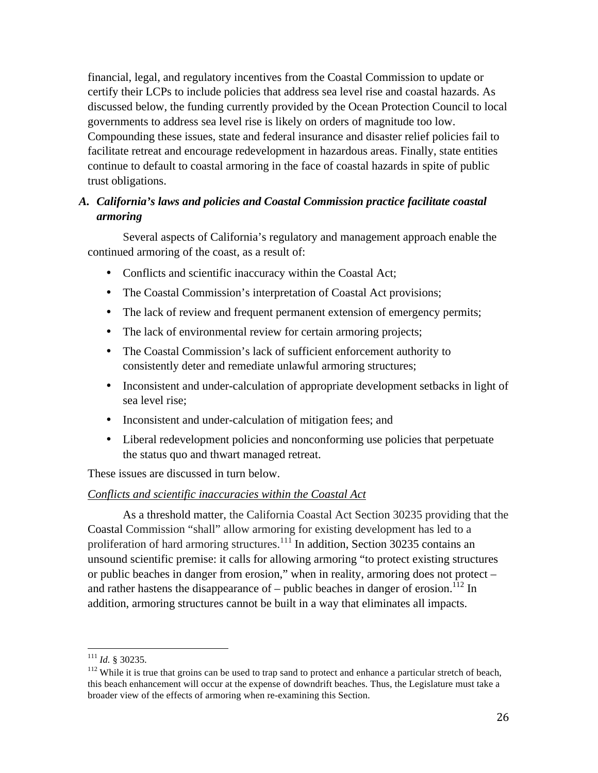financial, legal, and regulatory incentives from the Coastal Commission to update or certify their LCPs to include policies that address sea level rise and coastal hazards. As discussed below, the funding currently provided by the Ocean Protection Council to local governments to address sea level rise is likely on orders of magnitude too low. Compounding these issues, state and federal insurance and disaster relief policies fail to facilitate retreat and encourage redevelopment in hazardous areas. Finally, state entities continue to default to coastal armoring in the face of coastal hazards in spite of public trust obligations.

# *A. California's laws and policies and Coastal Commission practice facilitate coastal armoring*

Several aspects of California's regulatory and management approach enable the continued armoring of the coast, as a result of:

- Conflicts and scientific inaccuracy within the Coastal Act;
- The Coastal Commission's interpretation of Coastal Act provisions;
- The lack of review and frequent permanent extension of emergency permits;
- The lack of environmental review for certain armoring projects;
- The Coastal Commission's lack of sufficient enforcement authority to consistently deter and remediate unlawful armoring structures;
- Inconsistent and under-calculation of appropriate development setbacks in light of sea level rise;
- Inconsistent and under-calculation of mitigation fees; and
- Liberal redevelopment policies and nonconforming use policies that perpetuate the status quo and thwart managed retreat.

These issues are discussed in turn below.

#### *Conflicts and scientific inaccuracies within the Coastal Act*

As a threshold matter, the California Coastal Act Section 30235 providing that the Coastal Commission "shall" allow armoring for existing development has led to a proliferation of hard armoring structures.<sup>111</sup> In addition, Section 30235 contains an unsound scientific premise: it calls for allowing armoring "to protect existing structures or public beaches in danger from erosion," when in reality, armoring does not protect – and rather hastens the disappearance of – public beaches in danger of erosion.<sup>112</sup> In addition, armoring structures cannot be built in a way that eliminates all impacts.

 

<sup>&</sup>lt;sup>111</sup> *Id.* § 30235.<br><sup>112</sup> While it is true that groins can be used to trap sand to protect and enhance a particular stretch of beach, this beach enhancement will occur at the expense of downdrift beaches. Thus, the Legislature must take a broader view of the effects of armoring when re-examining this Section.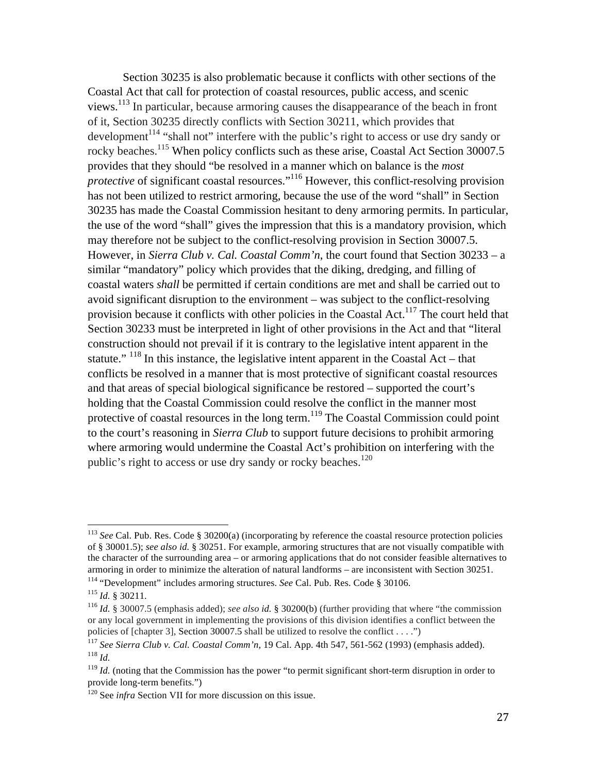Section 30235 is also problematic because it conflicts with other sections of the Coastal Act that call for protection of coastal resources, public access, and scenic views.<sup>113</sup> In particular, because armoring causes the disappearance of the beach in front of it, Section 30235 directly conflicts with Section 30211, which provides that development<sup>114</sup> "shall not" interfere with the public's right to access or use dry sandy or rocky beaches.<sup>115</sup> When policy conflicts such as these arise, Coastal Act Section 30007.5 provides that they should "be resolved in a manner which on balance is the *most protective* of significant coastal resources."<sup>116</sup> However, this conflict-resolving provision has not been utilized to restrict armoring, because the use of the word "shall" in Section 30235 has made the Coastal Commission hesitant to deny armoring permits. In particular, the use of the word "shall" gives the impression that this is a mandatory provision, which may therefore not be subject to the conflict-resolving provision in Section 30007.5. However, in *Sierra Club v. Cal. Coastal Comm'n*, the court found that Section 30233 – a similar "mandatory" policy which provides that the diking, dredging, and filling of coastal waters *shall* be permitted if certain conditions are met and shall be carried out to avoid significant disruption to the environment – was subject to the conflict-resolving provision because it conflicts with other policies in the Coastal Act.<sup>117</sup> The court held that Section 30233 must be interpreted in light of other provisions in the Act and that "literal construction should not prevail if it is contrary to the legislative intent apparent in the statute."  $118$  In this instance, the legislative intent apparent in the Coastal Act – that conflicts be resolved in a manner that is most protective of significant coastal resources and that areas of special biological significance be restored – supported the court's holding that the Coastal Commission could resolve the conflict in the manner most protective of coastal resources in the long term.<sup>119</sup> The Coastal Commission could point to the court's reasoning in *Sierra Club* to support future decisions to prohibit armoring where armoring would undermine the Coastal Act's prohibition on interfering with the public's right to access or use dry sandy or rocky beaches.<sup>120</sup>

<sup>&</sup>lt;sup>113</sup> *See* Cal. Pub. Res. Code § 30200(a) (incorporating by reference the coastal resource protection policies of § 30001.5); *see also id.* § 30251. For example, armoring structures that are not visually compatible with the character of the surrounding area – or armoring applications that do not consider feasible alternatives to armoring in order to minimize the alteration of natural landforms – are inconsistent with Section 30251.<br><sup>114</sup> "Development" includes armoring structures. *See* Cal. Pub. Res. Code § 30106.<br><sup>115</sup> *Id.* § 30211.

<sup>116</sup> *Id.* § 30007.5 (emphasis added); *see also id.* § 30200(b) (further providing that where "the commission or any local government in implementing the provisions of this division identifies a conflict between the policies of [chapter 3], Section 30007.5 shall be utilized to resolve the conflict . . . .")

<sup>117</sup> *See Sierra Club v. Cal. Coastal Comm'n*, 19 Cal. App. 4th 547, 561-562 (1993) (emphasis added). <sup>118</sup> *Id.*

<sup>&</sup>lt;sup>119</sup> *Id.* (noting that the Commission has the power "to permit significant short-term disruption in order to provide long-term benefits.")

<sup>&</sup>lt;sup>120</sup> See *infra* Section VII for more discussion on this issue.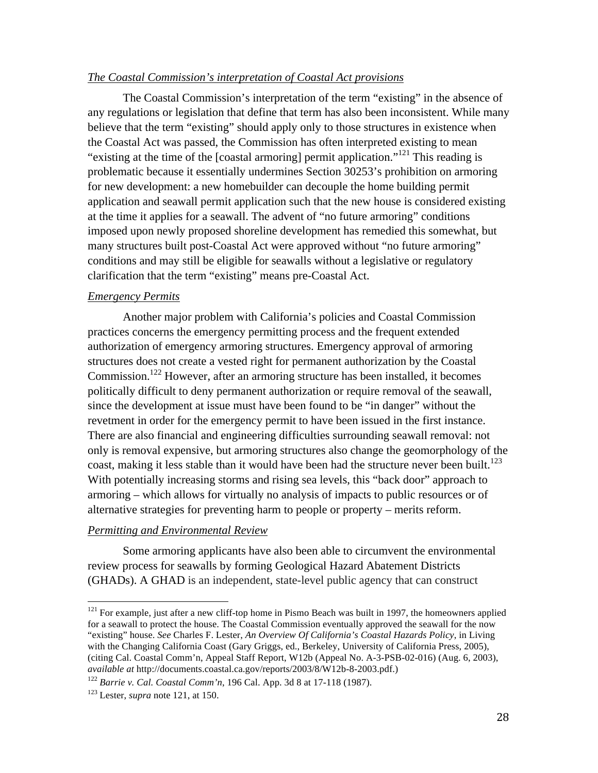#### *The Coastal Commission's interpretation of Coastal Act provisions*

The Coastal Commission's interpretation of the term "existing" in the absence of any regulations or legislation that define that term has also been inconsistent. While many believe that the term "existing" should apply only to those structures in existence when the Coastal Act was passed, the Commission has often interpreted existing to mean "existing at the time of the [coastal armoring] permit application."<sup>121</sup> This reading is problematic because it essentially undermines Section 30253's prohibition on armoring for new development: a new homebuilder can decouple the home building permit application and seawall permit application such that the new house is considered existing at the time it applies for a seawall. The advent of "no future armoring" conditions imposed upon newly proposed shoreline development has remedied this somewhat, but many structures built post-Coastal Act were approved without "no future armoring" conditions and may still be eligible for seawalls without a legislative or regulatory clarification that the term "existing" means pre-Coastal Act.

#### *Emergency Permits*

Another major problem with California's policies and Coastal Commission practices concerns the emergency permitting process and the frequent extended authorization of emergency armoring structures. Emergency approval of armoring structures does not create a vested right for permanent authorization by the Coastal Commission.<sup>122</sup> However, after an armoring structure has been installed, it becomes politically difficult to deny permanent authorization or require removal of the seawall, since the development at issue must have been found to be "in danger" without the revetment in order for the emergency permit to have been issued in the first instance. There are also financial and engineering difficulties surrounding seawall removal: not only is removal expensive, but armoring structures also change the geomorphology of the coast, making it less stable than it would have been had the structure never been built.<sup>123</sup> With potentially increasing storms and rising sea levels, this "back door" approach to armoring – which allows for virtually no analysis of impacts to public resources or of alternative strategies for preventing harm to people or property – merits reform.

#### *Permitting and Environmental Review*

Some armoring applicants have also been able to circumvent the environmental review process for seawalls by forming Geological Hazard Abatement Districts (GHADs). A GHAD is an independent, state-level public agency that can construct

<sup>&</sup>lt;sup>121</sup> For example, just after a new cliff-top home in Pismo Beach was built in 1997, the homeowners applied for a seawall to protect the house. The Coastal Commission eventually approved the seawall for the now "existing" house. *See* Charles F. Lester, *An Overview Of California's Coastal Hazards Policy*, in Living with the Changing California Coast (Gary Griggs, ed., Berkeley, University of California Press, 2005), (citing Cal. Coastal Comm'n, Appeal Staff Report, W12b (Appeal No. A-3-PSB-02-016) (Aug. 6, 2003), *available at* http://documents.coastal.ca.gov/reports/2003/8/W12b-8-2003.pdf.)

<sup>122</sup> *Barrie v. Cal. Coastal Comm'n*, 196 Cal. App. 3d 8 at 17-118 (1987).

<sup>123</sup> Lester, *supra* note 121, at 150.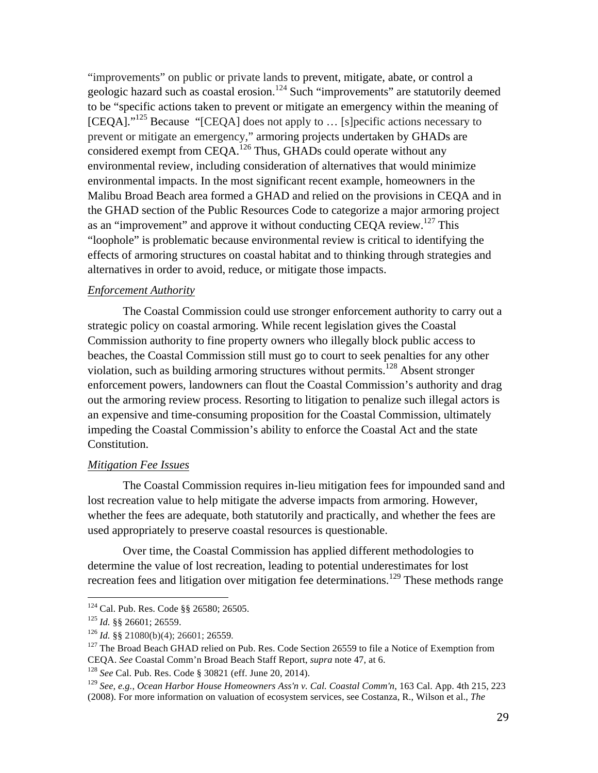"improvements" on public or private lands to prevent, mitigate, abate, or control a geologic hazard such as coastal erosion.<sup>124</sup> Such "improvements" are statutorily deemed to be "specific actions taken to prevent or mitigate an emergency within the meaning of  $[CEQA]$ ."<sup>125</sup> Because "[CEQA] does not apply to ... [s] pecific actions necessary to prevent or mitigate an emergency," armoring projects undertaken by GHADs are considered exempt from CEQA.<sup>126</sup> Thus, GHADs could operate without any environmental review, including consideration of alternatives that would minimize environmental impacts. In the most significant recent example, homeowners in the Malibu Broad Beach area formed a GHAD and relied on the provisions in CEQA and in the GHAD section of the Public Resources Code to categorize a major armoring project as an "improvement" and approve it without conducting CEQA review.<sup>127</sup> This "loophole" is problematic because environmental review is critical to identifying the effects of armoring structures on coastal habitat and to thinking through strategies and alternatives in order to avoid, reduce, or mitigate those impacts.

#### *Enforcement Authority*

The Coastal Commission could use stronger enforcement authority to carry out a strategic policy on coastal armoring. While recent legislation gives the Coastal Commission authority to fine property owners who illegally block public access to beaches, the Coastal Commission still must go to court to seek penalties for any other violation, such as building armoring structures without permits.<sup>128</sup> Absent stronger enforcement powers, landowners can flout the Coastal Commission's authority and drag out the armoring review process. Resorting to litigation to penalize such illegal actors is an expensive and time-consuming proposition for the Coastal Commission, ultimately impeding the Coastal Commission's ability to enforce the Coastal Act and the state Constitution.

#### *Mitigation Fee Issues*

The Coastal Commission requires in-lieu mitigation fees for impounded sand and lost recreation value to help mitigate the adverse impacts from armoring. However, whether the fees are adequate, both statutorily and practically, and whether the fees are used appropriately to preserve coastal resources is questionable.

Over time, the Coastal Commission has applied different methodologies to determine the value of lost recreation, leading to potential underestimates for lost recreation fees and litigation over mitigation fee determinations.<sup>129</sup> These methods range

 

<sup>128</sup> *See* Cal. Pub. Res. Code § 30821 (eff. June 20, 2014).

<sup>&</sup>lt;sup>124</sup> Cal. Pub. Res. Code §§ 26580; 26505.

<sup>125</sup> *Id.* §§ 26601; 26559.

<sup>126</sup> *Id.* §§ 21080(b)(4); 26601; 26559*.*

<sup>&</sup>lt;sup>127</sup> The Broad Beach GHAD relied on Pub. Res. Code Section 26559 to file a Notice of Exemption from CEQA. *See* Coastal Comm'n Broad Beach Staff Report, *supra* note 47, at 6.

<sup>129</sup> *See, e.g.*, *Ocean Harbor House Homeowners Ass'n v. Cal. Coastal Comm'n*, 163 Cal. App. 4th 215, 223 (2008). For more information on valuation of ecosystem services, see Costanza, R., Wilson et al., *The*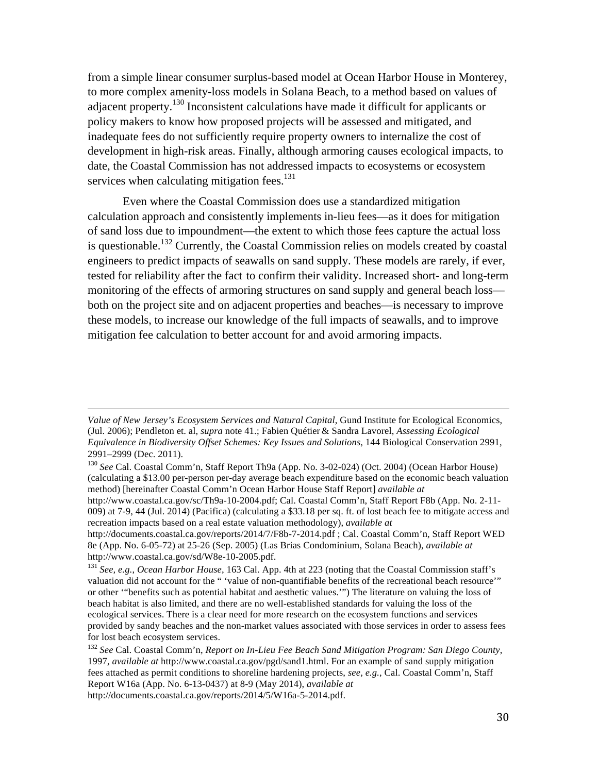from a simple linear consumer surplus-based model at Ocean Harbor House in Monterey, to more complex amenity-loss models in Solana Beach, to a method based on values of adjacent property.<sup>130</sup> Inconsistent calculations have made it difficult for applicants or policy makers to know how proposed projects will be assessed and mitigated, and inadequate fees do not sufficiently require property owners to internalize the cost of development in high-risk areas. Finally, although armoring causes ecological impacts, to date, the Coastal Commission has not addressed impacts to ecosystems or ecosystem services when calculating mitigation fees. $131$ 

Even where the Coastal Commission does use a standardized mitigation calculation approach and consistently implements in-lieu fees—as it does for mitigation of sand loss due to impoundment—the extent to which those fees capture the actual loss is questionable.<sup>132</sup> Currently, the Coastal Commission relies on models created by coastal engineers to predict impacts of seawalls on sand supply. These models are rarely, if ever, tested for reliability after the fact to confirm their validity. Increased short- and long-term monitoring of the effects of armoring structures on sand supply and general beach loss both on the project site and on adjacent properties and beaches—is necessary to improve these models, to increase our knowledge of the full impacts of seawalls, and to improve mitigation fee calculation to better account for and avoid armoring impacts.

<u> 2002 - Andrea San Andrea San Andrea San Andrea San Andrea San Andrea San Andrea San Andrea San Andrea San An</u>

*Value of New Jersey's Ecosystem Services and Natural Capital*, Gund Institute for Ecological Economics, (Jul. 2006); Pendleton et. al, *supra* note 41.; Fabien Quétier & Sandra Lavorel, *Assessing Ecological Equivalence in Biodiversity Offset Schemes: Key Issues and Solutions*, 144 Biological Conservation 2991, 2991–2999 (Dec. 2011).

<sup>130</sup> *See* Cal. Coastal Comm'n, Staff Report Th9a (App. No. 3-02-024) (Oct. 2004) (Ocean Harbor House) (calculating a \$13.00 per-person per-day average beach expenditure based on the economic beach valuation method) [hereinafter Coastal Comm'n Ocean Harbor House Staff Report] *available at*

http://www.coastal.ca.gov/sc/Th9a-10-2004.pdf; Cal. Coastal Comm'n, Staff Report F8b (App. No. 2-11- 009) at 7-9, 44 (Jul. 2014) (Pacifica) (calculating a \$33.18 per sq. ft. of lost beach fee to mitigate access and recreation impacts based on a real estate valuation methodology), *available at*

http://documents.coastal.ca.gov/reports/2014/7/F8b-7-2014.pdf ; Cal. Coastal Comm'n, Staff Report WED 8e (App. No. 6-05-72) at 25-26 (Sep. 2005) (Las Brias Condominium, Solana Beach), *available at*  http://www.coastal.ca.gov/sd/W8e-10-2005.pdf. 131 *See, e.g.*, *Ocean Harbor House*, 163 Cal. App. 4th at 223 (noting that the Coastal Commission staff's

valuation did not account for the " 'value of non-quantifiable benefits of the recreational beach resource'" or other '"benefits such as potential habitat and aesthetic values.'") The literature on valuing the loss of beach habitat is also limited, and there are no well-established standards for valuing the loss of the ecological services. There is a clear need for more research on the ecosystem functions and services provided by sandy beaches and the non-market values associated with those services in order to assess fees for lost beach ecosystem services.

<sup>132</sup> *See* Cal. Coastal Comm'n, *Report on In-Lieu Fee Beach Sand Mitigation Program: San Diego County*, 1997, *available at* http://www.coastal.ca.gov/pgd/sand1.html. For an example of sand supply mitigation fees attached as permit conditions to shoreline hardening projects, *see, e.g.*, Cal. Coastal Comm'n, Staff Report W16a (App. No. 6-13-0437) at 8-9 (May 2014), *available at* http://documents.coastal.ca.gov/reports/2014/5/W16a-5-2014.pdf.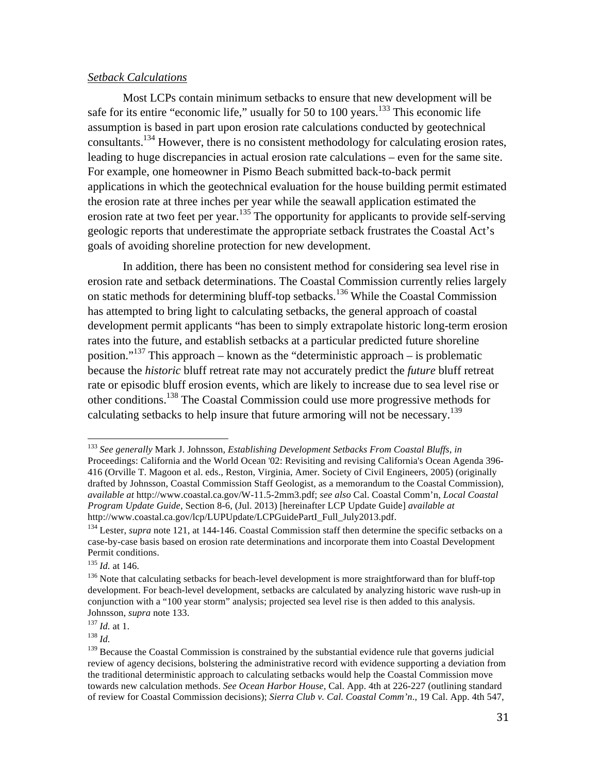#### *Setback Calculations*

Most LCPs contain minimum setbacks to ensure that new development will be safe for its entire "economic life," usually for 50 to 100 years.<sup>133</sup> This economic life assumption is based in part upon erosion rate calculations conducted by geotechnical consultants.<sup>134</sup> However, there is no consistent methodology for calculating erosion rates, leading to huge discrepancies in actual erosion rate calculations – even for the same site. For example, one homeowner in Pismo Beach submitted back-to-back permit applications in which the geotechnical evaluation for the house building permit estimated the erosion rate at three inches per year while the seawall application estimated the erosion rate at two feet per year.<sup>135</sup> The opportunity for applicants to provide self-serving geologic reports that underestimate the appropriate setback frustrates the Coastal Act's goals of avoiding shoreline protection for new development.

In addition, there has been no consistent method for considering sea level rise in erosion rate and setback determinations. The Coastal Commission currently relies largely on static methods for determining bluff-top setbacks.<sup>136</sup> While the Coastal Commission has attempted to bring light to calculating setbacks, the general approach of coastal development permit applicants "has been to simply extrapolate historic long-term erosion rates into the future, and establish setbacks at a particular predicted future shoreline position." <sup>137</sup> This approach – known as the "deterministic approach – is problematic because the *historic* bluff retreat rate may not accurately predict the *future* bluff retreat rate or episodic bluff erosion events, which are likely to increase due to sea level rise or other conditions.138 The Coastal Commission could use more progressive methods for calculating setbacks to help insure that future armoring will not be necessary.<sup>139</sup>

 <sup>133</sup> *See generally* Mark J. Johnsson, *Establishing Development Setbacks From Coastal Bluffs*, *in* Proceedings: California and the World Ocean '02: Revisiting and revising California's Ocean Agenda 396- 416 (Orville T. Magoon et al. eds., Reston, Virginia, Amer. Society of Civil Engineers, 2005) (originally drafted by Johnsson, Coastal Commission Staff Geologist, as a memorandum to the Coastal Commission), *available at* http://www.coastal.ca.gov/W-11.5-2mm3.pdf; *see also* Cal. Coastal Comm'n, *Local Coastal Program Update Guide*, Section 8-6, (Jul. 2013) [hereinafter LCP Update Guide] *available at* http://www.coastal.ca.gov/lcp/LUPUpdate/LCPGuidePartI\_Full\_July2013.pdf.

<sup>&</sup>lt;sup>134</sup> Lester, *supra* note 121, at 144-146. Coastal Commission staff then determine the specific setbacks on a case-by-case basis based on erosion rate determinations and incorporate them into Coastal Development Permit conditions.

<sup>&</sup>lt;sup>135</sup> *Id.* at 146.<br><sup>136</sup> Note that calculating setbacks for beach-level development is more straightforward than for bluff-top development. For beach-level development, setbacks are calculated by analyzing historic wave rush-up in conjunction with a "100 year storm" analysis; projected sea level rise is then added to this analysis. Johnsson, *supra* note 133.

<sup>137</sup> *Id.* at 1. 138 *Id.*

<sup>&</sup>lt;sup>139</sup> Because the Coastal Commission is constrained by the substantial evidence rule that governs judicial review of agency decisions, bolstering the administrative record with evidence supporting a deviation from the traditional deterministic approach to calculating setbacks would help the Coastal Commission move towards new calculation methods. *See Ocean Harbor House*, Cal. App. 4th at 226-227 (outlining standard of review for Coastal Commission decisions); *Sierra Club v. Cal. Coastal Comm'n*., 19 Cal. App. 4th 547,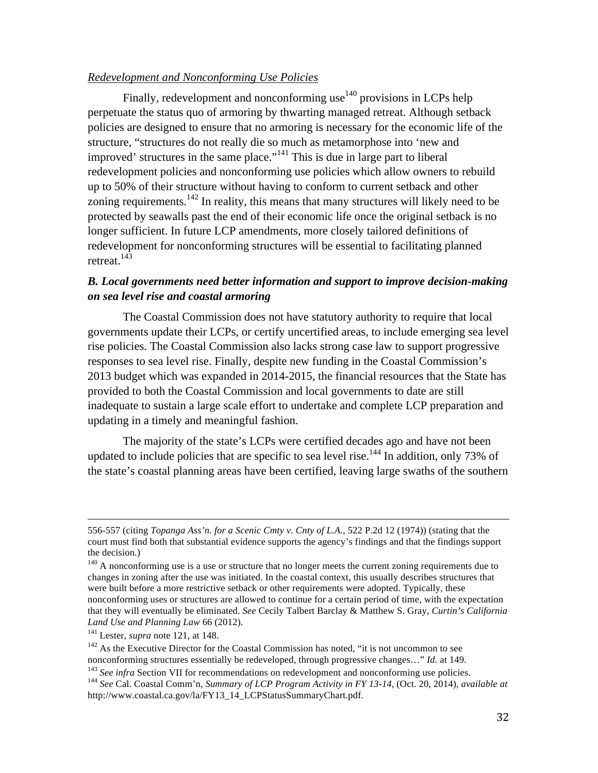#### *Redevelopment and Nonconforming Use Policies*

Finally, redevelopment and nonconforming use $140$  provisions in LCPs help perpetuate the status quo of armoring by thwarting managed retreat. Although setback policies are designed to ensure that no armoring is necessary for the economic life of the structure, "structures do not really die so much as metamorphose into 'new and improved' structures in the same place."<sup>141</sup> This is due in large part to liberal redevelopment policies and nonconforming use policies which allow owners to rebuild up to 50% of their structure without having to conform to current setback and other zoning requirements.<sup>142</sup> In reality, this means that many structures will likely need to be protected by seawalls past the end of their economic life once the original setback is no longer sufficient. In future LCP amendments, more closely tailored definitions of redevelopment for nonconforming structures will be essential to facilitating planned retreat.143

# *B. Local governments need better information and support to improve decision-making on sea level rise and coastal armoring*

The Coastal Commission does not have statutory authority to require that local governments update their LCPs, or certify uncertified areas, to include emerging sea level rise policies. The Coastal Commission also lacks strong case law to support progressive responses to sea level rise. Finally, despite new funding in the Coastal Commission's 2013 budget which was expanded in 2014-2015, the financial resources that the State has provided to both the Coastal Commission and local governments to date are still inadequate to sustain a large scale effort to undertake and complete LCP preparation and updating in a timely and meaningful fashion.

The majority of the state's LCPs were certified decades ago and have not been updated to include policies that are specific to sea level rise.<sup>144</sup> In addition, only 73% of the state's coastal planning areas have been certified, leaving large swaths of the southern

<u> 1989 - Johann Barbert, fransk politik (d. 1989)</u>

<sup>556-557 (</sup>citing *Topanga Ass'n. for a Scenic Cmty v. Cnty of L.A.*, 522 P.2d 12 (1974)) (stating that the court must find both that substantial evidence supports the agency's findings and that the findings support the decision.)

 $140$  A nonconforming use is a use or structure that no longer meets the current zoning requirements due to changes in zoning after the use was initiated. In the coastal context, this usually describes structures that were built before a more restrictive setback or other requirements were adopted. Typically, these nonconforming uses or structures are allowed to continue for a certain period of time, with the expectation that they will eventually be eliminated. *See* Cecily Talbert Barclay & Matthew S. Gray, *Curtin's California Land Use and Planning Law* 66 (2012).

<sup>141</sup> Lester, *supra* note 121, at 148.

 $142$  As the Executive Director for the Coastal Commission has noted, "it is not uncommon to see nonconforming structures essentially be redeveloped, through progressive changes…" *Id.* at 149. <sup>143</sup> See infra Section VII for recommendations on redevelopment and nonconforming use policies.<br><sup>144</sup> See Cal. Coastal Comm'n, Summary of LCP Program Activity in FY 13-14, (Oct. 20, 2014), available at http://www.coastal.ca.gov/la/FY13\_14\_LCPStatusSummaryChart.pdf.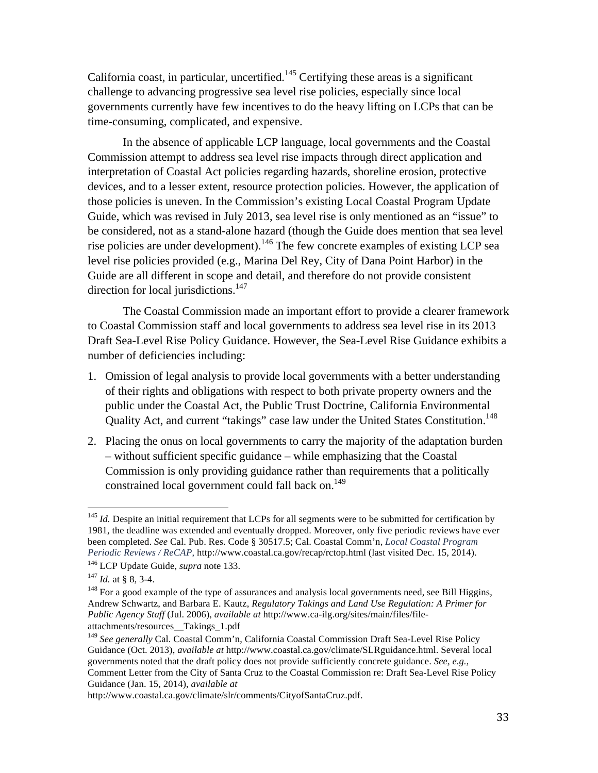California coast, in particular, uncertified.<sup>145</sup> Certifying these areas is a significant challenge to advancing progressive sea level rise policies, especially since local governments currently have few incentives to do the heavy lifting on LCPs that can be time-consuming, complicated, and expensive.

In the absence of applicable LCP language, local governments and the Coastal Commission attempt to address sea level rise impacts through direct application and interpretation of Coastal Act policies regarding hazards, shoreline erosion, protective devices, and to a lesser extent, resource protection policies. However, the application of those policies is uneven. In the Commission's existing Local Coastal Program Update Guide, which was revised in July 2013, sea level rise is only mentioned as an "issue" to be considered, not as a stand-alone hazard (though the Guide does mention that sea level rise policies are under development).<sup>146</sup> The few concrete examples of existing LCP sea level rise policies provided (e.g., Marina Del Rey, City of Dana Point Harbor) in the Guide are all different in scope and detail, and therefore do not provide consistent direction for local jurisdictions.<sup>147</sup>

The Coastal Commission made an important effort to provide a clearer framework to Coastal Commission staff and local governments to address sea level rise in its 2013 Draft Sea-Level Rise Policy Guidance. However, the Sea-Level Rise Guidance exhibits a number of deficiencies including:

- 1. Omission of legal analysis to provide local governments with a better understanding of their rights and obligations with respect to both private property owners and the public under the Coastal Act, the Public Trust Doctrine, California Environmental Quality Act, and current "takings" case law under the United States Constitution.<sup>148</sup>
- 2. Placing the onus on local governments to carry the majority of the adaptation burden – without sufficient specific guidance – while emphasizing that the Coastal Commission is only providing guidance rather than requirements that a politically constrained local government could fall back on.<sup>149</sup>

<sup>&</sup>lt;sup>145</sup> *Id.* Despite an initial requirement that LCPs for all segments were to be submitted for certification by 1981, the deadline was extended and eventually dropped. Moreover, only five periodic reviews have ever been completed. *See* Cal. Pub. Res. Code § 30517.5; Cal. Coastal Comm'n, *Local Coastal Program Periodic Reviews / ReCAP*, http://www.coastal.ca.gov/recap/rctop.html (last visited Dec. 15, 2014). <sup>146</sup> LCP Update Guide, *supra* note 133.

 $147$  *Id.* at § 8, 3-4.

 $148$  For a good example of the type of assurances and analysis local governments need, see Bill Higgins, Andrew Schwartz, and Barbara E. Kautz, *Regulatory Takings and Land Use Regulation: A Primer for Public Agency Staff* (Jul. 2006), *available at* http://www.ca-ilg.org/sites/main/files/fileattachments/resources\_\_Takings\_1.pdf

<sup>149</sup> *See generally* Cal. Coastal Comm'n, California Coastal Commission Draft Sea-Level Rise Policy Guidance (Oct. 2013), *available at* http://www.coastal.ca.gov/climate/SLRguidance.html. Several local governments noted that the draft policy does not provide sufficiently concrete guidance. *See, e.g.*, Comment Letter from the City of Santa Cruz to the Coastal Commission re: Draft Sea-Level Rise Policy Guidance (Jan. 15, 2014), *available at*

http://www.coastal.ca.gov/climate/slr/comments/CityofSantaCruz.pdf.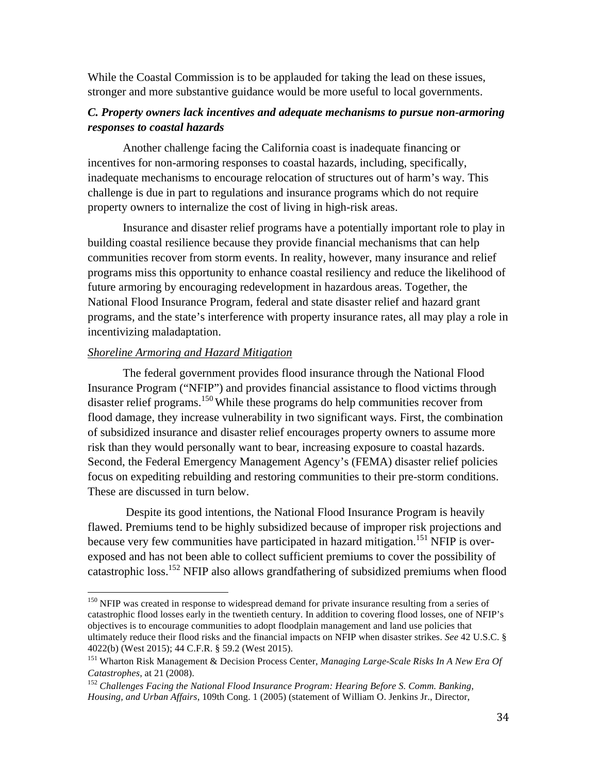While the Coastal Commission is to be applauded for taking the lead on these issues, stronger and more substantive guidance would be more useful to local governments.

# *C. Property owners lack incentives and adequate mechanisms to pursue non-armoring responses to coastal hazards*

Another challenge facing the California coast is inadequate financing or incentives for non-armoring responses to coastal hazards, including, specifically, inadequate mechanisms to encourage relocation of structures out of harm's way. This challenge is due in part to regulations and insurance programs which do not require property owners to internalize the cost of living in high-risk areas.

Insurance and disaster relief programs have a potentially important role to play in building coastal resilience because they provide financial mechanisms that can help communities recover from storm events. In reality, however, many insurance and relief programs miss this opportunity to enhance coastal resiliency and reduce the likelihood of future armoring by encouraging redevelopment in hazardous areas. Together, the National Flood Insurance Program, federal and state disaster relief and hazard grant programs, and the state's interference with property insurance rates, all may play a role in incentivizing maladaptation.

#### *Shoreline Armoring and Hazard Mitigation*

The federal government provides flood insurance through the National Flood Insurance Program ("NFIP") and provides financial assistance to flood victims through disaster relief programs.<sup>150</sup>While these programs do help communities recover from flood damage, they increase vulnerability in two significant ways. First, the combination of subsidized insurance and disaster relief encourages property owners to assume more risk than they would personally want to bear, increasing exposure to coastal hazards. Second, the Federal Emergency Management Agency's (FEMA) disaster relief policies focus on expediting rebuilding and restoring communities to their pre-storm conditions. These are discussed in turn below.

Despite its good intentions, the National Flood Insurance Program is heavily flawed. Premiums tend to be highly subsidized because of improper risk projections and because very few communities have participated in hazard mitigation.<sup>151</sup> NFIP is overexposed and has not been able to collect sufficient premiums to cover the possibility of catastrophic loss.<sup>152</sup> NFIP also allows grandfathering of subsidized premiums when flood

<sup>150</sup> NFIP was created in response to widespread demand for private insurance resulting from a series of catastrophic flood losses early in the twentieth century. In addition to covering flood losses, one of NFIP's objectives is to encourage communities to adopt floodplain management and land use policies that ultimately reduce their flood risks and the financial impacts on NFIP when disaster strikes. *See* 42 U.S.C. § 4022(b) (West 2015); 44 C.F.R. § 59.2 (West 2015).

<sup>151</sup> Wharton Risk Management & Decision Process Center, *Managing Large-Scale Risks In A New Era Of Catastrophes*, at 21 (2008).

<sup>152</sup> *Challenges Facing the National Flood Insurance Program: Hearing Before S. Comm. Banking, Housing, and Urban Affairs*, 109th Cong. 1 (2005) (statement of William O. Jenkins Jr., Director,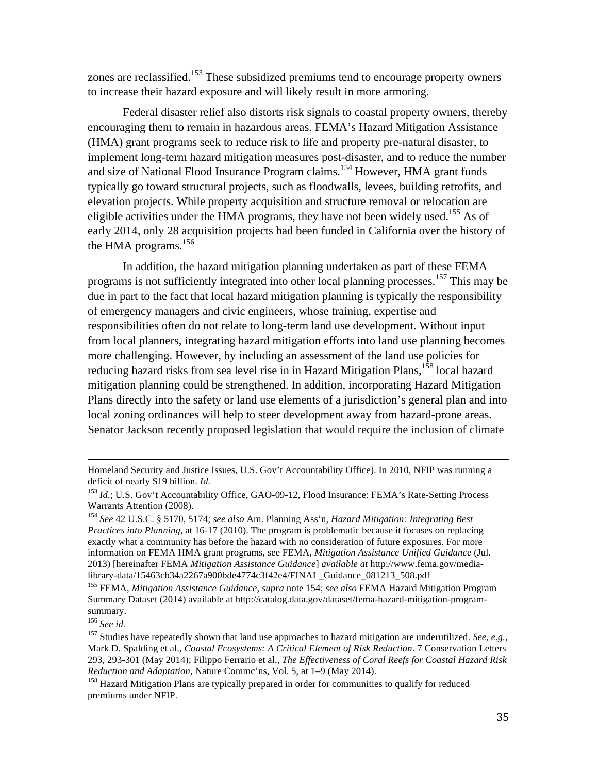zones are reclassified.<sup>153</sup> These subsidized premiums tend to encourage property owners to increase their hazard exposure and will likely result in more armoring.

Federal disaster relief also distorts risk signals to coastal property owners, thereby encouraging them to remain in hazardous areas. FEMA's Hazard Mitigation Assistance (HMA) grant programs seek to reduce risk to life and property pre-natural disaster, to implement long-term hazard mitigation measures post-disaster, and to reduce the number and size of National Flood Insurance Program claims.<sup>154</sup> However, HMA grant funds typically go toward structural projects, such as floodwalls, levees, building retrofits, and elevation projects. While property acquisition and structure removal or relocation are eligible activities under the HMA programs, they have not been widely used.<sup>155</sup> As of early 2014, only 28 acquisition projects had been funded in California over the history of the HMA programs.<sup>156</sup>

In addition, the hazard mitigation planning undertaken as part of these FEMA programs is not sufficiently integrated into other local planning processes.<sup>157</sup> This may be due in part to the fact that local hazard mitigation planning is typically the responsibility of emergency managers and civic engineers, whose training, expertise and responsibilities often do not relate to long-term land use development. Without input from local planners, integrating hazard mitigation efforts into land use planning becomes more challenging. However, by including an assessment of the land use policies for reducing hazard risks from sea level rise in in Hazard Mitigation Plans, <sup>158</sup> local hazard mitigation planning could be strengthened. In addition, incorporating Hazard Mitigation Plans directly into the safety or land use elements of a jurisdiction's general plan and into local zoning ordinances will help to steer development away from hazard-prone areas. Senator Jackson recently proposed legislation that would require the inclusion of climate

<u> 1989 - Johann Barbert, fransk politik (d. 1989)</u>

Homeland Security and Justice Issues, U.S. Gov't Accountability Office). In 2010, NFIP was running a deficit of nearly \$19 billion. *Id.*

<sup>&</sup>lt;sup>153</sup> *Id*.; U.S. Gov't Accountability Office, GAO-09-12, Flood Insurance: FEMA's Rate-Setting Process Warrants Attention (2008).

<sup>154</sup> *See* 42 U.S.C. § 5170, 5174; *see also* Am. Planning Ass'n, *Hazard Mitigation: Integrating Best Practices into Planning*, at 16-17 (2010). The program is problematic because it focuses on replacing exactly what a community has before the hazard with no consideration of future exposures. For more information on FEMA HMA grant programs, see FEMA, *Mitigation Assistance Unified Guidance* (Jul. 2013) [hereinafter FEMA *Mitigation Assistance Guidance*] *available at* http://www.fema.gov/medialibrary-data/15463cb34a2267a900bde4774c3f42e4/FINAL\_Guidance\_081213\_508.pdf

<sup>155</sup> FEMA, *Mitigation Assistance Guidance*, *supra* note 154; *see also* FEMA Hazard Mitigation Program Summary Dataset (2014) available at http://catalog.data.gov/dataset/fema-hazard-mitigation-programsummary. 156 *See id.*

<sup>&</sup>lt;sup>157</sup> Studies have repeatedly shown that land use approaches to hazard mitigation are underutilized. *See, e.g.*, Mark D. Spalding et al., *Coastal Ecosystems: A Critical Element of Risk Reduction*. 7 Conservation Letters 293, 293-301 (May 2014); Filippo Ferrario et al., *The Effectiveness of Coral Reefs for Coastal Hazard Risk Reduction and Adaptation*, Nature Commc'ns, Vol. 5, at 1–9 (May 2014).

<sup>&</sup>lt;sup>158</sup> Hazard Mitigation Plans are typically prepared in order for communities to qualify for reduced premiums under NFIP.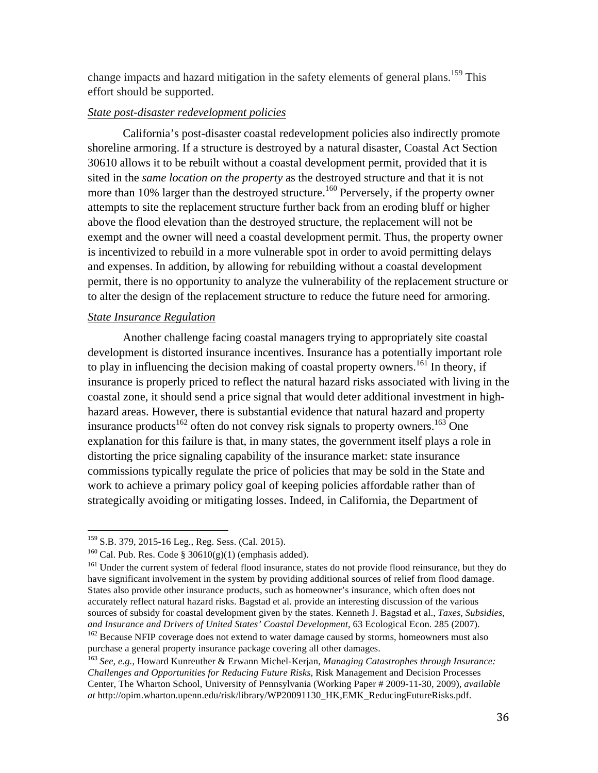change impacts and hazard mitigation in the safety elements of general plans.<sup>159</sup> This effort should be supported.

#### *State post-disaster redevelopment policies*

California's post-disaster coastal redevelopment policies also indirectly promote shoreline armoring. If a structure is destroyed by a natural disaster, Coastal Act Section 30610 allows it to be rebuilt without a coastal development permit, provided that it is sited in the *same location on the property* as the destroyed structure and that it is not more than 10% larger than the destroyed structure.<sup>160</sup> Perversely, if the property owner attempts to site the replacement structure further back from an eroding bluff or higher above the flood elevation than the destroyed structure, the replacement will not be exempt and the owner will need a coastal development permit. Thus, the property owner is incentivized to rebuild in a more vulnerable spot in order to avoid permitting delays and expenses. In addition, by allowing for rebuilding without a coastal development permit, there is no opportunity to analyze the vulnerability of the replacement structure or to alter the design of the replacement structure to reduce the future need for armoring.

#### *State Insurance Regulation*

Another challenge facing coastal managers trying to appropriately site coastal development is distorted insurance incentives. Insurance has a potentially important role to play in influencing the decision making of coastal property owners.<sup>161</sup> In theory, if insurance is properly priced to reflect the natural hazard risks associated with living in the coastal zone, it should send a price signal that would deter additional investment in highhazard areas. However, there is substantial evidence that natural hazard and property insurance products<sup>162</sup> often do not convey risk signals to property owners.<sup>163</sup> One explanation for this failure is that, in many states, the government itself plays a role in distorting the price signaling capability of the insurance market: state insurance commissions typically regulate the price of policies that may be sold in the State and work to achieve a primary policy goal of keeping policies affordable rather than of strategically avoiding or mitigating losses. Indeed, in California, the Department of

 

<sup>&</sup>lt;sup>159</sup> S.B. 379, 2015-16 Leg., Reg. Sess. (Cal. 2015).

<sup>&</sup>lt;sup>160</sup> Cal. Pub. Res. Code §  $30610(g)(1)$  (emphasis added).

<sup>&</sup>lt;sup>161</sup> Under the current system of federal flood insurance, states do not provide flood reinsurance, but they do have significant involvement in the system by providing additional sources of relief from flood damage. States also provide other insurance products, such as homeowner's insurance, which often does not accurately reflect natural hazard risks. Bagstad et al. provide an interesting discussion of the various sources of subsidy for coastal development given by the states. Kenneth J. Bagstad et al., *Taxes, Subsidies, and Insurance and Drivers of United States' Coastal Development*, 63 Ecological Econ. 285 (2007).

<sup>&</sup>lt;sup>162</sup> Because NFIP coverage does not extend to water damage caused by storms, homeowners must also purchase a general property insurance package covering all other damages.

<sup>163</sup> *See, e.g.*, Howard Kunreuther & Erwann Michel-Kerjan, *Managing Catastrophes through Insurance: Challenges and Opportunities for Reducing Future Risks*, Risk Management and Decision Processes Center, The Wharton School, University of Pennsylvania (Working Paper # 2009-11-30, 2009), *available at* http://opim.wharton.upenn.edu/risk/library/WP20091130\_HK,EMK\_ReducingFutureRisks.pdf.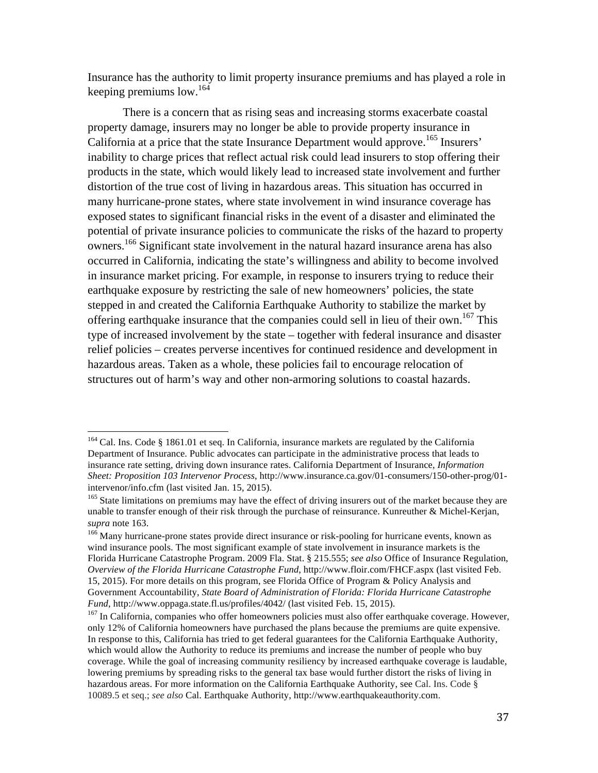Insurance has the authority to limit property insurance premiums and has played a role in keeping premiums low.<sup>164</sup>

There is a concern that as rising seas and increasing storms exacerbate coastal property damage, insurers may no longer be able to provide property insurance in California at a price that the state Insurance Department would approve.<sup>165</sup> Insurers' inability to charge prices that reflect actual risk could lead insurers to stop offering their products in the state, which would likely lead to increased state involvement and further distortion of the true cost of living in hazardous areas. This situation has occurred in many hurricane-prone states, where state involvement in wind insurance coverage has exposed states to significant financial risks in the event of a disaster and eliminated the potential of private insurance policies to communicate the risks of the hazard to property owners.<sup>166</sup> Significant state involvement in the natural hazard insurance arena has also occurred in California, indicating the state's willingness and ability to become involved in insurance market pricing. For example, in response to insurers trying to reduce their earthquake exposure by restricting the sale of new homeowners' policies, the state stepped in and created the California Earthquake Authority to stabilize the market by offering earthquake insurance that the companies could sell in lieu of their own.<sup>167</sup> This type of increased involvement by the state – together with federal insurance and disaster relief policies – creates perverse incentives for continued residence and development in hazardous areas. Taken as a whole, these policies fail to encourage relocation of structures out of harm's way and other non-armoring solutions to coastal hazards.

<sup>&</sup>lt;sup>164</sup> Cal. Ins. Code § 1861.01 et seq. In California, insurance markets are regulated by the California Department of Insurance. Public advocates can participate in the administrative process that leads to insurance rate setting, driving down insurance rates. California Department of Insurance, *Information Sheet: Proposition 103 Intervenor Process*, http://www.insurance.ca.gov/01-consumers/150-other-prog/01 intervenor/info.cfm (last visited Jan. 15, 2015).

<sup>&</sup>lt;sup>165</sup> State limitations on premiums may have the effect of driving insurers out of the market because they are unable to transfer enough of their risk through the purchase of reinsurance. Kunreuther & Michel-Kerjan, *supra* note 163.

<sup>&</sup>lt;sup>166</sup> Many hurricane-prone states provide direct insurance or risk-pooling for hurricane events, known as wind insurance pools. The most significant example of state involvement in insurance markets is the Florida Hurricane Catastrophe Program. 2009 Fla. Stat. § 215.555; *see also* Office of Insurance Regulation, *Overview of the Florida Hurricane Catastrophe Fund*, http://www.floir.com/FHCF.aspx (last visited Feb. 15, 2015). For more details on this program, see Florida Office of Program & Policy Analysis and Government Accountability, *State Board of Administration of Florida: Florida Hurricane Catastrophe Fund*, http://www.oppaga.state.fl.us/profiles/4042/ (last visited Feb. 15, 2015).

<sup>&</sup>lt;sup>167</sup> In California, companies who offer homeowners policies must also offer earthquake coverage. However, only 12% of California homeowners have purchased the plans because the premiums are quite expensive. In response to this, California has tried to get federal guarantees for the California Earthquake Authority, which would allow the Authority to reduce its premiums and increase the number of people who buy coverage. While the goal of increasing community resiliency by increased earthquake coverage is laudable, lowering premiums by spreading risks to the general tax base would further distort the risks of living in hazardous areas. For more information on the California Earthquake Authority, see Cal. Ins. Code § 10089.5 et seq.; *see also* Cal. Earthquake Authority, http://www.earthquakeauthority.com.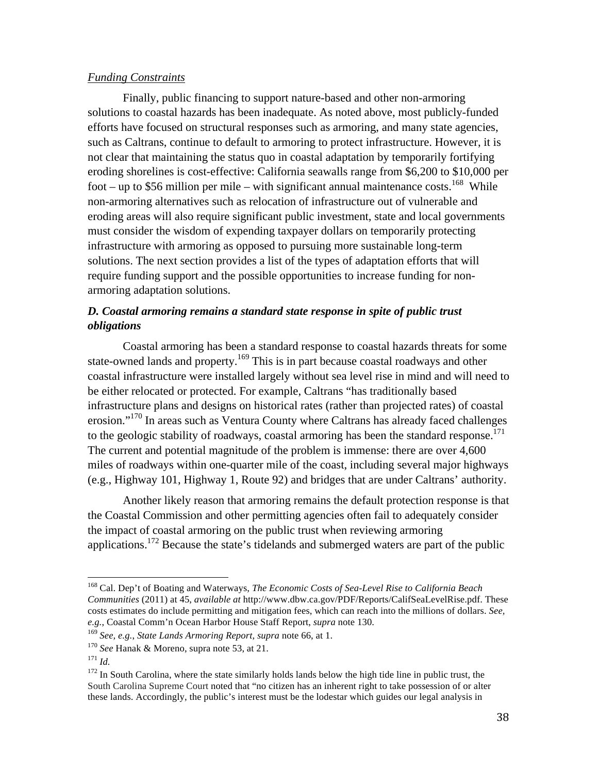#### *Funding Constraints*

Finally, public financing to support nature-based and other non-armoring solutions to coastal hazards has been inadequate. As noted above, most publicly-funded efforts have focused on structural responses such as armoring, and many state agencies, such as Caltrans, continue to default to armoring to protect infrastructure. However, it is not clear that maintaining the status quo in coastal adaptation by temporarily fortifying eroding shorelines is cost-effective: California seawalls range from \$6,200 to \$10,000 per foot – up to \$56 million per mile – with significant annual maintenance costs.<sup>168</sup> While non-armoring alternatives such as relocation of infrastructure out of vulnerable and eroding areas will also require significant public investment, state and local governments must consider the wisdom of expending taxpayer dollars on temporarily protecting infrastructure with armoring as opposed to pursuing more sustainable long-term solutions. The next section provides a list of the types of adaptation efforts that will require funding support and the possible opportunities to increase funding for nonarmoring adaptation solutions.

# *D. Coastal armoring remains a standard state response in spite of public trust obligations*

Coastal armoring has been a standard response to coastal hazards threats for some state-owned lands and property.<sup>169</sup> This is in part because coastal roadways and other coastal infrastructure were installed largely without sea level rise in mind and will need to be either relocated or protected. For example, Caltrans "has traditionally based infrastructure plans and designs on historical rates (rather than projected rates) of coastal erosion."<sup>170</sup> In areas such as Ventura County where Caltrans has already faced challenges to the geologic stability of roadways, coastal armoring has been the standard response.<sup>171</sup> The current and potential magnitude of the problem is immense: there are over 4,600 miles of roadways within one-quarter mile of the coast, including several major highways (e.g., Highway 101, Highway 1, Route 92) and bridges that are under Caltrans' authority.

Another likely reason that armoring remains the default protection response is that the Coastal Commission and other permitting agencies often fail to adequately consider the impact of coastal armoring on the public trust when reviewing armoring applications.<sup>172</sup> Because the state's tidelands and submerged waters are part of the public

 <sup>168</sup> Cal. Dep't of Boating and Waterways, *The Economic Costs of Sea-Level Rise to California Beach Communities* (2011) at 45, *available at* http://www.dbw.ca.gov/PDF/Reports/CalifSeaLevelRise.pdf. These costs estimates do include permitting and mitigation fees, which can reach into the millions of dollars. *See, e.g.*, Coastal Comm'n Ocean Harbor House Staff Report, *supra* note 130.

<sup>169</sup> *See, e.g.*, *State Lands Armoring Report, supra* note 66, at 1.

<sup>170</sup> *See* Hanak & Moreno, supra note 53, at 21.

<sup>171</sup> *Id.*

<sup>&</sup>lt;sup>172</sup> In South Carolina, where the state similarly holds lands below the high tide line in public trust, the South Carolina Supreme Court noted that "no citizen has an inherent right to take possession of or alter these lands. Accordingly, the public's interest must be the lodestar which guides our legal analysis in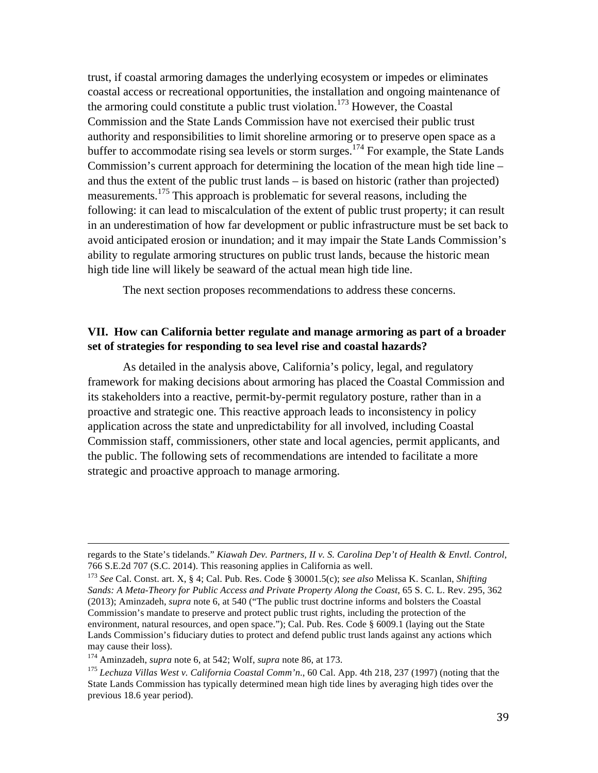trust, if coastal armoring damages the underlying ecosystem or impedes or eliminates coastal access or recreational opportunities, the installation and ongoing maintenance of the armoring could constitute a public trust violation.<sup>173</sup> However, the Coastal Commission and the State Lands Commission have not exercised their public trust authority and responsibilities to limit shoreline armoring or to preserve open space as a buffer to accommodate rising sea levels or storm surges.<sup>174</sup> For example, the State Lands Commission's current approach for determining the location of the mean high tide line – and thus the extent of the public trust lands – is based on historic (rather than projected) measurements.<sup>175</sup> This approach is problematic for several reasons, including the following: it can lead to miscalculation of the extent of public trust property; it can result in an underestimation of how far development or public infrastructure must be set back to avoid anticipated erosion or inundation; and it may impair the State Lands Commission's ability to regulate armoring structures on public trust lands, because the historic mean high tide line will likely be seaward of the actual mean high tide line.

The next section proposes recommendations to address these concerns.

# **VII. How can California better regulate and manage armoring as part of a broader set of strategies for responding to sea level rise and coastal hazards?**

As detailed in the analysis above, California's policy, legal, and regulatory framework for making decisions about armoring has placed the Coastal Commission and its stakeholders into a reactive, permit-by-permit regulatory posture, rather than in a proactive and strategic one. This reactive approach leads to inconsistency in policy application across the state and unpredictability for all involved, including Coastal Commission staff, commissioners, other state and local agencies, permit applicants, and the public. The following sets of recommendations are intended to facilitate a more strategic and proactive approach to manage armoring.

<sup>&</sup>lt;u> 2002 - Andrea San Andrea San Andrea San Andrea San Andrea San Andrea San Andrea San Andrea San Andrea San An</u> regards to the State's tidelands." *Kiawah Dev. Partners, II v. S. Carolina Dep't of Health & Envtl. Control*, 766 S.E.2d 707 (S.C. 2014). This reasoning applies in California as well.

<sup>173</sup> *See* Cal. Const. art. X, § 4; Cal. Pub. Res. Code § 30001.5(c); *see also* Melissa K. Scanlan, *Shifting Sands: A Meta-Theory for Public Access and Private Property Along the Coast*, 65 S. C. L. Rev. 295, 362 (2013); Aminzadeh, *supra* note 6, at 540 ("The public trust doctrine informs and bolsters the Coastal Commission's mandate to preserve and protect public trust rights, including the protection of the environment, natural resources, and open space."); Cal. Pub. Res. Code § 6009.1 (laying out the State Lands Commission's fiduciary duties to protect and defend public trust lands against any actions which may cause their loss).

<sup>174</sup> Aminzadeh, *supra* note 6, at 542; Wolf, *supra* note 86, at 173.

<sup>175</sup> *Lechuza Villas West v. California Coastal Comm'n*., 60 Cal. App. 4th 218, 237 (1997) (noting that the State Lands Commission has typically determined mean high tide lines by averaging high tides over the previous 18.6 year period).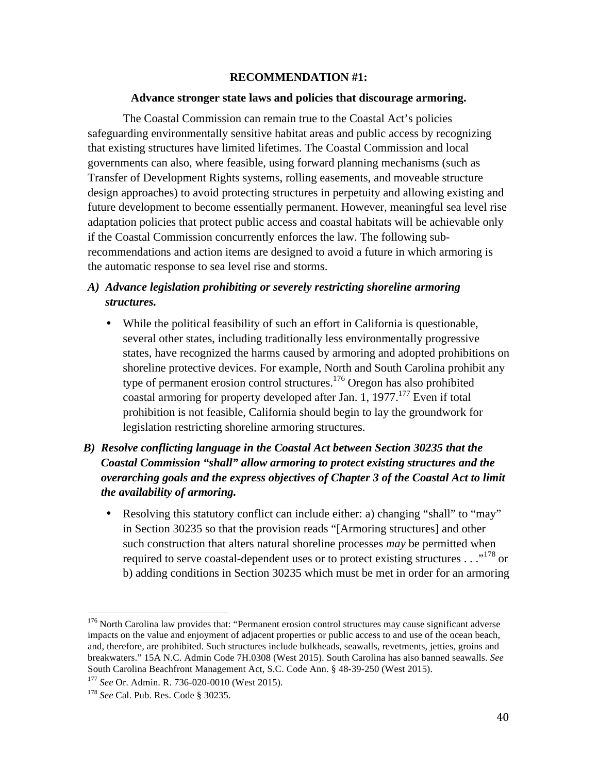#### **RECOMMENDATION #1:**

#### **Advance stronger state laws and policies that discourage armoring.**

The Coastal Commission can remain true to the Coastal Act's policies safeguarding environmentally sensitive habitat areas and public access by recognizing that existing structures have limited lifetimes. The Coastal Commission and local governments can also, where feasible, using forward planning mechanisms (such as Transfer of Development Rights systems, rolling easements, and moveable structure design approaches) to avoid protecting structures in perpetuity and allowing existing and future development to become essentially permanent. However, meaningful sea level rise adaptation policies that protect public access and coastal habitats will be achievable only if the Coastal Commission concurrently enforces the law. The following subrecommendations and action items are designed to avoid a future in which armoring is the automatic response to sea level rise and storms.

# *A) Advance legislation prohibiting or severely restricting shoreline armoring structures.*

- While the political feasibility of such an effort in California is questionable, several other states, including traditionally less environmentally progressive states, have recognized the harms caused by armoring and adopted prohibitions on shoreline protective devices. For example, North and South Carolina prohibit any type of permanent erosion control structures.<sup>176</sup> Oregon has also prohibited coastal armoring for property developed after Jan. 1, 1977.<sup>177</sup> Even if total prohibition is not feasible, California should begin to lay the groundwork for legislation restricting shoreline armoring structures.
- *B) Resolve conflicting language in the Coastal Act between Section 30235 that the Coastal Commission "shall" allow armoring to protect existing structures and the overarching goals and the express objectives of Chapter 3 of the Coastal Act to limit the availability of armoring.* 
	- Resolving this statutory conflict can include either: a) changing "shall" to "may" in Section 30235 so that the provision reads "[Armoring structures] and other such construction that alters natural shoreline processes *may* be permitted when required to serve coastal-dependent uses or to protect existing structures  $\dots$ <sup>178</sup> or b) adding conditions in Section 30235 which must be met in order for an armoring

<sup>&</sup>lt;sup>176</sup> North Carolina law provides that: "Permanent erosion control structures may cause significant adverse impacts on the value and enjoyment of adjacent properties or public access to and use of the ocean beach, and, therefore, are prohibited. Such structures include bulkheads, seawalls, revetments, jetties, groins and breakwaters." 15A N.C. Admin Code 7H.0308 (West 2015). South Carolina has also banned seawalls. *See* South Carolina Beachfront Management Act, S.C. Code Ann. § 48-39-250 (West 2015).

<sup>177</sup> *See* Or. Admin. R. 736-020-0010 (West 2015).

<sup>178</sup> *See* Cal. Pub. Res. Code § 30235.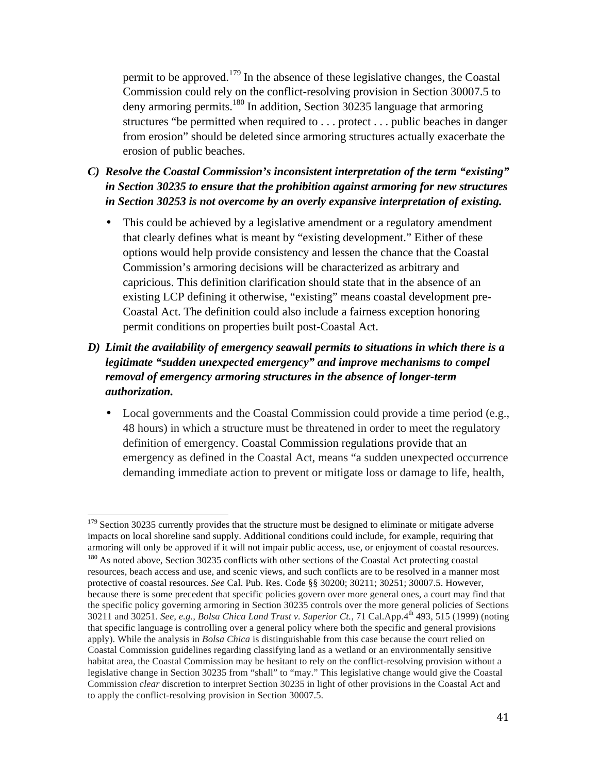permit to be approved.<sup>179</sup> In the absence of these legislative changes, the Coastal Commission could rely on the conflict-resolving provision in Section 30007.5 to deny armoring permits.<sup>180</sup> In addition, Section 30235 language that armoring structures "be permitted when required to . . . protect . . . public beaches in danger from erosion" should be deleted since armoring structures actually exacerbate the erosion of public beaches.

- *C) Resolve the Coastal Commission's inconsistent interpretation of the term "existing" in Section 30235 to ensure that the prohibition against armoring for new structures in Section 30253 is not overcome by an overly expansive interpretation of existing.* 
	- This could be achieved by a legislative amendment or a regulatory amendment that clearly defines what is meant by "existing development." Either of these options would help provide consistency and lessen the chance that the Coastal Commission's armoring decisions will be characterized as arbitrary and capricious. This definition clarification should state that in the absence of an existing LCP defining it otherwise, "existing" means coastal development pre-Coastal Act. The definition could also include a fairness exception honoring permit conditions on properties built post-Coastal Act.
- *D) Limit the availability of emergency seawall permits to situations in which there is a legitimate "sudden unexpected emergency" and improve mechanisms to compel removal of emergency armoring structures in the absence of longer-term authorization.*
	- Local governments and the Coastal Commission could provide a time period (e.g., 48 hours) in which a structure must be threatened in order to meet the regulatory definition of emergency. Coastal Commission regulations provide that an emergency as defined in the Coastal Act, means "a sudden unexpected occurrence demanding immediate action to prevent or mitigate loss or damage to life, health,

 $179$  Section 30235 currently provides that the structure must be designed to eliminate or mitigate adverse impacts on local shoreline sand supply. Additional conditions could include, for example, requiring that armoring will only be approved if it will not impair public access, use, or enjoyment of coastal resources. <sup>180</sup> As noted above, Section 30235 conflicts with other sections of the Coastal Act protecting coastal resources, beach access and use, and scenic views, and such conflicts are to be resolved in a manner most protective of coastal resources. *See* Cal. Pub. Res. Code §§ 30200; 30211; 30251; 30007.5. However, because there is some precedent that specific policies govern over more general ones, a court may find that the specific policy governing armoring in Section 30235 controls over the more general policies of Sections 30211 and 30251. *See, e.g., Bolsa Chica Land Trust v. Superior Ct.*, 71 Cal.App.4th 493, 515 (1999) (noting that specific language is controlling over a general policy where both the specific and general provisions apply). While the analysis in *Bolsa Chica* is distinguishable from this case because the court relied on Coastal Commission guidelines regarding classifying land as a wetland or an environmentally sensitive habitat area, the Coastal Commission may be hesitant to rely on the conflict-resolving provision without a legislative change in Section 30235 from "shall" to "may." This legislative change would give the Coastal Commission *clear* discretion to interpret Section 30235 in light of other provisions in the Coastal Act and to apply the conflict-resolving provision in Section 30007.5.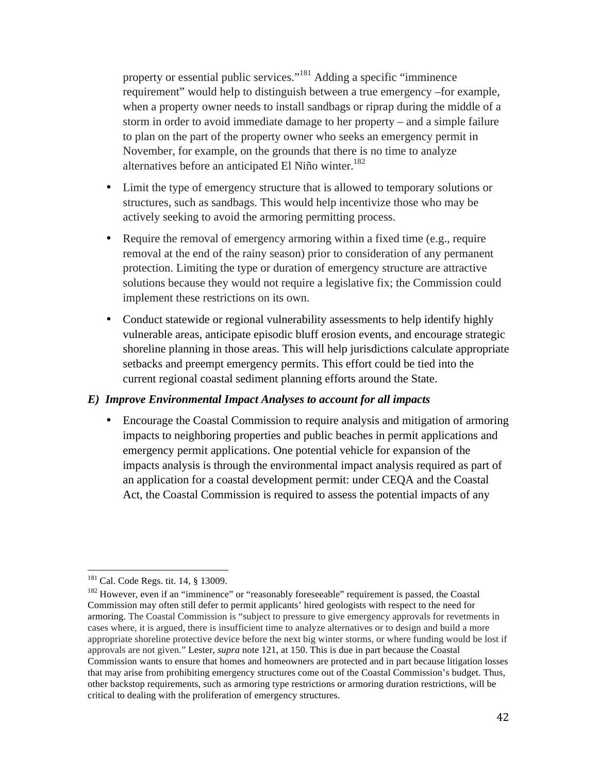property or essential public services."<sup>181</sup> Adding a specific "imminence" requirement" would help to distinguish between a true emergency –for example, when a property owner needs to install sandbags or riprap during the middle of a storm in order to avoid immediate damage to her property – and a simple failure to plan on the part of the property owner who seeks an emergency permit in November, for example, on the grounds that there is no time to analyze alternatives before an anticipated El Niño winter. 182

- Limit the type of emergency structure that is allowed to temporary solutions or structures, such as sandbags. This would help incentivize those who may be actively seeking to avoid the armoring permitting process.
- Require the removal of emergency armoring within a fixed time (e.g., require removal at the end of the rainy season) prior to consideration of any permanent protection. Limiting the type or duration of emergency structure are attractive solutions because they would not require a legislative fix; the Commission could implement these restrictions on its own.
- Conduct statewide or regional vulnerability assessments to help identify highly vulnerable areas, anticipate episodic bluff erosion events, and encourage strategic shoreline planning in those areas. This will help jurisdictions calculate appropriate setbacks and preempt emergency permits. This effort could be tied into the current regional coastal sediment planning efforts around the State.

# *E) Improve Environmental Impact Analyses to account for all impacts*

• Encourage the Coastal Commission to require analysis and mitigation of armoring impacts to neighboring properties and public beaches in permit applications and emergency permit applications. One potential vehicle for expansion of the impacts analysis is through the environmental impact analysis required as part of an application for a coastal development permit: under CEQA and the Coastal Act, the Coastal Commission is required to assess the potential impacts of any

<sup>&</sup>lt;sup>181</sup> Cal. Code Regs. tit. 14, § 13009.

<sup>&</sup>lt;sup>182</sup> However, even if an "imminence" or "reasonably foreseeable" requirement is passed, the Coastal Commission may often still defer to permit applicants' hired geologists with respect to the need for armoring. The Coastal Commission is "subject to pressure to give emergency approvals for revetments in cases where, it is argued, there is insufficient time to analyze alternatives or to design and build a more appropriate shoreline protective device before the next big winter storms, or where funding would be lost if approvals are not given." Lester, *supra* note 121, at 150. This is due in part because the Coastal Commission wants to ensure that homes and homeowners are protected and in part because litigation losses that may arise from prohibiting emergency structures come out of the Coastal Commission's budget. Thus, other backstop requirements, such as armoring type restrictions or armoring duration restrictions, will be critical to dealing with the proliferation of emergency structures.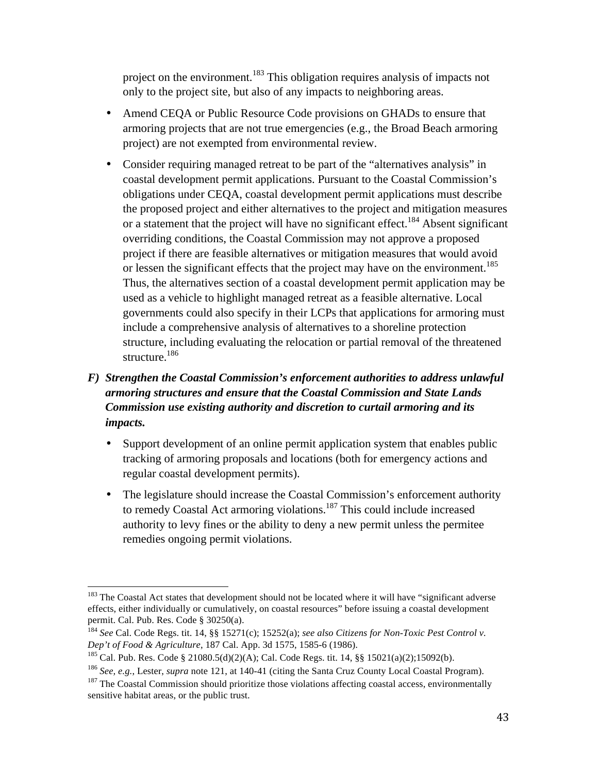project on the environment.<sup>183</sup> This obligation requires analysis of impacts not only to the project site, but also of any impacts to neighboring areas.

- Amend CEQA or Public Resource Code provisions on GHADs to ensure that armoring projects that are not true emergencies (e.g., the Broad Beach armoring project) are not exempted from environmental review.
- Consider requiring managed retreat to be part of the "alternatives analysis" in coastal development permit applications. Pursuant to the Coastal Commission's obligations under CEQA, coastal development permit applications must describe the proposed project and either alternatives to the project and mitigation measures or a statement that the project will have no significant effect.<sup>184</sup> Absent significant overriding conditions, the Coastal Commission may not approve a proposed project if there are feasible alternatives or mitigation measures that would avoid or lessen the significant effects that the project may have on the environment.<sup>185</sup> Thus, the alternatives section of a coastal development permit application may be used as a vehicle to highlight managed retreat as a feasible alternative. Local governments could also specify in their LCPs that applications for armoring must include a comprehensive analysis of alternatives to a shoreline protection structure, including evaluating the relocation or partial removal of the threatened structure.<sup>186</sup>

# *F) Strengthen the Coastal Commission's enforcement authorities to address unlawful armoring structures and ensure that the Coastal Commission and State Lands Commission use existing authority and discretion to curtail armoring and its impacts.*

- Support development of an online permit application system that enables public tracking of armoring proposals and locations (both for emergency actions and regular coastal development permits).
- The legislature should increase the Coastal Commission's enforcement authority to remedy Coastal Act armoring violations.<sup>187</sup> This could include increased authority to levy fines or the ability to deny a new permit unless the permitee remedies ongoing permit violations.

<sup>&</sup>lt;sup>183</sup> The Coastal Act states that development should not be located where it will have "significant adverse effects, either individually or cumulatively, on coastal resources" before issuing a coastal development permit. Cal. Pub. Res. Code § 30250(a).

<sup>184</sup> *See* Cal. Code Regs. tit. 14, §§ 15271(c); 15252(a); *see also Citizens for Non-Toxic Pest Control v. Dep't of Food & Agriculture*, 187 Cal. App. 3d 1575, 1585-6 (1986).<br><sup>185</sup> Cal. Pub. Res. Code § 21080.5(d)(2)(A); Cal. Code Regs. tit. 14, §§ 15021(a)(2);15092(b).

<sup>186</sup> *See, e.g.*, Lester, *supra* note 121, at 140-41 (citing the Santa Cruz County Local Coastal Program).

 $187$  The Coastal Commission should prioritize those violations affecting coastal access, environmentally sensitive habitat areas, or the public trust.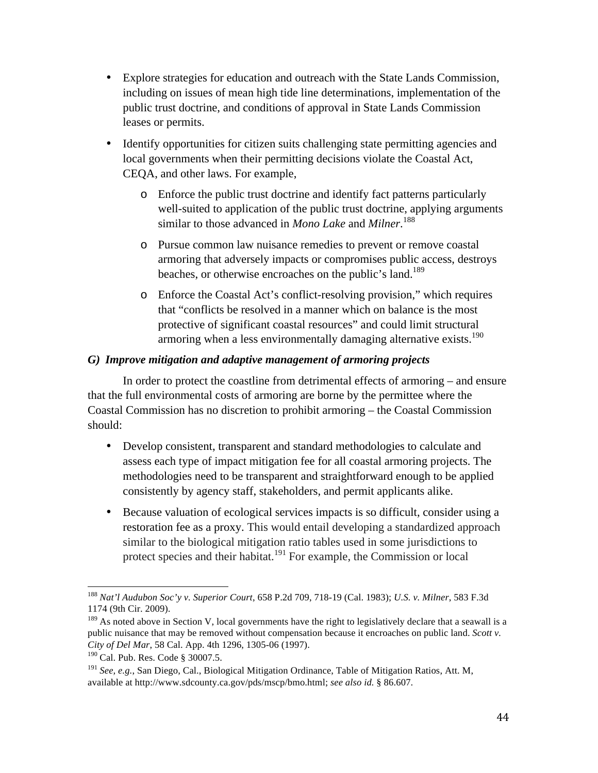- Explore strategies for education and outreach with the State Lands Commission, including on issues of mean high tide line determinations, implementation of the public trust doctrine, and conditions of approval in State Lands Commission leases or permits.
- Identify opportunities for citizen suits challenging state permitting agencies and local governments when their permitting decisions violate the Coastal Act, CEQA, and other laws. For example,
	- o Enforce the public trust doctrine and identify fact patterns particularly well-suited to application of the public trust doctrine, applying arguments similar to those advanced in *Mono Lake* and *Milner*. 188
	- o Pursue common law nuisance remedies to prevent or remove coastal armoring that adversely impacts or compromises public access, destroys beaches, or otherwise encroaches on the public's land.<sup>189</sup>
	- o Enforce the Coastal Act's conflict-resolving provision," which requires that "conflicts be resolved in a manner which on balance is the most protective of significant coastal resources" and could limit structural armoring when a less environmentally damaging alternative exists.<sup>190</sup>

# *G) Improve mitigation and adaptive management of armoring projects*

In order to protect the coastline from detrimental effects of armoring – and ensure that the full environmental costs of armoring are borne by the permittee where the Coastal Commission has no discretion to prohibit armoring – the Coastal Commission should:

- Develop consistent, transparent and standard methodologies to calculate and assess each type of impact mitigation fee for all coastal armoring projects. The methodologies need to be transparent and straightforward enough to be applied consistently by agency staff, stakeholders, and permit applicants alike.
- Because valuation of ecological services impacts is so difficult, consider using a restoration fee as a proxy. This would entail developing a standardized approach similar to the biological mitigation ratio tables used in some jurisdictions to protect species and their habitat.<sup>191</sup> For example, the Commission or local

 <sup>188</sup> *Nat'l Audubon Soc'y v. Superior Court*, 658 P.2d 709, 718-19 (Cal. 1983); *U.S. v. Milner*, 583 F.3d 1174 (9th Cir. 2009).

 $189$  As noted above in Section V, local governments have the right to legislatively declare that a seawall is a public nuisance that may be removed without compensation because it encroaches on public land. *Scott v. City of Del Mar*, 58 Cal. App. 4th 1296, 1305-06 (1997).

<sup>&</sup>lt;sup>190</sup> Cal. Pub. Res. Code § 30007.5.

<sup>191</sup> *See, e.g.*, San Diego, Cal., Biological Mitigation Ordinance, Table of Mitigation Ratios, Att. M, available at http://www.sdcounty.ca.gov/pds/mscp/bmo.html; *see also id.* § 86.607.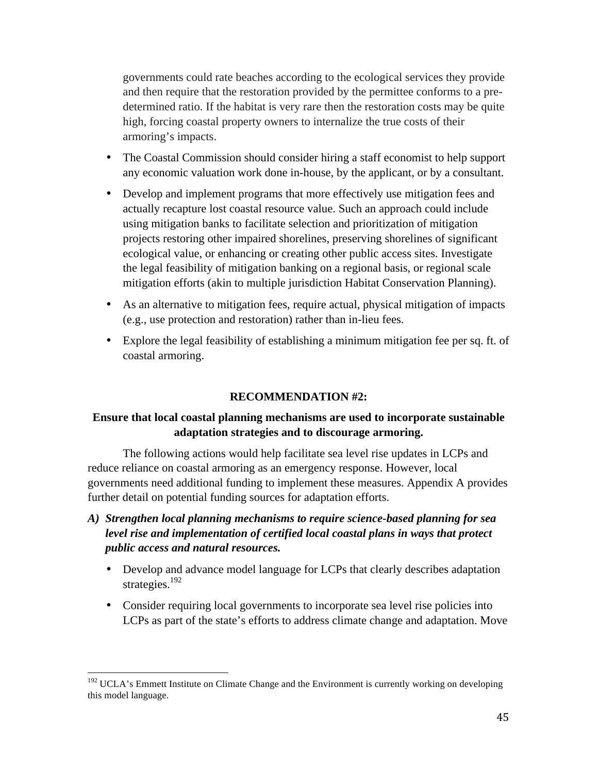governments could rate beaches according to the ecological services they provide and then require that the restoration provided by the permittee conforms to a predetermined ratio. If the habitat is very rare then the restoration costs may be quite high, forcing coastal property owners to internalize the true costs of their armoring's impacts.

- The Coastal Commission should consider hiring a staff economist to help support any economic valuation work done in-house, by the applicant, or by a consultant.
- Develop and implement programs that more effectively use mitigation fees and actually recapture lost coastal resource value. Such an approach could include using mitigation banks to facilitate selection and prioritization of mitigation projects restoring other impaired shorelines, preserving shorelines of significant ecological value, or enhancing or creating other public access sites. Investigate the legal feasibility of mitigation banking on a regional basis, or regional scale mitigation efforts (akin to multiple jurisdiction Habitat Conservation Planning).
- As an alternative to mitigation fees, require actual, physical mitigation of impacts (e.g., use protection and restoration) rather than in-lieu fees.
- Explore the legal feasibility of establishing a minimum mitigation fee per sq. ft. of coastal armoring.

# **RECOMMENDATION #2:**

# **Ensure that local coastal planning mechanisms are used to incorporate sustainable adaptation strategies and to discourage armoring.**

The following actions would help facilitate sea level rise updates in LCPs and reduce reliance on coastal armoring as an emergency response. However, local governments need additional funding to implement these measures. Appendix A provides further detail on potential funding sources for adaptation efforts.

- *A) Strengthen local planning mechanisms to require science-based planning for sea level rise and implementation of certified local coastal plans in ways that protect public access and natural resources.*
	- Develop and advance model language for LCPs that clearly describes adaptation strategies.<sup>192</sup>
	- Consider requiring local governments to incorporate sea level rise policies into LCPs as part of the state's efforts to address climate change and adaptation. Move

<sup>&</sup>lt;sup>192</sup> UCLA's Emmett Institute on Climate Change and the Environment is currently working on developing this model language.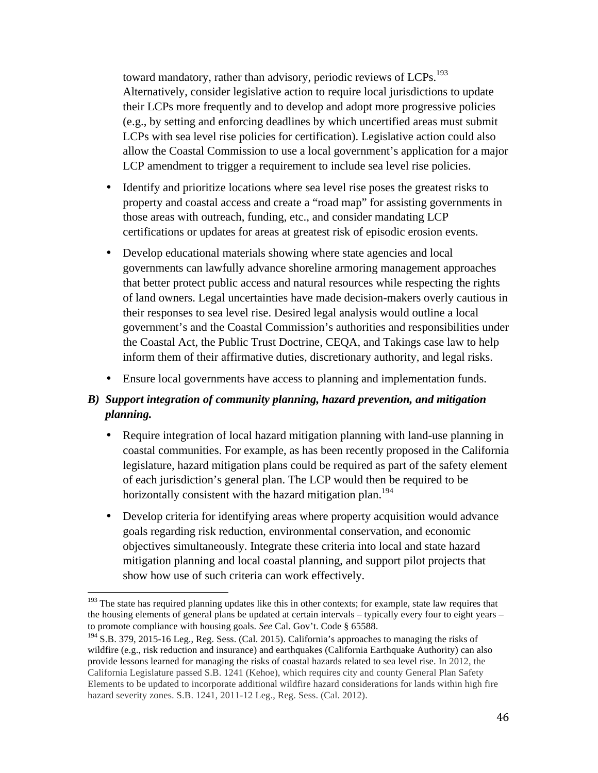toward mandatory, rather than advisory, periodic reviews of LCPs.<sup>193</sup> Alternatively, consider legislative action to require local jurisdictions to update their LCPs more frequently and to develop and adopt more progressive policies (e.g., by setting and enforcing deadlines by which uncertified areas must submit LCPs with sea level rise policies for certification). Legislative action could also allow the Coastal Commission to use a local government's application for a major LCP amendment to trigger a requirement to include sea level rise policies.

- Identify and prioritize locations where sea level rise poses the greatest risks to property and coastal access and create a "road map" for assisting governments in those areas with outreach, funding, etc., and consider mandating LCP certifications or updates for areas at greatest risk of episodic erosion events.
- Develop educational materials showing where state agencies and local governments can lawfully advance shoreline armoring management approaches that better protect public access and natural resources while respecting the rights of land owners. Legal uncertainties have made decision-makers overly cautious in their responses to sea level rise. Desired legal analysis would outline a local government's and the Coastal Commission's authorities and responsibilities under the Coastal Act, the Public Trust Doctrine, CEQA, and Takings case law to help inform them of their affirmative duties, discretionary authority, and legal risks.
- Ensure local governments have access to planning and implementation funds.

# *B) Support integration of community planning, hazard prevention, and mitigation planning.*

- Require integration of local hazard mitigation planning with land-use planning in coastal communities. For example, as has been recently proposed in the California legislature, hazard mitigation plans could be required as part of the safety element of each jurisdiction's general plan. The LCP would then be required to be horizontally consistent with the hazard mitigation plan.<sup>194</sup>
- Develop criteria for identifying areas where property acquisition would advance goals regarding risk reduction, environmental conservation, and economic objectives simultaneously. Integrate these criteria into local and state hazard mitigation planning and local coastal planning, and support pilot projects that show how use of such criteria can work effectively.

<sup>&</sup>lt;sup>193</sup> The state has required planning updates like this in other contexts; for example, state law requires that the housing elements of general plans be updated at certain intervals – typically every four to eight years – to promote compliance with housing goals. *See* Cal. Gov't. Code § 65588.

 $194$  S.B. 379, 2015-16 Leg., Reg. Sess. (Cal. 2015). California's approaches to managing the risks of wildfire (e.g., risk reduction and insurance) and earthquakes (California Earthquake Authority) can also provide lessons learned for managing the risks of coastal hazards related to sea level rise. In 2012, the California Legislature passed S.B. 1241 (Kehoe), which requires city and county General Plan Safety Elements to be updated to incorporate additional wildfire hazard considerations for lands within high fire hazard severity zones. S.B. 1241, 2011-12 Leg., Reg. Sess. (Cal. 2012).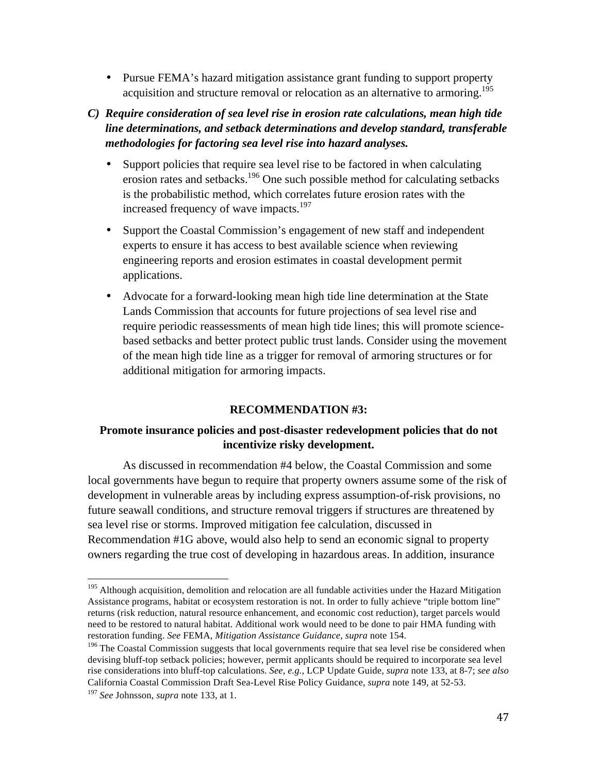• Pursue FEMA's hazard mitigation assistance grant funding to support property acquisition and structure removal or relocation as an alternative to armoring.<sup>195</sup>

# *C) Require consideration of sea level rise in erosion rate calculations, mean high tide line determinations, and setback determinations and develop standard, transferable methodologies for factoring sea level rise into hazard analyses.*

- Support policies that require sea level rise to be factored in when calculating erosion rates and setbacks.196 One such possible method for calculating setbacks is the probabilistic method, which correlates future erosion rates with the increased frequency of wave impacts.<sup>197</sup>
- Support the Coastal Commission's engagement of new staff and independent experts to ensure it has access to best available science when reviewing engineering reports and erosion estimates in coastal development permit applications.
- Advocate for a forward-looking mean high tide line determination at the State Lands Commission that accounts for future projections of sea level rise and require periodic reassessments of mean high tide lines; this will promote sciencebased setbacks and better protect public trust lands. Consider using the movement of the mean high tide line as a trigger for removal of armoring structures or for additional mitigation for armoring impacts.

# **RECOMMENDATION #3:**

# **Promote insurance policies and post-disaster redevelopment policies that do not incentivize risky development.**

As discussed in recommendation #4 below, the Coastal Commission and some local governments have begun to require that property owners assume some of the risk of development in vulnerable areas by including express assumption-of-risk provisions, no future seawall conditions, and structure removal triggers if structures are threatened by sea level rise or storms. Improved mitigation fee calculation, discussed in Recommendation #1G above, would also help to send an economic signal to property owners regarding the true cost of developing in hazardous areas. In addition, insurance

<sup>&</sup>lt;sup>195</sup> Although acquisition, demolition and relocation are all fundable activities under the Hazard Mitigation Assistance programs, habitat or ecosystem restoration is not. In order to fully achieve "triple bottom line" returns (risk reduction, natural resource enhancement, and economic cost reduction), target parcels would need to be restored to natural habitat. Additional work would need to be done to pair HMA funding with restoration funding. *See* FEMA, *Mitigation Assistance Guidance*, *supra* note 154.

<sup>&</sup>lt;sup>196</sup> The Coastal Commission suggests that local governments require that sea level rise be considered when devising bluff-top setback policies; however, permit applicants should be required to incorporate sea level rise considerations into bluff-top calculations. *See, e.g.*, LCP Update Guide, *supra* note 133, at 8-7; *see also* California Coastal Commission Draft Sea-Level Rise Policy Guidance, *supra* note 149, at 52-53.

<sup>197</sup> *See* Johnsson, *supra* note 133, at 1.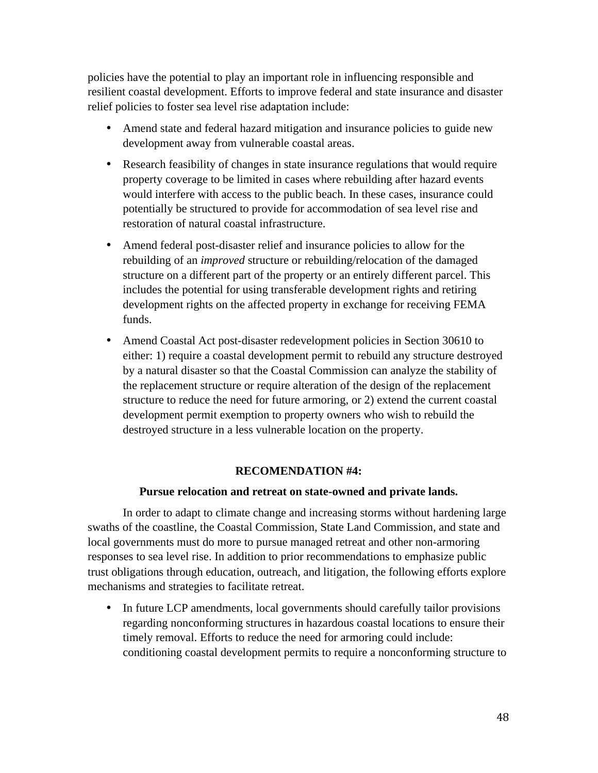policies have the potential to play an important role in influencing responsible and resilient coastal development. Efforts to improve federal and state insurance and disaster relief policies to foster sea level rise adaptation include:

- Amend state and federal hazard mitigation and insurance policies to guide new development away from vulnerable coastal areas.
- Research feasibility of changes in state insurance regulations that would require property coverage to be limited in cases where rebuilding after hazard events would interfere with access to the public beach. In these cases, insurance could potentially be structured to provide for accommodation of sea level rise and restoration of natural coastal infrastructure.
- Amend federal post-disaster relief and insurance policies to allow for the rebuilding of an *improved* structure or rebuilding/relocation of the damaged structure on a different part of the property or an entirely different parcel. This includes the potential for using transferable development rights and retiring development rights on the affected property in exchange for receiving FEMA funds.
- Amend Coastal Act post-disaster redevelopment policies in Section 30610 to either: 1) require a coastal development permit to rebuild any structure destroyed by a natural disaster so that the Coastal Commission can analyze the stability of the replacement structure or require alteration of the design of the replacement structure to reduce the need for future armoring, or 2) extend the current coastal development permit exemption to property owners who wish to rebuild the destroyed structure in a less vulnerable location on the property.

#### **RECOMENDATION #4:**

#### **Pursue relocation and retreat on state-owned and private lands.**

In order to adapt to climate change and increasing storms without hardening large swaths of the coastline, the Coastal Commission, State Land Commission, and state and local governments must do more to pursue managed retreat and other non-armoring responses to sea level rise. In addition to prior recommendations to emphasize public trust obligations through education, outreach, and litigation, the following efforts explore mechanisms and strategies to facilitate retreat.

• In future LCP amendments, local governments should carefully tailor provisions regarding nonconforming structures in hazardous coastal locations to ensure their timely removal. Efforts to reduce the need for armoring could include: conditioning coastal development permits to require a nonconforming structure to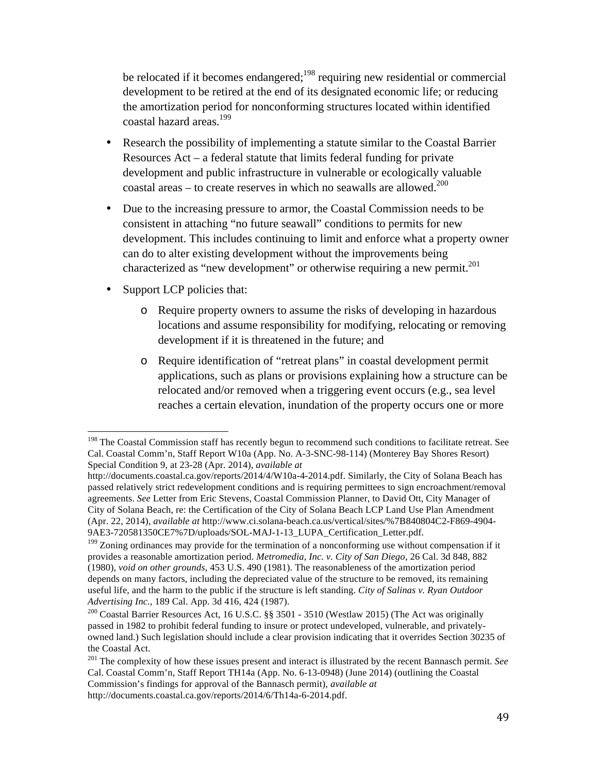be relocated if it becomes endangered;<sup>198</sup> requiring new residential or commercial development to be retired at the end of its designated economic life; or reducing the amortization period for nonconforming structures located within identified coastal hazard areas.199

- Research the possibility of implementing a statute similar to the Coastal Barrier Resources Act – a federal statute that limits federal funding for private development and public infrastructure in vulnerable or ecologically valuable coastal areas – to create reserves in which no seawalls are allowed.<sup>200</sup>
- Due to the increasing pressure to armor, the Coastal Commission needs to be consistent in attaching "no future seawall" conditions to permits for new development. This includes continuing to limit and enforce what a property owner can do to alter existing development without the improvements being characterized as "new development" or otherwise requiring a new permit.<sup>201</sup>
- Support LCP policies that:
	- o Require property owners to assume the risks of developing in hazardous locations and assume responsibility for modifying, relocating or removing development if it is threatened in the future; and
	- o Require identification of "retreat plans" in coastal development permit applications, such as plans or provisions explaining how a structure can be relocated and/or removed when a triggering event occurs (e.g., sea level reaches a certain elevation, inundation of the property occurs one or more

<sup>&</sup>lt;sup>198</sup> The Coastal Commission staff has recently begun to recommend such conditions to facilitate retreat. See Cal. Coastal Comm'n, Staff Report W10a (App. No. A-3-SNC-98-114) (Monterey Bay Shores Resort) Special Condition 9, at 23-28 (Apr. 2014), *available at*

http://documents.coastal.ca.gov/reports/2014/4/W10a-4-2014.pdf. Similarly, the City of Solana Beach has passed relatively strict redevelopment conditions and is requiring permittees to sign encroachment/removal agreements. *See* Letter from Eric Stevens, Coastal Commission Planner, to David Ott, City Manager of City of Solana Beach, re: the Certification of the City of Solana Beach LCP Land Use Plan Amendment (Apr. 22, 2014), *available at* http://www.ci.solana-beach.ca.us/vertical/sites/%7B840804C2-F869-4904- 9AE3-720581350CE7%7D/uploads/SOL-MAJ-1-13\_LUPA\_Certification\_Letter.pdf.

 $199$  Zoning ordinances may provide for the termination of a nonconforming use without compensation if it provides a reasonable amortization period. *Metromedia, Inc. v. City of San Diego*, 26 Cal. 3d 848, 882 (1980), *void on other grounds*, 453 U.S. 490 (1981). The reasonableness of the amortization period depends on many factors, including the depreciated value of the structure to be removed, its remaining useful life, and the harm to the public if the structure is left standing. *City of Salinas v. Ryan Outdoor Advertising Inc.*, 189 Cal. App. 3d 416, 424 (1987).

<sup>200</sup> Coastal Barrier Resources Act, 16 U.S.C. §§ 3501 - 3510 (Westlaw 2015) (The Act was originally passed in 1982 to prohibit federal funding to insure or protect undeveloped, vulnerable, and privatelyowned land.) Such legislation should include a clear provision indicating that it overrides Section 30235 of the Coastal Act.

<sup>201</sup> The complexity of how these issues present and interact is illustrated by the recent Bannasch permit. *See* Cal. Coastal Comm'n, Staff Report TH14a (App. No. 6-13-0948) (June 2014) (outlining the Coastal Commission's findings for approval of the Bannasch permit), *available at*  http://documents.coastal.ca.gov/reports/2014/6/Th14a-6-2014.pdf.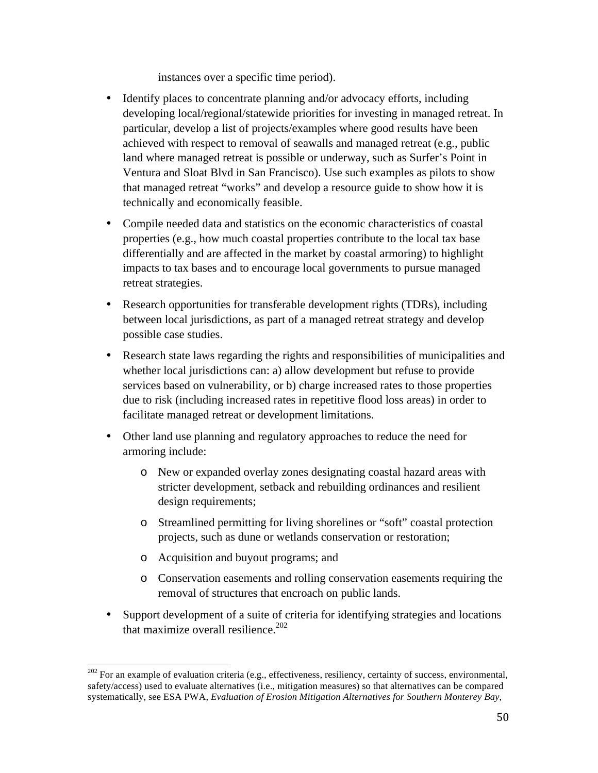instances over a specific time period).

- Identify places to concentrate planning and/or advocacy efforts, including developing local/regional/statewide priorities for investing in managed retreat. In particular, develop a list of projects/examples where good results have been achieved with respect to removal of seawalls and managed retreat (e.g., public land where managed retreat is possible or underway, such as Surfer's Point in Ventura and Sloat Blvd in San Francisco). Use such examples as pilots to show that managed retreat "works" and develop a resource guide to show how it is technically and economically feasible.
- Compile needed data and statistics on the economic characteristics of coastal properties (e.g., how much coastal properties contribute to the local tax base differentially and are affected in the market by coastal armoring) to highlight impacts to tax bases and to encourage local governments to pursue managed retreat strategies.
- Research opportunities for transferable development rights (TDRs), including between local jurisdictions, as part of a managed retreat strategy and develop possible case studies.
- Research state laws regarding the rights and responsibilities of municipalities and whether local jurisdictions can: a) allow development but refuse to provide services based on vulnerability, or b) charge increased rates to those properties due to risk (including increased rates in repetitive flood loss areas) in order to facilitate managed retreat or development limitations.
- Other land use planning and regulatory approaches to reduce the need for armoring include:
	- o New or expanded overlay zones designating coastal hazard areas with stricter development, setback and rebuilding ordinances and resilient design requirements;
	- o Streamlined permitting for living shorelines or "soft" coastal protection projects, such as dune or wetlands conservation or restoration;
	- o Acquisition and buyout programs; and
	- o Conservation easements and rolling conservation easements requiring the removal of structures that encroach on public lands.
- Support development of a suite of criteria for identifying strategies and locations that maximize overall resilience. $202$

 $202$  For an example of evaluation criteria (e.g., effectiveness, resiliency, certainty of success, environmental, safety/access) used to evaluate alternatives (i.e., mitigation measures) so that alternatives can be compared systematically, see ESA PWA, *Evaluation of Erosion Mitigation Alternatives for Southern Monterey Bay*,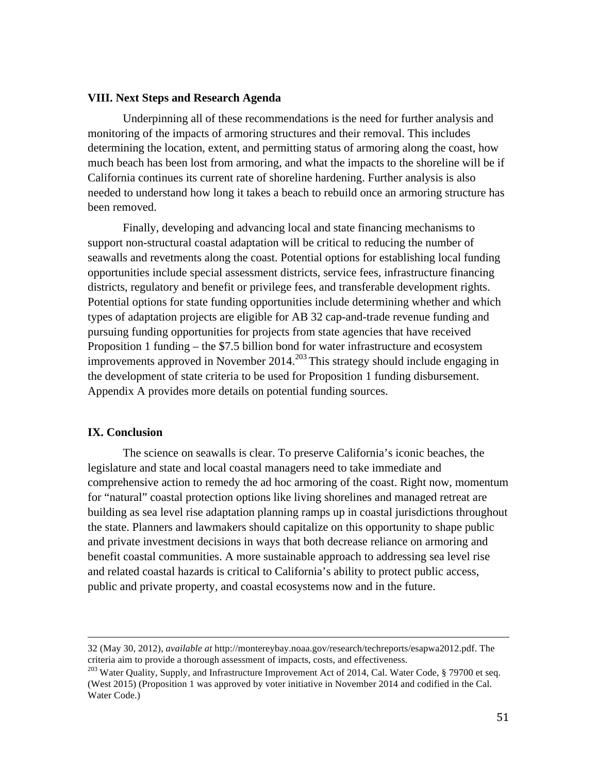#### **VIII. Next Steps and Research Agenda**

Underpinning all of these recommendations is the need for further analysis and monitoring of the impacts of armoring structures and their removal. This includes determining the location, extent, and permitting status of armoring along the coast, how much beach has been lost from armoring, and what the impacts to the shoreline will be if California continues its current rate of shoreline hardening. Further analysis is also needed to understand how long it takes a beach to rebuild once an armoring structure has been removed.

Finally, developing and advancing local and state financing mechanisms to support non-structural coastal adaptation will be critical to reducing the number of seawalls and revetments along the coast. Potential options for establishing local funding opportunities include special assessment districts, service fees, infrastructure financing districts, regulatory and benefit or privilege fees, and transferable development rights. Potential options for state funding opportunities include determining whether and which types of adaptation projects are eligible for AB 32 cap-and-trade revenue funding and pursuing funding opportunities for projects from state agencies that have received Proposition 1 funding – the \$7.5 billion bond for water infrastructure and ecosystem improvements approved in November  $2014.<sup>203</sup>$  This strategy should include engaging in the development of state criteria to be used for Proposition 1 funding disbursement. Appendix A provides more details on potential funding sources.

#### **IX. Conclusion**

The science on seawalls is clear. To preserve California's iconic beaches, the legislature and state and local coastal managers need to take immediate and comprehensive action to remedy the ad hoc armoring of the coast. Right now, momentum for "natural" coastal protection options like living shorelines and managed retreat are building as sea level rise adaptation planning ramps up in coastal jurisdictions throughout the state. Planners and lawmakers should capitalize on this opportunity to shape public and private investment decisions in ways that both decrease reliance on armoring and benefit coastal communities. A more sustainable approach to addressing sea level rise and related coastal hazards is critical to California's ability to protect public access, public and private property, and coastal ecosystems now and in the future.

<u> 2002 - Andrea San Andrea San Andrea San Andrea San Andrea San Andrea San Andrea San Andrea San Andrea San An</u>

<sup>32 (</sup>May 30, 2012), *available at* http://montereybay.noaa.gov/research/techreports/esapwa2012.pdf. The criteria aim to provide a thorough assessment of impacts, costs, and effectiveness.

<sup>&</sup>lt;sup>203</sup> Water Ouality, Supply, and Infrastructure Improvement Act of 2014, Cal. Water Code, § 79700 et seq. (West 2015) (Proposition 1 was approved by voter initiative in November 2014 and codified in the Cal. Water Code.)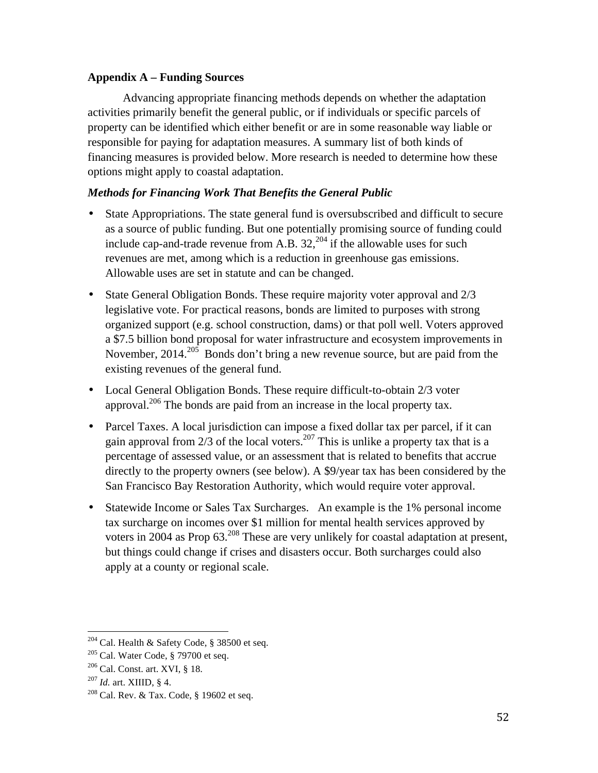#### **Appendix A – Funding Sources**

Advancing appropriate financing methods depends on whether the adaptation activities primarily benefit the general public, or if individuals or specific parcels of property can be identified which either benefit or are in some reasonable way liable or responsible for paying for adaptation measures. A summary list of both kinds of financing measures is provided below. More research is needed to determine how these options might apply to coastal adaptation.

# *Methods for Financing Work That Benefits the General Public*

- State Appropriations. The state general fund is oversubscribed and difficult to secure as a source of public funding. But one potentially promising source of funding could include cap-and-trade revenue from A.B.  $32$ ,  $204$  if the allowable uses for such revenues are met, among which is a reduction in greenhouse gas emissions. Allowable uses are set in statute and can be changed.
- State General Obligation Bonds. These require majority voter approval and  $2/3$ legislative vote. For practical reasons, bonds are limited to purposes with strong organized support (e.g. school construction, dams) or that poll well. Voters approved a \$7.5 billion bond proposal for water infrastructure and ecosystem improvements in November,  $2014$ <sup>205</sup> Bonds don't bring a new revenue source, but are paid from the existing revenues of the general fund.
- Local General Obligation Bonds. These require difficult-to-obtain 2/3 voter approval.<sup>206</sup> The bonds are paid from an increase in the local property tax.
- Parcel Taxes. A local jurisdiction can impose a fixed dollar tax per parcel, if it can gain approval from  $\frac{2}{3}$  of the local voters.<sup>207</sup> This is unlike a property tax that is a percentage of assessed value, or an assessment that is related to benefits that accrue directly to the property owners (see below). A \$9/year tax has been considered by the San Francisco Bay Restoration Authority, which would require voter approval.
- Statewide Income or Sales Tax Surcharges. An example is the 1% personal income tax surcharge on incomes over \$1 million for mental health services approved by voters in 2004 as Prop 63.<sup>208</sup> These are very unlikely for coastal adaptation at present, but things could change if crises and disasters occur. Both surcharges could also apply at a county or regional scale.

 

<sup>&</sup>lt;sup>204</sup> Cal. Health & Safety Code, § 38500 et seq.

 $205$  Cal. Water Code, § 79700 et seq.

 $206$  Cal. Const. art. XVI, § 18.

<sup>207</sup> *Id.* art. XIIID, § 4.

<sup>&</sup>lt;sup>208</sup> Cal. Rev. & Tax. Code, § 19602 et seq.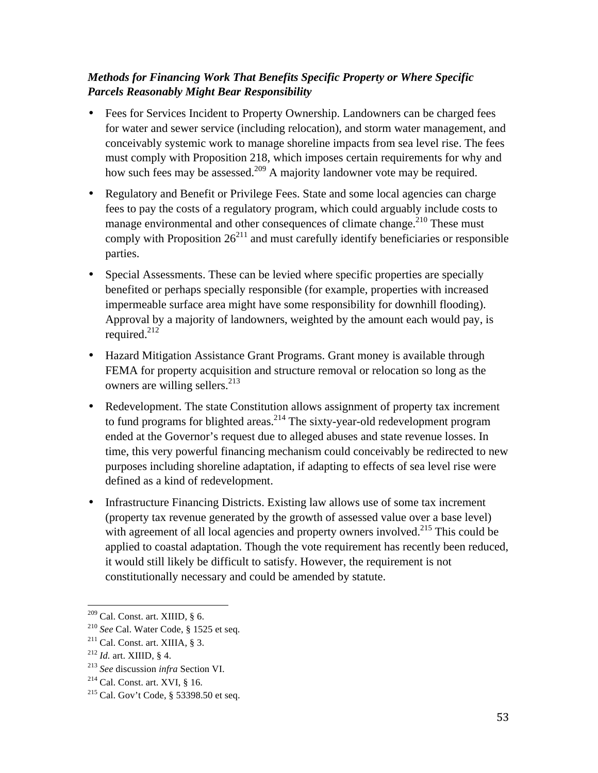# *Methods for Financing Work That Benefits Specific Property or Where Specific Parcels Reasonably Might Bear Responsibility*

- Fees for Services Incident to Property Ownership. Landowners can be charged fees for water and sewer service (including relocation), and storm water management, and conceivably systemic work to manage shoreline impacts from sea level rise. The fees must comply with Proposition 218, which imposes certain requirements for why and how such fees may be assessed.<sup>209</sup> A majority landowner vote may be required.
- Regulatory and Benefit or Privilege Fees. State and some local agencies can charge fees to pay the costs of a regulatory program, which could arguably include costs to manage environmental and other consequences of climate change.<sup>210</sup> These must comply with Proposition  $26^{211}$  and must carefully identify beneficiaries or responsible parties.
- Special Assessments. These can be levied where specific properties are specially benefited or perhaps specially responsible (for example, properties with increased impermeable surface area might have some responsibility for downhill flooding). Approval by a majority of landowners, weighted by the amount each would pay, is required. $^{212}$
- Hazard Mitigation Assistance Grant Programs. Grant money is available through FEMA for property acquisition and structure removal or relocation so long as the owners are willing sellers.<sup>213</sup>
- Redevelopment. The state Constitution allows assignment of property tax increment to fund programs for blighted areas.<sup>214</sup> The sixty-year-old redevelopment program ended at the Governor's request due to alleged abuses and state revenue losses. In time, this very powerful financing mechanism could conceivably be redirected to new purposes including shoreline adaptation, if adapting to effects of sea level rise were defined as a kind of redevelopment.
- Infrastructure Financing Districts. Existing law allows use of some tax increment (property tax revenue generated by the growth of assessed value over a base level) with agreement of all local agencies and property owners involved.<sup>215</sup> This could be applied to coastal adaptation. Though the vote requirement has recently been reduced, it would still likely be difficult to satisfy. However, the requirement is not constitutionally necessary and could be amended by statute.

 $209$  Cal. Const. art. XIIID, § 6.

<sup>210</sup> *See* Cal. Water Code, § 1525 et seq. 211 Cal. Const. art. XIIIA, § 3.

<sup>212</sup> *Id.* art. XIIID, § 4.

<sup>213</sup> *See* discussion *infra* Section VI.

 $2^{14}$  Cal. Const. art. XVI, § 16.

<sup>215</sup> Cal. Gov't Code, § 53398.50 et seq.